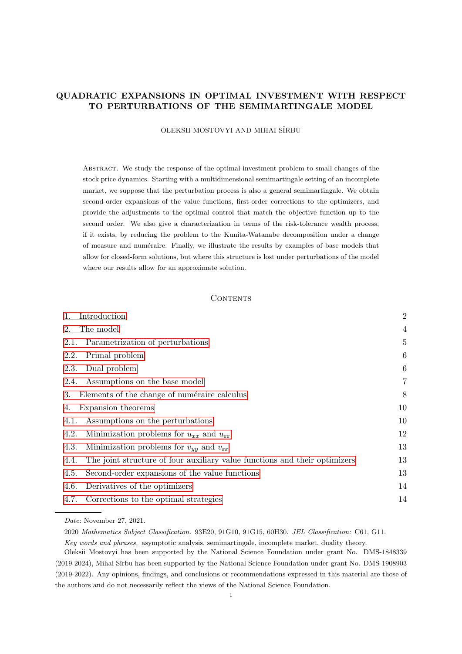# QUADRATIC EXPANSIONS IN OPTIMAL INVESTMENT WITH RESPECT TO PERTURBATIONS OF THE SEMIMARTINGALE MODEL

OLEKSII MOSTOVYI AND MIHAI SÎRBU

Abstract. We study the response of the optimal investment problem to small changes of the stock price dynamics. Starting with a multidimensional semimartingale setting of an incomplete market, we suppose that the perturbation process is also a general semimartingale. We obtain second-order expansions of the value functions, first-order corrections to the optimizers, and provide the adjustments to the optimal control that match the objective function up to the second order. We also give a characterization in terms of the risk-tolerance wealth process, if it exists, by reducing the problem to the Kunita-Watanabe decomposition under a change of measure and num´eraire. Finally, we illustrate the results by examples of base models that allow for closed-form solutions, but where this structure is lost under perturbations of the model where our results allow for an approximate solution.

#### CONTENTS

| 1.<br>Introduction                                                                 | $\overline{2}$ |
|------------------------------------------------------------------------------------|----------------|
| 2.<br>The model                                                                    | 4              |
| Parametrization of perturbations<br>2.1.                                           | 5              |
| Primal problem<br>2.2.                                                             | 6              |
| Dual problem<br>2.3.                                                               | 6              |
| Assumptions on the base model<br>2.4.                                              | 7              |
| Elements of the change of numéraire calculus<br>3.                                 | 8              |
| Expansion theorems<br>4.                                                           | 10             |
| Assumptions on the perturbations<br>4.1.                                           | 10             |
| Minimization problems for $u_{xx}$ and $u_{\varepsilon\varepsilon}$<br>4.2.        | 12             |
| Minimization problems for $v_{yy}$ and $v_{\varepsilon\varepsilon}$<br>4.3.        | 13             |
| The joint structure of four auxiliary value functions and their optimizers<br>4.4. | 13             |
| Second-order expansions of the value functions<br>4.5.                             | 13             |
| Derivatives of the optimizers<br>4.6.                                              | 14             |
| Corrections to the optimal strategies<br>4.7.                                      | 14             |
|                                                                                    |                |

Date: November 27, 2021.

<sup>2020</sup> Mathematics Subject Classification. 93E20, 91G10, 91G15, 60H30. JEL Classification: C61, G11.

Key words and phrases. asymptotic analysis, semimartingale, incomplete market, duality theory.

Oleksii Mostovyi has been supported by the National Science Foundation under grant No. DMS-1848339 (2019-2024), Mihai Sˆırbu has been supported by the National Science Foundation under grant No. DMS-1908903 (2019-2022). Any opinions, findings, and conclusions or recommendations expressed in this material are those of the authors and do not necessarily reflect the views of the National Science Foundation.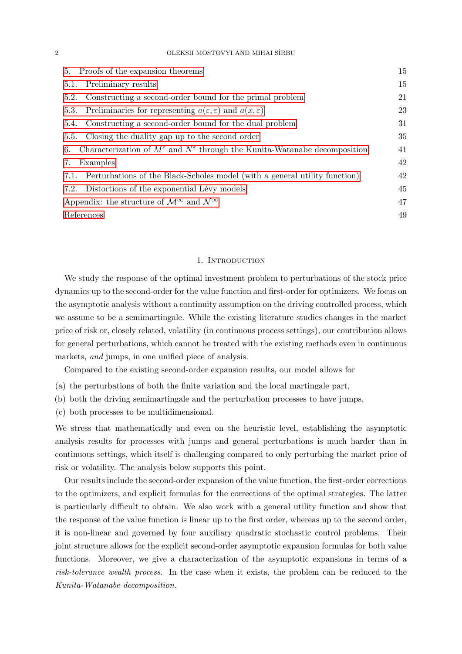2 OLEKSII MOSTOVYI AND MIHAI SÎRBU

| 5. Proofs of the expansion theorems                                                                         | 15 |
|-------------------------------------------------------------------------------------------------------------|----|
| Preliminary results<br>5.1.                                                                                 | 15 |
| Constructing a second-order bound for the primal problem<br>5.2.                                            | 21 |
| Preliminaries for representing $a(\varepsilon, \varepsilon)$ and $a(x, \varepsilon)$<br>5.3.                | 23 |
| Constructing a second-order bound for the dual problem<br>5.4.                                              | 31 |
| Closing the duality gap up to the second order<br>5.5.                                                      | 35 |
| Characterization of $M^{\varepsilon}$ and $N^{\varepsilon}$ through the Kunita-Watanabe decomposition<br>6. | 41 |
| Examples<br>7.                                                                                              | 42 |
| Perturbations of the Black-Scholes model (with a general utility function)<br>7.1.                          | 42 |
| Distortions of the exponential Lévy models<br>7.2.                                                          | 45 |
| Appendix: the structure of $\mathcal{M}^{\infty}$ and $\mathcal{N}^{\infty}$                                | 47 |
| References                                                                                                  | 49 |

## 1. INTRODUCTION

<span id="page-1-0"></span>We study the response of the optimal investment problem to perturbations of the stock price dynamics up to the second-order for the value function and first-order for optimizers. We focus on the asymptotic analysis without a continuity assumption on the driving controlled process, which we assume to be a semimartingale. While the existing literature studies changes in the market price of risk or, closely related, volatility (in continuous process settings), our contribution allows for general perturbations, which cannot be treated with the existing methods even in continuous markets, and jumps, in one unified piece of analysis.

Compared to the existing second-order expansion results, our model allows for

- (a) the perturbations of both the finite variation and the local martingale part,
- (b) both the driving semimartingale and the perturbation processes to have jumps,
- (c) both processes to be multidimensional.

We stress that mathematically and even on the heuristic level, establishing the asymptotic analysis results for processes with jumps and general perturbations is much harder than in continuous settings, which itself is challenging compared to only perturbing the market price of risk or volatility. The analysis below supports this point.

Our results include the second-order expansion of the value function, the first-order corrections to the optimizers, and explicit formulas for the corrections of the optimal strategies. The latter is particularly difficult to obtain. We also work with a general utility function and show that the response of the value function is linear up to the first order, whereas up to the second order, it is non-linear and governed by four auxiliary quadratic stochastic control problems. Their joint structure allows for the explicit second-order asymptotic expansion formulas for both value functions. Moreover, we give a characterization of the asymptotic expansions in terms of a risk-tolerance wealth process. In the case when it exists, the problem can be reduced to the Kunita-Watanabe decomposition.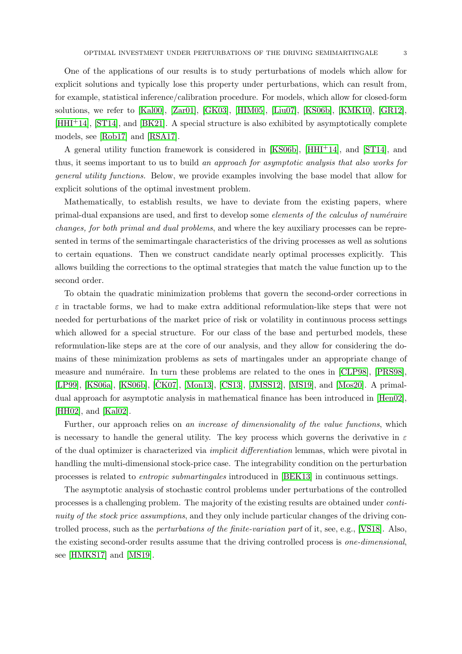One of the applications of our results is to study perturbations of models which allow for explicit solutions and typically lose this property under perturbations, which can result from, for example, statistical inference/calibration procedure. For models, which allow for closed-form solutions, we refer to [\[Kal00\]](#page-49-0), [\[Zar01\]](#page-50-0), [\[GK03\]](#page-49-1), [\[HIM05\]](#page-49-2), [\[Liu07\]](#page-49-3), [\[KS06b\]](#page-49-4), [\[KMK10\]](#page-49-5), [\[GR12\]](#page-49-6), [\[HHI](#page-49-7)+14], [\[ST14\]](#page-50-1), and [\[BK21\]](#page-48-1). A special structure is also exhibited by asymptotically complete models, see [\[Rob17\]](#page-50-2) and [\[RSA17\]](#page-50-3).

A general utility function framework is considered in [\[KS06b\]](#page-49-4), [\[HHI](#page-49-7)+14], and [\[ST14\]](#page-50-1), and thus, it seems important to us to build an approach for asymptotic analysis that also works for general utility functions. Below, we provide examples involving the base model that allow for explicit solutions of the optimal investment problem.

Mathematically, to establish results, we have to deviate from the existing papers, where primal-dual expansions are used, and first to develop some *elements of the calculus of numéraire* changes, for both primal and dual problems, and where the key auxiliary processes can be represented in terms of the semimartingale characteristics of the driving processes as well as solutions to certain equations. Then we construct candidate nearly optimal processes explicitly. This allows building the corrections to the optimal strategies that match the value function up to the second order.

To obtain the quadratic minimization problems that govern the second-order corrections in  $\varepsilon$  in tractable forms, we had to make extra additional reformulation-like steps that were not needed for perturbations of the market price of risk or volatility in continuous process settings which allowed for a special structure. For our class of the base and perturbed models, these reformulation-like steps are at the core of our analysis, and they allow for considering the domains of these minimization problems as sets of martingales under an appropriate change of measure and numéraire. In turn these problems are related to the ones in [\[CLP98\]](#page-49-8), [\[PRS98\]](#page-50-4), [\[LP99\]](#page-49-9), [\[KS06a\]](#page-49-10), [\[KS06b\]](#page-49-4), [\[CK07\]](#page-48-2), [\[Mon13\]](#page-49-11), [\[CS13\]](#page-49-12), [\[JMSS12\]](#page-49-13), [\[MS19\]](#page-50-5), and [\[Mos20\]](#page-50-6). A primaldual approach for asymptotic analysis in mathematical finance has been introduced in [\[Hen02\]](#page-49-14), [\[HH02\]](#page-49-15), and [\[Kal02\]](#page-49-16).

Further, our approach relies on an increase of dimensionality of the value functions, which is necessary to handle the general utility. The key process which governs the derivative in  $\varepsilon$ of the dual optimizer is characterized via implicit differentiation lemmas, which were pivotal in handling the multi-dimensional stock-price case. The integrability condition on the perturbation processes is related to entropic submartingales introduced in [\[BEK13\]](#page-48-3) in continuous settings.

The asymptotic analysis of stochastic control problems under perturbations of the controlled processes is a challenging problem. The majority of the existing results are obtained under continuity of the stock price assumptions, and they only include particular changes of the driving controlled process, such as the perturbations of the finite-variation part of it, see, e.g., [\[VS18\]](#page-50-7). Also, the existing second-order results assume that the driving controlled process is one-dimensional, see [\[HMKS17\]](#page-49-17) and [\[MS19\]](#page-50-5).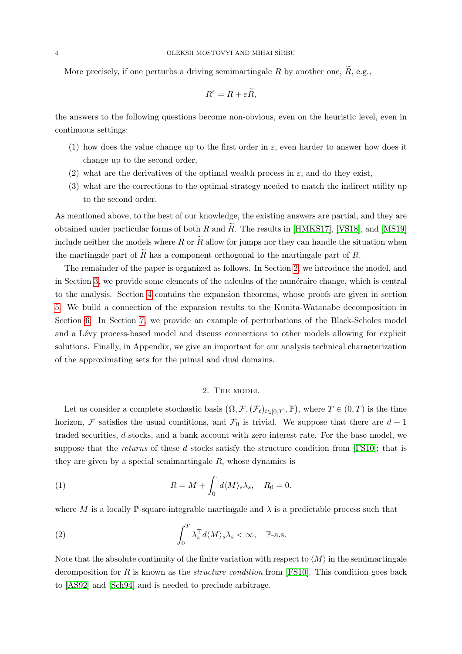More precisely, if one perturbs a driving semimartingale R by another one,  $\widetilde{R}$ , e.g.,

$$
R^{\varepsilon} = R + \varepsilon \widetilde{R},
$$

the answers to the following questions become non-obvious, even on the heuristic level, even in continuous settings:

- (1) how does the value change up to the first order in  $\varepsilon$ , even harder to answer how does it change up to the second order,
- (2) what are the derivatives of the optimal wealth process in  $\varepsilon$ , and do they exist,
- (3) what are the corrections to the optimal strategy needed to match the indirect utility up to the second order.

As mentioned above, to the best of our knowledge, the existing answers are partial, and they are obtained under particular forms of both R and  $R$ . The results in [\[HMKS17\]](#page-49-17), [\[VS18\]](#page-50-7), and [\[MS19\]](#page-50-5) include neither the models where R or  $\tilde{R}$  allow for jumps nor they can handle the situation when the martingale part of  $\tilde{R}$  has a component orthogonal to the martingale part of  $R$ .

The remainder of the paper is organized as follows. In Section [2,](#page-3-0) we introduce the model, and in Section [3,](#page-7-0) we provide some elements of the calculus of the numéraire change, which is central to the analysis. Section [4](#page-9-0) contains the expansion theorems, whose proofs are given in section [5.](#page-14-0) We build a connection of the expansion results to the Kunita-Watanabe decomposition in Section [6.](#page-40-0) In Section [7,](#page-41-0) we provide an example of perturbations of the Black-Scholes model and a Lévy process-based model and discuss connections to other models allowing for explicit solutions. Finally, in Appendix, we give an important for our analysis technical characterization of the approximating sets for the primal and dual domains.

# <span id="page-3-2"></span>2. The model

<span id="page-3-0"></span>Let us consider a complete stochastic basis  $(\Omega, \mathcal{F}, (\mathcal{F}_t)_{t\in[0,T]}, \mathbb{P})$ , where  $T \in (0,T)$  is the time horizon, F satisfies the usual conditions, and  $\mathcal{F}_0$  is trivial. We suppose that there are  $d+1$ traded securities, d stocks, and a bank account with zero interest rate. For the base model, we suppose that the returns of these d stocks satisfy the structure condition from  $[FS10]$ ; that is they are given by a special semimartingale  $R$ , whose dynamics is

(1) 
$$
R = M + \int_0^{\cdot} d\langle M \rangle_s \lambda_s, \quad R_0 = 0.
$$

where M is a locally P-square-integrable martingale and  $\lambda$  is a predictable process such that

<span id="page-3-1"></span>(2) 
$$
\int_0^T \lambda_s^{\top} d\langle M \rangle_s \lambda_s < \infty, \quad \mathbb{P}\text{-a.s.}
$$

Note that the absolute continuity of the finite variation with respect to  $\langle M \rangle$  in the semimartingale decomposition for R is known as the *structure condition* from [\[FS10\]](#page-49-18). This condition goes back to [\[AS92\]](#page-48-4) and [\[Sch94\]](#page-50-8) and is needed to preclude arbitrage.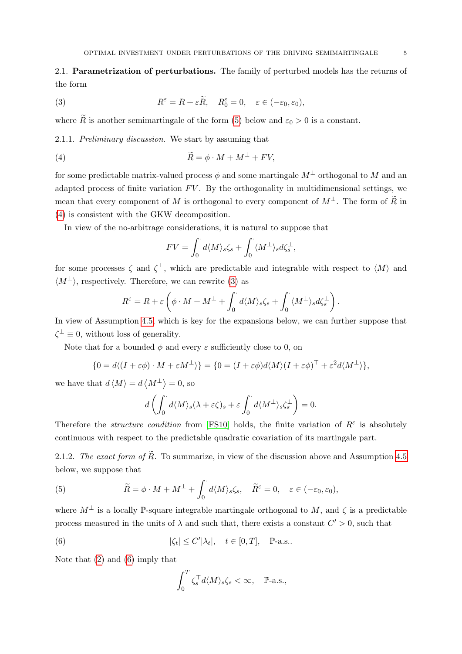<span id="page-4-0"></span>2.1. Parametrization of perturbations. The family of perturbed models has the returns of the form

<span id="page-4-3"></span>(3) 
$$
R^{\varepsilon} = R + \varepsilon \widetilde{R}, \quad R_0^{\varepsilon} = 0, \quad \varepsilon \in (-\varepsilon_0, \varepsilon_0),
$$

where  $\widetilde{R}$  is another semimartingale of the form [\(5\)](#page-4-1) below and  $\varepsilon_0 > 0$  is a constant.

2.1.1. Preliminary discussion. We start by assuming that

(4) 
$$
\widetilde{R} = \phi \cdot M + M^{\perp} + FV,
$$

for some predictable matrix-valued process  $\phi$  and some martingale  $M^{\perp}$  orthogonal to M and an adapted process of finite variation  $FV$ . By the orthogonality in multidimensional settings, we mean that every component of M is orthogonal to every component of  $M^{\perp}$ . The form of  $\widetilde{R}$  in [\(4\)](#page-4-2) is consistent with the GKW decomposition.

In view of the no-arbitrage considerations, it is natural to suppose that

<span id="page-4-2"></span>
$$
FV = \int_0^{\cdot} d\langle M \rangle_s \zeta_s + \int_0^{\cdot} \langle M^{\perp} \rangle_s d\zeta_s^{\perp},
$$

for some processes  $\zeta$  and  $\zeta^{\perp}$ , which are predictable and integrable with respect to  $\langle M \rangle$  and  $\langle M^{\perp} \rangle$ , respectively. Therefore, we can rewrite [\(3\)](#page-4-3) as

$$
R^{\varepsilon} = R + \varepsilon \left( \phi \cdot M + M^{\perp} + \int_0^{\cdot} d\langle M \rangle_s \zeta_s + \int_0^{\cdot} \langle M^{\perp} \rangle_s d\zeta_s^{\perp} \right).
$$

In view of Assumption [4.5,](#page-10-0) which is key for the expansions below, we can further suppose that  $\zeta^{\perp} \equiv 0$ , without loss of generality.

Note that for a bounded  $\phi$  and every  $\varepsilon$  sufficiently close to 0, on

$$
\{0 = d\langle (I + \varepsilon \phi) \cdot M + \varepsilon M^{\perp} \rangle\} = \{0 = (I + \varepsilon \phi)d\langle M \rangle (I + \varepsilon \phi)^{\top} + \varepsilon^{2} d\langle M^{\perp} \rangle\},
$$

we have that  $d \langle M \rangle = d \langle M^{\perp} \rangle = 0$ , so

$$
d\left(\int_0^{\cdot} d\langle M\rangle_s(\lambda + \varepsilon\zeta)_s + \varepsilon \int_0^{\cdot} d\langle M^{\perp}\rangle_s \zeta_s^{\perp} \right) = 0.
$$

Therefore the *structure condition* from [\[FS10\]](#page-49-18) holds, the finite variation of  $R^{\varepsilon}$  is absolutely continuous with respect to the predictable quadratic covariation of its martingale part.

2.1.2. The exact form of  $\widetilde{R}$ . To summarize, in view of the discussion above and Assumption [4.5](#page-10-0) below, we suppose that

<span id="page-4-1"></span>(5) 
$$
\widetilde{R} = \phi \cdot M + M^{\perp} + \int_0^{\cdot} d\langle M \rangle_s \zeta_s, \quad \widetilde{R}^{\varepsilon} = 0, \quad \varepsilon \in (-\varepsilon_0, \varepsilon_0),
$$

where  $M^{\perp}$  is a locally P-square integrable martingale orthogonal to M, and  $\zeta$  is a predictable process measured in the units of  $\lambda$  and such that, there exists a constant  $C' > 0$ , such that

(6) 
$$
|\zeta_t| \le C' |\lambda_t|, \quad t \in [0, T], \quad \mathbb{P}\text{-a.s.}.
$$

Note that [\(2\)](#page-3-1) and [\(6\)](#page-4-4) imply that

<span id="page-4-4"></span>
$$
\int_0^T \zeta_s^\top d\langle M \rangle_s \zeta_s < \infty, \quad \mathbb{P}\text{-a.s.},
$$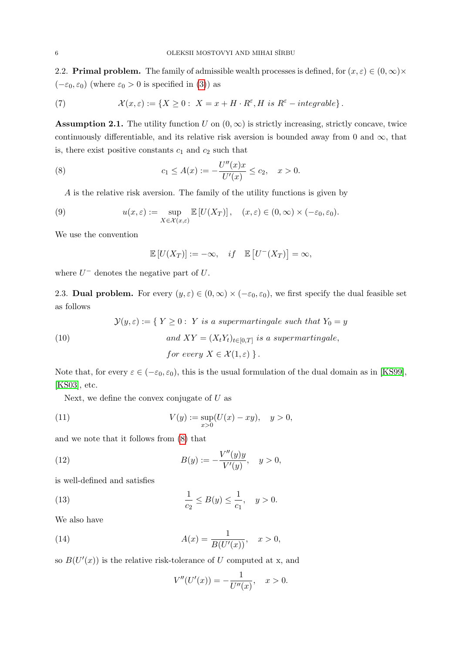<span id="page-5-0"></span>2.2. **Primal problem.** The family of admissible wealth processes is defined, for  $(x, \varepsilon) \in (0, \infty) \times$  $(-\varepsilon_0, \varepsilon_0)$  (where  $\varepsilon_0 > 0$  is specified in [\(3\)](#page-4-3)) as

(7) 
$$
\mathcal{X}(x,\varepsilon) := \{ X \geq 0 : X = x + H \cdot R^{\varepsilon}, H \text{ is } R^{\varepsilon} - integrable \}.
$$

<span id="page-5-3"></span>**Assumption 2.1.** The utility function U on  $(0, \infty)$  is strictly increasing, strictly concave, twice continuously differentiable, and its relative risk aversion is bounded away from 0 and  $\infty$ , that is, there exist positive constants  $c_1$  and  $c_2$  such that

(8) 
$$
c_1 \leq A(x) := -\frac{U''(x)x}{U'(x)} \leq c_2, \quad x > 0.
$$

A is the relative risk aversion. The family of the utility functions is given by

(9) 
$$
u(x,\varepsilon) := \sup_{X \in \mathcal{X}(x,\varepsilon)} \mathbb{E}\left[U(X_T)\right], \quad (x,\varepsilon) \in (0,\infty) \times (-\varepsilon_0,\varepsilon_0).
$$

We use the convention

<span id="page-5-4"></span><span id="page-5-2"></span>
$$
\mathbb{E}[U(X_T)] := -\infty, \quad if \quad \mathbb{E}[U^-(X_T)] = \infty,
$$

where  $U^-$  denotes the negative part of  $U$ .

<span id="page-5-1"></span>2.3. **Dual problem.** For every  $(y, \varepsilon) \in (0, \infty) \times (-\varepsilon_0, \varepsilon_0)$ , we first specify the dual feasible set as follows

 $\mathcal{Y}(y,\varepsilon) := \{ Y \geq 0 : Y \text{ is a supermartingale such that } Y_0 = y \}$ 

(10) and 
$$
XY = (X_t Y_t)_{t \in [0,T]}
$$
 is a supermartingale,  
for every  $X \in \mathcal{X}(1,\varepsilon)$  }.

Note that, for every  $\varepsilon \in (-\varepsilon_0, \varepsilon_0)$ , this is the usual formulation of the dual domain as in [\[KS99\]](#page-49-19), [\[KS03\]](#page-49-20), etc.

Next, we define the convex conjugate of  $U$  as

(11) 
$$
V(y) := \sup_{x>0} (U(x) - xy), \quad y > 0,
$$

and we note that it follows from [\(8\)](#page-5-2) that

(12) 
$$
B(y) := -\frac{V''(y)y}{V'(y)}, \quad y > 0,
$$

is well-defined and satisfies

(13) 
$$
\frac{1}{c_2} \le B(y) \le \frac{1}{c_1}, \quad y > 0.
$$

We also have

(14) 
$$
A(x) = \frac{1}{B(U'(x))}, \quad x > 0,
$$

so  $B(U'(x))$  is the relative risk-tolerance of U computed at x, and

<span id="page-5-5"></span>
$$
V''(U'(x)) = -\frac{1}{U''(x)}, \quad x > 0.
$$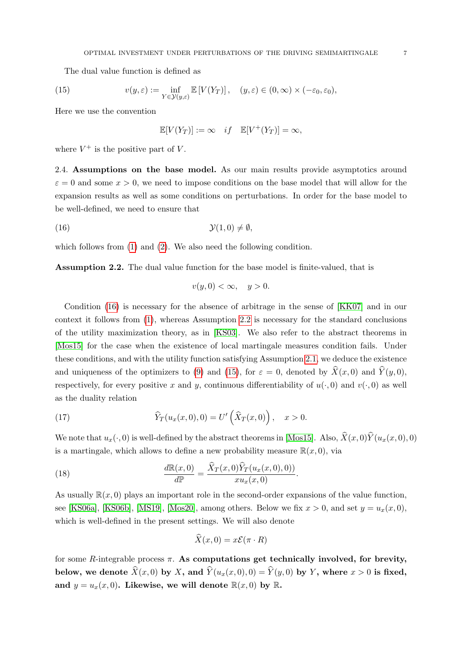The dual value function is defined as

(15) 
$$
v(y,\varepsilon) := \inf_{Y \in \mathcal{Y}(y,\varepsilon)} \mathbb{E}\left[V(Y_T)\right], \quad (y,\varepsilon) \in (0,\infty) \times (-\varepsilon_0,\varepsilon_0),
$$

Here we use the convention

$$
\mathbb{E}[V(Y_T)] := \infty \quad if \quad \mathbb{E}[V^+(Y_T)] = \infty,
$$

where  $V^+$  is the positive part of V.

<span id="page-6-0"></span>2.4. Assumptions on the base model. As our main results provide asymptotics around  $\varepsilon = 0$  and some  $x > 0$ , we need to impose conditions on the base model that will allow for the expansion results as well as some conditions on perturbations. In order for the base model to be well-defined, we need to ensure that

(16) Y(1, 0) 6= ∅,

which follows from  $(1)$  and  $(2)$ . We also need the following condition.

<span id="page-6-2"></span>Assumption 2.2. The dual value function for the base model is finite-valued, that is

<span id="page-6-1"></span>
$$
v(y,0) < \infty, \quad y > 0.
$$

Condition [\(16\)](#page-6-1) is necessary for the absence of arbitrage in the sense of [\[KK07\]](#page-49-21) and in our context it follows from [\(1\)](#page-3-2), whereas Assumption [2.2](#page-6-2) is necessary for the standard conclusions of the utility maximization theory, as in [\[KS03\]](#page-49-20). We also refer to the abstract theorems in [\[Mos15\]](#page-50-9) for the case when the existence of local martingale measures condition fails. Under these conditions, and with the utility function satisfying Assumption [2.1,](#page-5-3) we deduce the existence and uniqueness of the optimizers to [\(9\)](#page-5-4) and [\(15\)](#page-5-5), for  $\varepsilon = 0$ , denoted by  $\hat{X}(x, 0)$  and  $\hat{Y}(y, 0)$ , respectively, for every positive x and y, continuous differentiability of  $u(\cdot, 0)$  and  $v(\cdot, 0)$  as well as the duality relation

(17) 
$$
\widehat{Y}_T(u_x(x,0),0) = U'\left(\widehat{X}_T(x,0)\right), \quad x > 0.
$$

We note that  $u_x(\cdot, 0)$  is well-defined by the abstract theorems in [\[Mos15\]](#page-50-9). Also,  $\hat{X}(x, 0)\hat{Y}(u_x(x, 0), 0)$ is a martingale, which allows to define a new probability measure  $\mathbb{R}(x,0)$ , via

(18) 
$$
\frac{d\mathbb{R}(x,0)}{d\mathbb{P}} = \frac{\widehat{X}_T(x,0)\widehat{Y}_T(u_x(x,0),0))}{xu_x(x,0)}.
$$

As usually  $\mathbb{R}(x, 0)$  plays an important role in the second-order expansions of the value function, see [\[KS06a\]](#page-49-10), [\[KS06b\]](#page-49-4), [\[MS19\]](#page-50-5), [\[Mos20\]](#page-50-6), among others. Below we fix  $x > 0$ , and set  $y = u_x(x, 0)$ , which is well-defined in the present settings. We will also denote

$$
\widehat{X}(x,0) = x\mathcal{E}(\pi \cdot R)
$$

for some R-integrable process  $\pi$ . As computations get technically involved, for brevity, below, we denote  $\widehat{X}(x, 0)$  by X, and  $\widehat{Y}(u_x(x, 0), 0) = \widehat{Y}(y, 0)$  by Y, where  $x > 0$  is fixed, and  $y = u_x(x, 0)$ . Likewise, we will denote  $\mathbb{R}(x, 0)$  by  $\mathbb{R}$ .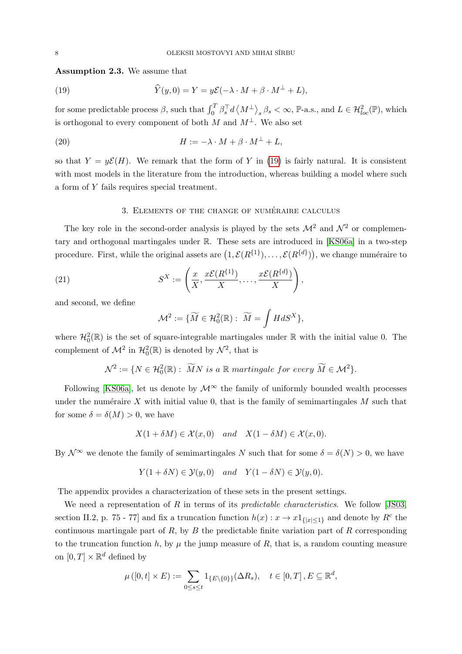<span id="page-7-3"></span>Assumption 2.3. We assume that

<span id="page-7-1"></span>(19) 
$$
\widehat{Y}(y,0) = Y = y\mathcal{E}(-\lambda \cdot M + \beta \cdot M^{\perp} + L),
$$

for some predictable process  $\beta$ , such that  $\int_0^T \beta_s^\top d\langle M^\perp \rangle_s \beta_s < \infty$ , P-a.s., and  $L \in \mathcal{H}_{loc}^2(\mathbb{P})$ , which is orthogonal to every component of both M and  $M^{\perp}$ . We also set

(20) 
$$
H := -\lambda \cdot M + \beta \cdot M^{\perp} + L,
$$

so that  $Y = y\mathcal{E}(H)$ . We remark that the form of Y in [\(19\)](#page-7-1) is fairly natural. It is consistent with most models in the literature from the introduction, whereas building a model where such a form of Y fails requires special treatment.

## <span id="page-7-2"></span>3. ELEMENTS OF THE CHANGE OF NUMÉRAIRE CALCULUS

<span id="page-7-0"></span>The key role in the second-order analysis is played by the sets  $\mathcal{M}^2$  and  $\mathcal{N}^2$  or complementary and orthogonal martingales under R. These sets are introduced in [\[KS06a\]](#page-49-10) in a two-step procedure. First, while the original assets are  $(1, \mathcal{E}(R^{\{1\}}), \ldots, \mathcal{E}(R^{\{d\}}))$ , we change numéraire to

(21) 
$$
S^X := \left(\frac{x}{X}, \frac{x\mathcal{E}(R^{\{1\}})}{X}, \dots, \frac{x\mathcal{E}(R^{\{d\}})}{X}\right),
$$

and second, we define

<span id="page-7-4"></span>
$$
\mathcal{M}^2 := \{ \widetilde{M} \in \mathcal{H}_0^2(\mathbb{R}) : \ \widetilde{M} = \int H dS^X \},
$$

where  $\mathcal{H}^2_0(\mathbb{R})$  is the set of square-integrable martingales under  $\mathbb R$  with the initial value 0. The complement of  $\mathcal{M}^2$  in  $\mathcal{H}_0^2(\mathbb{R})$  is denoted by  $\mathcal{N}^2$ , that is

 $\mathcal{N}^2 := \{ N \in \mathcal{H}_0^2(\mathbb{R}) : \widetilde{M}N \text{ is a } \mathbb{R} \text{ martingale for every } \widetilde{M} \in \mathcal{M}^2 \}.$ 

Following [\[KS06a\]](#page-49-10), let us denote by  $\mathcal{M}^{\infty}$  the family of uniformly bounded wealth processes under the numéraire X with initial value 0, that is the family of semimartingales  $M$  such that for some  $\delta = \delta(M) > 0$ , we have

$$
X(1 + \delta M) \in \mathcal{X}(x, 0) \quad and \quad X(1 - \delta M) \in \mathcal{X}(x, 0).
$$

By  $\mathcal{N}^{\infty}$  we denote the family of semimartingales N such that for some  $\delta = \delta(N) > 0$ , we have

$$
Y(1 + \delta N) \in \mathcal{Y}(y, 0)
$$
 and  $Y(1 - \delta N) \in \mathcal{Y}(y, 0)$ .

The appendix provides a characterization of these sets in the present settings.

We need a representation of R in terms of its *predictable characteristics*. We follow [\[JS03,](#page-49-22) section II.2, p. 75 - 77] and fix a truncation function  $h(x): x \to x1_{\{|x| \leq 1\}}$  and denote by  $R^c$  the continuous martingale part of  $R$ , by  $B$  the predictable finite variation part of  $R$  corresponding to the truncation function h, by  $\mu$  the jump measure of R, that is, a random counting measure on  $[0, T] \times \mathbb{R}^d$  defined by

<span id="page-7-5"></span>
$$
\mu([0,t] \times E) := \sum_{0 \le s \le t} 1_{\{E \setminus \{0\}\}}(\Delta R_s), \quad t \in [0,T], E \subseteq \mathbb{R}^d,
$$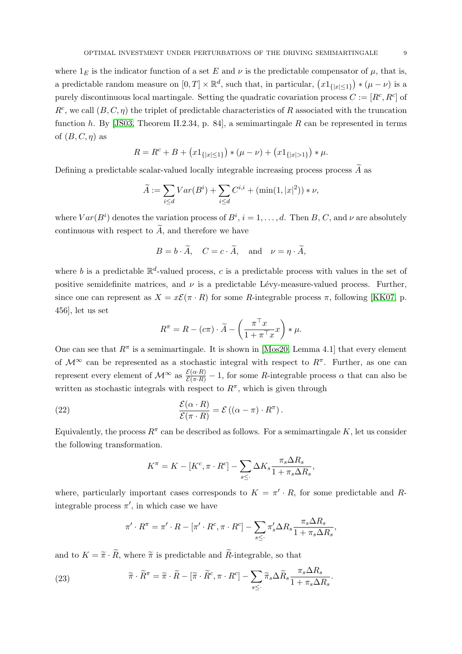where  $1_F$  is the indicator function of a set E and  $\nu$  is the predictable compensator of  $\mu$ , that is, a predictable random measure on  $[0,T] \times \mathbb{R}^d$ , such that, in particular,  $(x1_{\{|x| \leq 1\}}) * (\mu - \nu)$  is a purely discontinuous local martingale. Setting the quadratic covariation process  $C := [R^c, R^c]$  of  $R^c$ , we call  $(B, C, \eta)$  the triplet of predictable characteristics of R associated with the truncation function h. By [\[JS03,](#page-49-22) Theorem II.2.34, p. 84], a semimartingale R can be represented in terms of  $(B, C, \eta)$  as

$$
R = R^{c} + B + (x1_{\{|x| \le 1\}}) * (\mu - \nu) + (x1_{\{|x| > 1\}}) * \mu.
$$

Defining a predictable scalar-valued locally integrable increasing process process  $\widetilde{A}$  as

$$
\widetilde{A} := \sum_{i \le d} Var(B^i) + \sum_{i \le d} C^{i,i} + (\min(1, |x|^2)) * \nu,
$$

where  $Var(B^i)$  denotes the variation process of  $B^i$ ,  $i = 1, \ldots, d$ . Then B, C, and  $\nu$  are absolutely continuous with respect to  $\widetilde{A}$ , and therefore we have

$$
B = b \cdot \widetilde{A}, \quad C = c \cdot \widetilde{A}, \quad \text{and} \quad \nu = \eta \cdot \widetilde{A},
$$

where b is a predictable  $\mathbb{R}^d$ -valued process, c is a predictable process with values in the set of positive semidefinite matrices, and  $\nu$  is a predictable Lévy-measure-valued process. Further, since one can represent as  $X = x\mathcal{E}(\pi \cdot R)$  for some R-integrable process  $\pi$ , following [\[KK07,](#page-49-21) p. 456], let us set

$$
R^{\pi} = R - (c\pi) \cdot \widetilde{A} - \left(\frac{\pi^{\top} x}{1 + \pi^{\top} x} x\right) * \mu.
$$

One can see that  $R^{\pi}$  is a semimartingale. It is shown in [\[Mos20,](#page-50-6) Lemma 4.1] that every element of  $\mathcal{M}^{\infty}$  can be represented as a stochastic integral with respect to  $R^{\pi}$ . Further, as one can represent every element of  $\mathcal{M}^{\infty}$  as  $\frac{\mathcal{E}(\alpha \cdot R)}{\mathcal{E}(\pi \cdot R)} - 1$ , for some R-integrable process  $\alpha$  that can also be written as stochastic integrals with respect to  $R^{\pi}$ , which is given through

(22) 
$$
\frac{\mathcal{E}(\alpha \cdot R)}{\mathcal{E}(\pi \cdot R)} = \mathcal{E}((\alpha - \pi) \cdot R^{\pi}).
$$

Equivalently, the process  $R^{\pi}$  can be described as follows. For a semimartingale K, let us consider the following transformation.

$$
K^{\pi} = K - [K^c, \pi \cdot R^c] - \sum_{s \leq \cdot} \Delta K_s \frac{\pi_s \Delta R_s}{1 + \pi_s \Delta R_s},
$$

<span id="page-8-0"></span>where, particularly important cases corresponds to  $K = \pi' \cdot R$ , for some predictable and Rintegrable process  $\pi'$ , in which case we have

$$
\pi' \cdot R^{\pi} = \pi' \cdot R - [\pi' \cdot R^c, \pi \cdot R^c] - \sum_{s \leq \cdot} \pi'_s \Delta R_s \frac{\pi_s \Delta R_s}{1 + \pi_s \Delta R_s},
$$

and to  $K = \tilde{\pi} \cdot \tilde{R}$ , where  $\tilde{\pi}$  is predictable and  $\tilde{R}$ -integrable, so that

(23) 
$$
\widetilde{\pi} \cdot \widetilde{R}^{\pi} = \widetilde{\pi} \cdot \widetilde{R} - [\widetilde{\pi} \cdot \widetilde{R}^c, \pi \cdot R^c] - \sum_{s \leq \cdot} \widetilde{\pi}_s \Delta \widetilde{R}_s \frac{\pi_s \Delta R_s}{1 + \pi_s \Delta R_s}.
$$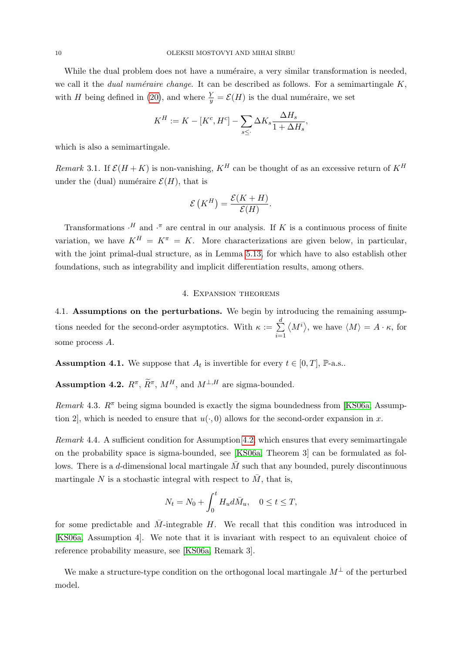While the dual problem does not have a numéraire, a very similar transformation is needed, we call it the *dual numéraire change*. It can be described as follows. For a semimartingale  $K$ , with H being defined in [\(20\)](#page-7-2), and where  $\frac{Y}{y} = \mathcal{E}(H)$  is the dual numéraire, we set

$$
K^H := K - [K^c, H^c] - \sum_{s \le \cdot} \Delta K_s \frac{\Delta H_s}{1 + \Delta H_s},
$$

which is also a semimartingale.

<span id="page-9-4"></span>Remark 3.1. If  $\mathcal{E}(H+K)$  is non-vanishing,  $K^H$  can be thought of as an excessive return of  $K^H$ under the (dual) numéraire  $\mathcal{E}(H)$ , that is

$$
\mathcal{E}(K^H) = \frac{\mathcal{E}(K+H)}{\mathcal{E}(H)}.
$$

Transformations  $\cdot^H$  and  $\cdot^{\pi}$  are central in our analysis. If K is a continuous process of finite variation, we have  $K^H = K^{\pi} = K$ . More characterizations are given below, in particular, with the joint primal-dual structure, as in Lemma [5.13,](#page-22-1) for which have to also establish other foundations, such as integrability and implicit differentiation results, among others.

## 4. Expansion theorems

<span id="page-9-1"></span><span id="page-9-0"></span>4.1. Assumptions on the perturbations. We begin by introducing the remaining assumptions needed for the second-order asymptotics. With  $\kappa := \sum_{n=1}^{d}$  $i=1$  $\langle M^i \rangle$ , we have  $\langle M \rangle = A \cdot \kappa$ , for some process A.

<span id="page-9-3"></span>**Assumption 4.1.** We suppose that  $A_t$  is invertible for every  $t \in [0, T]$ ,  $\mathbb{P}\text{-a.s.}$ .

<span id="page-9-2"></span>**Assumption 4.2.**  $R^{\pi}$ ,  $\widetilde{R}^{\pi}$ ,  $M^H$ , and  $M^{\perp,H}$  are sigma-bounded.

Remark 4.3.  $R^{\pi}$  being sigma bounded is exactly the sigma boundedness from [\[KS06a,](#page-49-10) Assumption 2, which is needed to ensure that  $u(\cdot, 0)$  allows for the second-order expansion in x.

Remark 4.4. A sufficient condition for Assumption [4.2,](#page-9-2) which ensures that every semimartingale on the probability space is sigma-bounded, see [\[KS06a,](#page-49-10) Theorem 3] can be formulated as follows. There is a d-dimensional local martingale  $\overline{M}$  such that any bounded, purely discontinuous martingale N is a stochastic integral with respect to  $\overline{M}$ , that is,

$$
N_t = N_0 + \int_0^t H_u d\bar{M}_u, \quad 0 \le t \le T,
$$

for some predictable and  $\overline{M}$ -integrable H. We recall that this condition was introduced in [\[KS06a,](#page-49-10) Assumption 4]. We note that it is invariant with respect to an equivalent choice of reference probability measure, see [\[KS06a,](#page-49-10) Remark 3].

We make a structure-type condition on the orthogonal local martingale  $M^{\perp}$  of the perturbed model.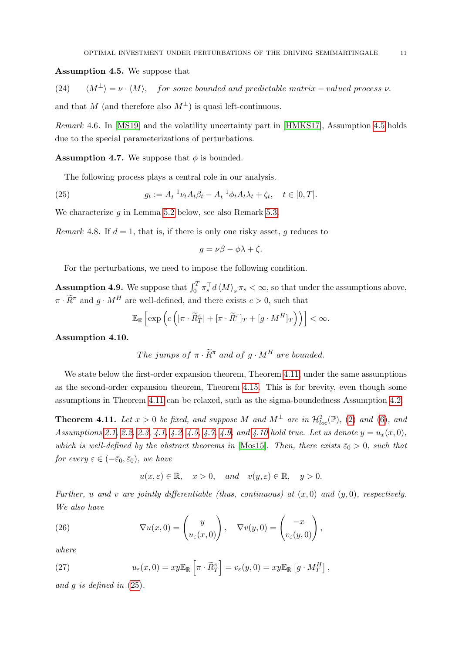#### <span id="page-10-0"></span>Assumption 4.5. We suppose that

(24)  $\langle M^{\perp} \rangle = \nu \cdot \langle M \rangle$ , for some bounded and predictable matrix – valued process  $\nu$ . and that M (and therefore also  $M^{\perp}$ ) is quasi left-continuous.

Remark 4.6. In [\[MS19\]](#page-50-5) and the volatility uncertainty part in [\[HMKS17\]](#page-49-17), Assumption [4.5](#page-10-0) holds due to the special parameterizations of perturbations.

<span id="page-10-2"></span>**Assumption 4.7.** We suppose that  $\phi$  is bounded.

<span id="page-10-5"></span>The following process plays a central role in our analysis.

(25) 
$$
g_t := A_t^{-1} \nu_t A_t \beta_t - A_t^{-1} \phi_t A_t \lambda_t + \zeta_t, \quad t \in [0, T].
$$

We characterize  $g$  in Lemma [5.2](#page-16-0) below, see also Remark [5.3.](#page-16-1)

*Remark* 4.8. If  $d = 1$ , that is, if there is only one risky asset, q reduces to

$$
g = \nu\beta - \phi\lambda + \zeta.
$$

For the perturbations, we need to impose the following condition.

<span id="page-10-3"></span>**Assumption 4.9.** We suppose that  $\int_0^T \pi_s^\top d \langle M \rangle_s \pi_s < \infty$ , so that under the assumptions above,  $\pi \cdot \widetilde{R}^{\pi}$  and  $g \cdot M^H$  are well-defined, and there exists  $c > 0$ , such that

<span id="page-10-7"></span>
$$
\mathbb{E}_{\mathbb{R}}\left[\exp\left(c\left(|\pi\cdot \widetilde{R}^{\pi}_T|+[\pi\cdot \widetilde{R}^{\pi}]_T+[g\cdot M^H]_T\right)\right)\right]<\infty.
$$

<span id="page-10-4"></span>Assumption 4.10.

The jumps of 
$$
\pi \cdot \widetilde{R}^{\pi}
$$
 and of  $g \cdot M^H$  are bounded.

We state below the first-order expansion theorem, Theorem [4.11,](#page-10-1) under the same assumptions as the second-order expansion theorem, Theorem [4.15.](#page-12-3) This is for brevity, even though some assumptions in Theorem [4.11](#page-10-1) can be relaxed, such as the sigma-boundedness Assumption [4.2.](#page-9-2)

<span id="page-10-1"></span>**Theorem 4.11.** Let  $x > 0$  be fixed, and suppose M and  $M^{\perp}$  are in  $\mathcal{H}^2_{loc}(\mathbb{P})$ , [\(2\)](#page-3-1) and [\(6\)](#page-4-4), and Assumptions [2.1,](#page-5-3) [2.2,](#page-6-2) [2.3,](#page-7-3) [4.1,](#page-9-3) [4.2,](#page-9-2) [4.5,](#page-10-0) [4.7,](#page-10-2) [4.9,](#page-10-3) and [4.10](#page-10-4) hold true. Let us denote  $y = u_x(x, 0)$ , which is well-defined by the abstract theorems in [\[Mos15\]](#page-50-9). Then, there exists  $\bar{\varepsilon}_0 > 0$ , such that for every  $\varepsilon \in (-\bar{\varepsilon}_0, \bar{\varepsilon}_0)$ , we have

$$
u(x, \varepsilon) \in \mathbb{R}, \quad x > 0, \quad and \quad v(y, \varepsilon) \in \mathbb{R}, \quad y > 0.
$$

Further, u and v are jointly differentiable (thus, continuous) at  $(x, 0)$  and  $(y, 0)$ , respectively. We also have

(26) 
$$
\nabla u(x,0) = \begin{pmatrix} y \\ u_{\varepsilon}(x,0) \end{pmatrix}, \quad \nabla v(y,0) = \begin{pmatrix} -x \\ v_{\varepsilon}(y,0) \end{pmatrix},
$$

where

<span id="page-10-6"></span>(27) 
$$
u_{\varepsilon}(x,0) = xy \mathbb{E}_{\mathbb{R}} \left[ \pi \cdot \widetilde{R}^{\pi}_T \right] = v_{\varepsilon}(y,0) = xy \mathbb{E}_{\mathbb{R}} \left[ g \cdot M^H_T \right],
$$

and g is defined in [\(25\)](#page-10-5).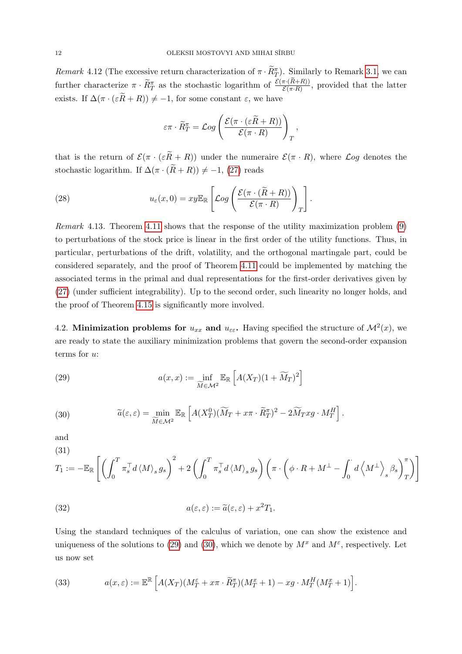Remark 4.12 (The excessive return characterization of  $\pi \cdot \widetilde{R}^{\pi}_{T}$ ). Similarly to Remark [3.1,](#page-9-4) we can further characterize  $\pi \cdot \widetilde{R}_T^{\pi}$  as the stochastic logarithm of  $\frac{\mathcal{E}(\pi \cdot (R+R))}{\mathcal{E}(\pi \cdot R)}$ , provided that the latter exists. If  $\Delta(\pi \cdot (\varepsilon \widetilde{R} + R)) \neq -1$ , for some constant  $\varepsilon$ , we have

$$
\varepsilon \pi \cdot \widetilde{R}^\pi_T = \mathcal{L}og\left(\frac{\mathcal{E}(\pi \cdot (\varepsilon \widetilde{R} + R))}{\mathcal{E}(\pi \cdot R)}\right)_T,
$$

that is the return of  $\mathcal{E}(\pi \cdot (\varepsilon \tilde{R} + R))$  under the numeraire  $\mathcal{E}(\pi \cdot R)$ , where  $\mathcal{L}og$  denotes the stochastic logarithm. If  $\Delta(\pi \cdot (\widetilde{R} + R)) \neq -1$ , [\(27\)](#page-10-6) reads

(28) 
$$
u_{\varepsilon}(x,0) = xy \mathbb{E}_{\mathbb{R}} \left[ \mathcal{L}og \left( \frac{\mathcal{E}(\pi \cdot (\widetilde{R} + R))}{\mathcal{E}(\pi \cdot R)} \right)_T \right].
$$

Remark 4.13. Theorem [4.11](#page-10-1) shows that the response of the utility maximization problem [\(9\)](#page-5-4) to perturbations of the stock price is linear in the first order of the utility functions. Thus, in particular, perturbations of the drift, volatility, and the orthogonal martingale part, could be considered separately, and the proof of Theorem [4.11](#page-10-1) could be implemented by matching the associated terms in the primal and dual representations for the first-order derivatives given by [\(27\)](#page-10-6) (under sufficient integrability). Up to the second order, such linearity no longer holds, and the proof of Theorem [4.15](#page-12-3) is significantly more involved.

<span id="page-11-0"></span>4.2. Minimization problems for  $u_{xx}$  and  $u_{\varepsilon\varepsilon}$ . Having specified the structure of  $\mathcal{M}^2(x)$ , we are ready to state the auxiliary minimization problems that govern the second-order expansion terms for u:

<span id="page-11-1"></span>(29) 
$$
a(x,x) := \inf_{\widetilde{M} \in \mathcal{M}^2} \mathbb{E}_{\mathbb{R}} \left[ A(X_T)(1 + \widetilde{M}_T)^2 \right]
$$

<span id="page-11-2"></span>(30) 
$$
\widetilde{a}(\varepsilon,\varepsilon) = \min_{\widetilde{M}\in\mathcal{M}^2} \mathbb{E}_{\mathbb{R}} \left[ A(X_T^0)(\widetilde{M}_T + x\pi \cdot \widetilde{R}_T^{\pi})^2 - 2\widetilde{M}_T x g \cdot M_T^H \right].
$$

and

<span id="page-11-5"></span>(31)  
\n
$$
T_1 := -\mathbb{E}_{\mathbb{R}}\left[ \left( \int_0^T \pi_s^\top d \langle M \rangle_s g_s \right)^2 + 2 \left( \int_0^T \pi_s^\top d \langle M \rangle_s g_s \right) \left( \pi \cdot \left( \phi \cdot R + M^\perp - \int_0^{\cdot} d \left\langle M^\perp \right\rangle_s \beta_s \right)_{T}^{\pi} \right) \right]
$$

<span id="page-11-3"></span>(32) 
$$
a(\varepsilon, \varepsilon) := \widetilde{a}(\varepsilon, \varepsilon) + x^2 T_1.
$$

Using the standard techniques of the calculus of variation, one can show the existence and uniqueness of the solutions to [\(29\)](#page-11-1) and [\(30\)](#page-11-2), which we denote by  $M^x$  and  $M^{\varepsilon}$ , respectively. Let us now set

<span id="page-11-4"></span>(33) 
$$
a(x,\varepsilon) := \mathbb{E}^{\mathbb{R}} \left[ A(X_T)(M_T^{\varepsilon} + x\pi \cdot \widetilde{R}_T^{\pi})(M_T^x + 1) - xg \cdot M_T^H(M_T^x + 1) \right].
$$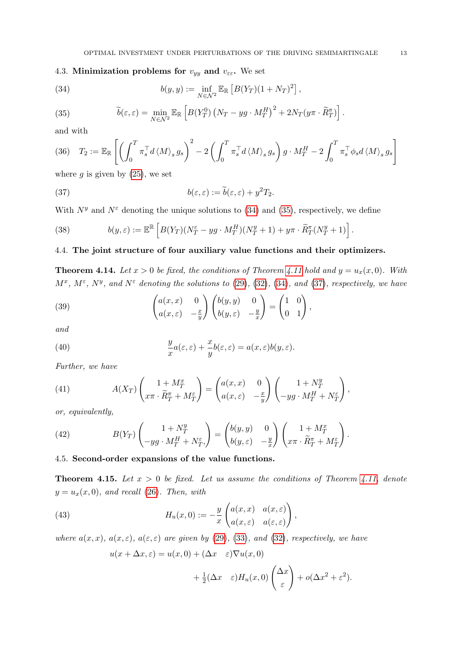# <span id="page-12-0"></span>4.3. Minimization problems for  $v_{yy}$  and  $v_{\varepsilon\xi}$ . We set

<span id="page-12-4"></span>(34) 
$$
b(y, y) := \inf_{N \in \mathcal{N}^2} \mathbb{E}_{\mathbb{R}} \left[ B(Y_T)(1 + N_T)^2 \right],
$$

<span id="page-12-5"></span>(35) 
$$
\widetilde{b}(\varepsilon,\varepsilon) = \min_{N \in \mathcal{N}^2} \mathbb{E}_{\mathbb{R}} \left[ B(Y_T^0) \left( N_T - yg \cdot M_T^H \right)^2 + 2N_T(y\pi \cdot \widetilde{R}_T^{\pi}) \right].
$$

and with

<span id="page-12-8"></span>(36) 
$$
T_2 := \mathbb{E}_{\mathbb{R}} \left[ \left( \int_0^T \pi_s^\top d \langle M \rangle_s g_s \right)^2 - 2 \left( \int_0^T \pi_s^\top d \langle M \rangle_s g_s \right) g \cdot M_T^H - 2 \int_0^T \pi_s^\top \phi_s d \langle M \rangle_s g_s \right]
$$

where  $g$  is given by  $(25)$ , we set

<span id="page-12-6"></span>(37) 
$$
b(\varepsilon, \varepsilon) := \widetilde{b}(\varepsilon, \varepsilon) + y^2 T_2.
$$

With  $N^y$  and  $N^{\varepsilon}$  denoting the unique solutions to [\(34\)](#page-12-4) and [\(35\)](#page-12-5), respectively, we define

<span id="page-12-7"></span>(38) 
$$
b(y,\varepsilon) := \mathbb{E}^{\mathbb{R}} \left[ B(Y_T)(N_T^{\varepsilon} - yg \cdot M_T^H)(N_T^y + 1) + y\pi \cdot \widetilde{R}_T^{\pi}(N_T^y + 1) \right].
$$

# <span id="page-12-1"></span>4.4. The joint structure of four auxiliary value functions and their optimizers.

<span id="page-12-9"></span>**Theorem 4.14.** Let  $x > 0$  be fixed, the conditions of Theorem [4.11](#page-10-1) hold and  $y = u_x(x, 0)$ . With  $M^x$ ,  $M^{\varepsilon}$ ,  $N^y$ , and  $N^{\varepsilon}$  denoting the solutions to [\(29\)](#page-11-1), [\(32\)](#page-11-3), [\(34\)](#page-12-4), and [\(37\)](#page-12-6), respectively, we have

<span id="page-12-10"></span>(39) 
$$
\begin{pmatrix} a(x,x) & 0 \ a(x,\varepsilon) & -\frac{x}{y} \end{pmatrix} \begin{pmatrix} b(y,y) & 0 \ b(y,\varepsilon) & -\frac{y}{x} \end{pmatrix} = \begin{pmatrix} 1 & 0 \ 0 & 1 \end{pmatrix},
$$

and

<span id="page-12-13"></span>(40) 
$$
\frac{y}{x}a(\varepsilon,\varepsilon) + \frac{x}{y}b(\varepsilon,\varepsilon) = a(x,\varepsilon)b(y,\varepsilon).
$$

Further, we have

<span id="page-12-11"></span>(41) 
$$
A(X_T) \begin{pmatrix} 1+M_T^x \ x\pi \cdot \widetilde{R}_T^{\pi} + M_T^{\varepsilon} \end{pmatrix} = \begin{pmatrix} a(x,x) & 0 \ a(x,\varepsilon) & -\frac{x}{y} \end{pmatrix} \begin{pmatrix} 1+N_T^y \ -yg \cdot M_T^H + N_T^{\varepsilon} \end{pmatrix},
$$

or, equivalently,

<span id="page-12-12"></span>(42) 
$$
B(Y_T) \begin{pmatrix} 1 + N_T^y \\ -yg \cdot M_T^H + N_T^{\varepsilon} \end{pmatrix} = \begin{pmatrix} b(y, y) & 0 \\ b(y, \varepsilon) & -\frac{y}{x} \end{pmatrix} \begin{pmatrix} 1 + M_T^x \\ x\pi \cdot \widetilde{R}_T^{\pi} + M_T^{\varepsilon} \end{pmatrix}.
$$

## <span id="page-12-2"></span>4.5. Second-order expansions of the value functions.

<span id="page-12-3"></span>**Theorem 4.15.** Let  $x > 0$  be fixed. Let us assume the conditions of Theorem [4.11,](#page-10-1) denote  $y = u_x(x, 0)$ , and recall [\(26\)](#page-10-7). Then, with

(43) 
$$
H_u(x,0) := -\frac{y}{x} \begin{pmatrix} a(x,x) & a(x,\varepsilon) \\ a(x,\varepsilon) & a(\varepsilon,\varepsilon) \end{pmatrix},
$$

where  $a(x, x)$ ,  $a(x, \varepsilon)$ ,  $a(\varepsilon, \varepsilon)$  are given by [\(29\)](#page-11-1), [\(33\)](#page-11-4), and [\(32\)](#page-11-3), respectively, we have

$$
u(x + \Delta x, \varepsilon) = u(x, 0) + (\Delta x \varepsilon) \nabla u(x, 0)
$$

$$
+ \frac{1}{2} (\Delta x \varepsilon) H_u(x, 0) \left(\frac{\Delta x}{\varepsilon}\right) + o(\Delta x^2 + \varepsilon^2).
$$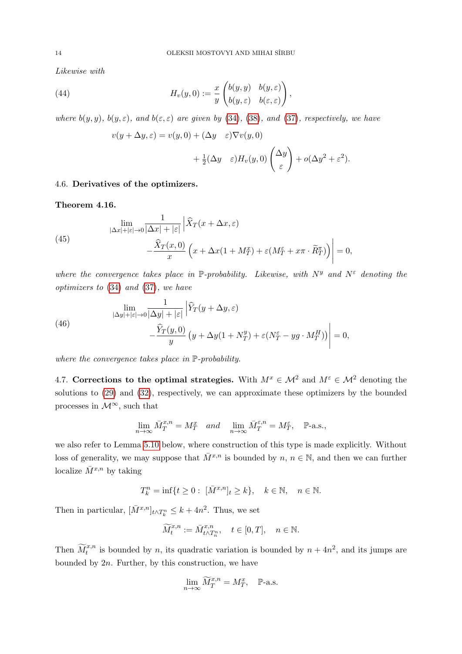Likewise with

(44) 
$$
H_v(y,0) := \frac{x}{y} \begin{pmatrix} b(y,y) & b(y,\varepsilon) \\ b(y,\varepsilon) & b(\varepsilon,\varepsilon) \end{pmatrix},
$$

where  $b(y, y)$ ,  $b(y, \varepsilon)$ , and  $b(\varepsilon, \varepsilon)$  are given by [\(34\)](#page-12-4), [\(38\)](#page-12-7), and [\(37\)](#page-12-6), respectively, we have

$$
v(y + \Delta y, \varepsilon) = v(y, 0) + (\Delta y \varepsilon) \nabla v(y, 0)
$$
  
+  $\frac{1}{2} (\Delta y \varepsilon) H_v(y, 0) \left( \frac{\Delta y}{\varepsilon} \right) + o(\Delta y^2 + \varepsilon^2).$ 

## <span id="page-13-0"></span>4.6. Derivatives of the optimizers.

<span id="page-13-2"></span>Theorem 4.16.

(45)  

$$
\lim_{|\Delta x|+|\varepsilon|\to 0} \frac{1}{|\Delta x|+|\varepsilon|} \left| \widehat{X}_T(x+\Delta x,\varepsilon) -\frac{\widehat{X}_T(x,0)}{x} \left( x + \Delta x (1+M_T^x) + \varepsilon (M_T^{\varepsilon} + x\pi \cdot \widetilde{R}_T^{\pi}) \right) \right| = 0,
$$

where the convergence takes place in P-probability. Likewise, with  $N^y$  and  $N^{\varepsilon}$  denoting the optimizers to [\(34\)](#page-12-4) and [\(37\)](#page-12-6), we have

(46)  

$$
\lim_{|\Delta y|+|\varepsilon|\to 0} \frac{1}{|\Delta y|+|\varepsilon|} \left| \widehat{Y}_T(y+\Delta y,\varepsilon) - \frac{\widehat{Y}_T(y,0)}{y} \left( y+\Delta y(1+N_T^y) + \varepsilon (N_T^{\varepsilon} - yg \cdot M_T^H) \right) \right| = 0,
$$

where the convergence takes place in  $\mathbb{P}$ -probability.

<span id="page-13-1"></span>4.7. Corrections to the optimal strategies. With  $M^x \in \mathcal{M}^2$  and  $M^{\varepsilon} \in \mathcal{M}^2$  denoting the solutions to [\(29\)](#page-11-1) and [\(32\)](#page-11-3), respectively, we can approximate these optimizers by the bounded processes in  $\mathcal{M}^{\infty}$  , such that

$$
\lim_{n \to \infty} \bar{M}_T^{x,n} = M_T^x \quad and \quad \lim_{n \to \infty} \bar{M}_T^{\varepsilon,n} = M_T^{\varepsilon}, \quad \mathbb{P}\text{-a.s.},
$$

we also refer to Lemma [5.10](#page-20-1) below, where construction of this type is made explicitly. Without loss of generality, we may suppose that  $\overline{M}^{x,n}$  is bounded by  $n, n \in \mathbb{N}$ , and then we can further localize  $\bar{M}^{x,n}$  by taking

$$
T_k^n=\inf\{t\geq 0:\ [\bar M^{x,n}]_t\geq k\},\quad k\in\mathbb{N},\quad n\in\mathbb{N}.
$$

Then in particular,  $[\bar{M}^{x,n}]_{t \wedge T_k^n} \leq k + 4n^2$ . Thus, we set

$$
\widetilde{M}^{x,n}_t:=\bar{M}^{x,n}_{t\wedge T^n_n},\quad t\in[0,T],\quad n\in\mathbb{N}.
$$

Then  $\widetilde{M}_t^{x,n}$  is bounded by n, its quadratic variation is bounded by  $n + 4n^2$ , and its jumps are bounded by  $2n$ . Further, by this construction, we have

$$
\lim_{n \to \infty} \widetilde{M}_T^{x,n} = M_T^x, \quad \mathbb{P}\text{-a.s.}
$$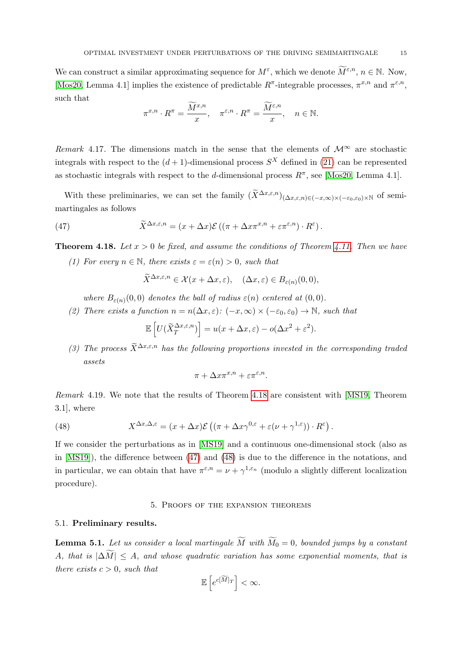We can construct a similar approximating sequence for  $M^{\varepsilon}$ , which we denote  $\widetilde{M}^{\varepsilon,n}$ ,  $n \in \mathbb{N}$ . Now, [\[Mos20,](#page-50-6) Lemma 4.1] implies the existence of predictable  $R^{\pi}$ -integrable processes,  $\pi^{x,n}$  and  $\pi^{\varepsilon,n}$ , such that

$$
\pi^{x,n} \cdot R^{\pi} = \frac{\widetilde{M}^{x,n}}{x}, \quad \pi^{\varepsilon,n} \cdot R^{\pi} = \frac{\widetilde{M}^{\varepsilon,n}}{x}, \quad n \in \mathbb{N}.
$$

Remark 4.17. The dimensions match in the sense that the elements of  $\mathcal{M}^{\infty}$  are stochastic integrals with respect to the  $(d+1)$ -dimensional process  $S<sup>X</sup>$  defined in [\(21\)](#page-7-4) can be represented as stochastic integrals with respect to the d-dimensional process  $R^{\pi}$ , see [\[Mos20,](#page-50-6) Lemma 4.1].

With these preliminaries, we can set the family  $(\widetilde{X}^{\Delta x,\varepsilon,n})_{(\Delta x,\varepsilon,n)\in(-x,\infty)\times(-\varepsilon_0,\varepsilon_0)\times\mathbb{N}}$  of semimartingales as follows

(47) 
$$
\widetilde{X}^{\Delta x,\varepsilon,n} = (x + \Delta x)\mathcal{E}\left((\pi + \Delta x\pi^{x,n} + \varepsilon\pi^{\varepsilon,n})\cdot R^{\varepsilon}\right).
$$

<span id="page-14-2"></span>**Theorem 4.18.** Let  $x > 0$  be fixed, and assume the conditions of Theorem [4.11.](#page-10-1) Then we have

(1) For every  $n \in \mathbb{N}$ , there exists  $\varepsilon = \varepsilon(n) > 0$ , such that

<span id="page-14-3"></span>
$$
\widetilde{X}^{\Delta x,\varepsilon,n} \in \mathcal{X}(x+\Delta x,\varepsilon), \quad (\Delta x,\varepsilon) \in B_{\varepsilon(n)}(0,0),
$$

where  $B_{\varepsilon(n)}(0,0)$  denotes the ball of radius  $\varepsilon(n)$  centered at  $(0,0)$ .

(2) There exists a function  $n = n(\Delta x, \varepsilon)$ :  $(-x, \infty) \times (-\varepsilon_0, \varepsilon_0) \to \mathbb{N}$ , such that

$$
\mathbb{E}\left[U(\widetilde{X}_T^{\Delta x,\varepsilon,n})\right] = u(x + \Delta x,\varepsilon) - o(\Delta x^2 + \varepsilon^2).
$$

(3) The process  $\widetilde{X}^{\Delta x,\varepsilon,n}$  has the following proportions invested in the corresponding traded assets

$$
\pi + \Delta x \pi^{x,n} + \varepsilon \pi^{\varepsilon,n}.
$$

Remark 4.19. We note that the results of Theorem [4.18](#page-14-2) are consistent with [\[MS19,](#page-50-5) Theorem 3.1], where

<span id="page-14-4"></span>(48) 
$$
X^{\Delta x, \Delta, \varepsilon} = (x + \Delta x) \mathcal{E} \left( (\pi + \Delta x)^{0, \varepsilon} + \varepsilon (\nu + \gamma^{1, \varepsilon}) \right) \cdot R^{\varepsilon} \right).
$$

If we consider the perturbations as in [\[MS19\]](#page-50-5) and a continuous one-dimensional stock (also as in [\[MS19\]](#page-50-5)), the difference between [\(47\)](#page-14-3) and [\(48\)](#page-14-4) is due to the difference in the notations, and in particular, we can obtain that have  $\pi^{\epsilon,n} = \nu + \gamma^{1,\epsilon_n}$  (modulo a slightly different localization procedure).

#### 5. Proofs of the expansion theorems

# <span id="page-14-1"></span><span id="page-14-0"></span>5.1. Preliminary results.

<span id="page-14-5"></span>**Lemma 5.1.** Let us consider a local martingale  $\widetilde{M}$  with  $\widetilde{M}_0 = 0$ , bounded jumps by a constant A, that is  $|\Delta \widetilde{M}| \leq A$ , and whose quadratic variation has some exponential moments, that is there exists  $c > 0$ , such that

$$
\mathbb{E}\left[e^{c[\widetilde{M}]_T}\right]<\infty.
$$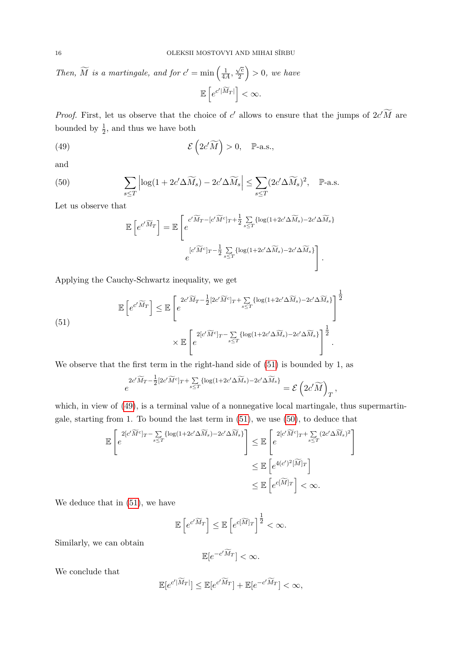Then,  $\widetilde{M}$  is a martingale, and for  $c' = \min\left(\frac{1}{4\lambda}\right)$  $\frac{1}{4A}$  $\sqrt{c}$  $\left(\frac{\sqrt{c}}{2}\right) > 0$ , we have  $\mathbb{E}\left[e^{c'|\widetilde{M}_T|}\right]<\infty.$ 

*Proof.* First, let us observe that the choice of c' allows to ensure that the jumps of  $2c'M$  are bounded by  $\frac{1}{2}$ , and thus we have both

(49) 
$$
\mathcal{E}\left(2c'\widetilde{M}\right) > 0, \quad \mathbb{P}\text{-a.s.},
$$

and

(50) 
$$
\sum_{s \leq T} \left| \log(1 + 2c' \Delta \widetilde{M}_s) - 2c' \Delta \widetilde{M}_s \right| \leq \sum_{s \leq T} (2c' \Delta \widetilde{M}_s)^2, \quad \mathbb{P}\text{-a.s.}
$$

<span id="page-15-0"></span>Let us observe that

<span id="page-15-2"></span><span id="page-15-1"></span>
$$
\mathbb{E}\left[e^{c'\widetilde{M}_T}\right] = \mathbb{E}\left[e^{c'\widetilde{M}_T - [c'\widetilde{M}^c]_T + \frac{1}{2}\sum_{s\leq T} \{\log(1+2c'\Delta\widetilde{M}_s) - 2c'\Delta\widetilde{M}_s\}}\right]
$$

$$
e^{[c'\widetilde{M}^c]_T - \frac{1}{2}\sum_{s\leq T} \{\log(1+2c'\Delta\widetilde{M}_s) - 2c'\Delta\widetilde{M}_s\}}\right].
$$

Applying the Cauchy-Schwartz inequality, we get

(51)  
\n
$$
\mathbb{E}\left[e^{c'\widetilde{M}_T}\right] \leq \mathbb{E}\left[e^{2c'\widetilde{M}_T - \frac{1}{2}\left[2c'\widetilde{M}^c\right]_T + \sum_{s\leq T}\left\{\log(1+2c'\Delta\widetilde{M}_s) - 2c'\Delta\widetilde{M}_s\right\}}\right]^{\frac{1}{2}}
$$
\n
$$
\times \mathbb{E}\left[e^{2\left[c'\widetilde{M}^c\right]_T - \sum_{s\leq T}\left\{\log(1+2c'\Delta\widetilde{M}_s) - 2c'\Delta\widetilde{M}_s\right\}}\right]^{\frac{1}{2}}.
$$

We observe that the first term in the right-hand side of  $(51)$  is bounded by 1, as

$$
e^{2c'\widetilde{M}_T-\frac{1}{2}[2c'\widetilde{M}^c]_T+\sum\limits_{s\leq T}\{\log(1+2c'\Delta \widetilde{M}_s)-2c'\Delta \widetilde{M}_s\}}=\mathcal{E}\left(2c'\widetilde{M}\right)_T,
$$

which, in view of [\(49\)](#page-15-1), is a terminal value of a nonnegative local martingale, thus supermartingale, starting from 1. To bound the last term in [\(51\)](#page-15-0), we use [\(50\)](#page-15-2), to deduce that

$$
\mathbb{E}\left[e^{2[c'\widetilde{M}^c]_T - \sum\limits_{s\leq T}\{\log(1+2c'\Delta\widetilde{M}_s) - 2c'\Delta\widetilde{M}_s\}}\right] \leq \mathbb{E}\left[e^{2[c'\widetilde{M}^c]_T + \sum\limits_{s\leq T}(2c'\Delta\widetilde{M}_s)^2}\right]
$$
  

$$
\leq \mathbb{E}\left[e^{4(c')^2[\widetilde{M}]_T}\right]
$$
  

$$
\leq \mathbb{E}\left[e^{c[\widetilde{M}]_T}\right] < \infty.
$$

<span id="page-15-3"></span>We deduce that in  $(51)$ , we have

$$
\mathbb{E}\left[e^{c'\widetilde{M}_T}\right] \leq \mathbb{E}\left[e^{c[\widetilde{M}]_T}\right]^{\frac{1}{2}} < \infty.
$$

Similarly, we can obtain

$$
\mathbb{E}[e^{-c'\widetilde{M}_T}] < \infty.
$$

We conclude that

$$
\mathbb{E}[e^{c'|\widetilde{M}_T|}] \le \mathbb{E}[e^{c'\widetilde{M}_T}] + \mathbb{E}[e^{-c'\widetilde{M}_T}] < \infty,
$$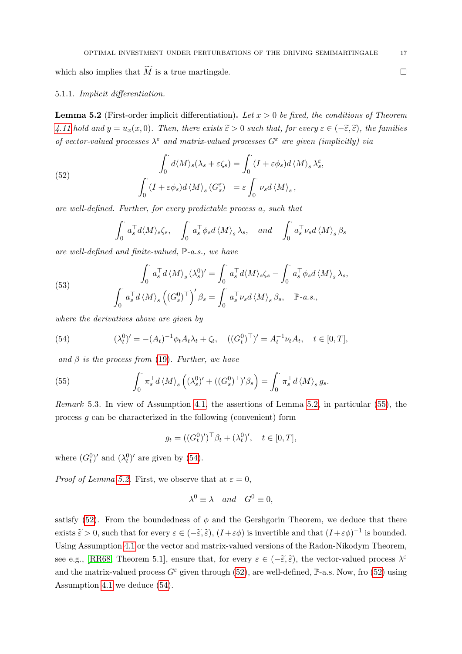which also implies that  $\widetilde{M}$  is a true martingale.

## 5.1.1. Implicit differentiation.

<span id="page-16-0"></span>**Lemma 5.2** (First-order implicit differentiation). Let  $x > 0$  be fixed, the conditions of Theorem [4.11](#page-10-1) hold and  $y = u_x(x, 0)$ . Then, there exists  $\tilde{\varepsilon} > 0$  such that, for every  $\varepsilon \in (-\tilde{\varepsilon}, \tilde{\varepsilon})$ , the families of vector-valued processes  $\lambda^{\epsilon}$  and matrix-valued processes  $G^{\epsilon}$  are given (implicitly) via

(52)  

$$
\int_0^{\cdot} d\langle M \rangle_s (\lambda_s + \varepsilon \zeta_s) = \int_0^{\cdot} (I + \varepsilon \phi_s) d\langle M \rangle_s \lambda_s^{\varepsilon},
$$

$$
\int_0^{\cdot} (I + \varepsilon \phi_s) d\langle M \rangle_s (G_s^{\varepsilon})^{\top} = \varepsilon \int_0^{\cdot} \nu_s d\langle M \rangle_s,
$$

are well-defined. Further, for every predictable process a, such that

$$
\int_0^{\cdot} a_s^{\top} d\langle M \rangle_s \zeta_s, \quad \int_0^{\cdot} a_s^{\top} \phi_s d\langle M \rangle_s \lambda_s, \quad and \quad \int_0^{\cdot} a_s^{\top} \nu_s d\langle M \rangle_s \beta_s
$$

are well-defined and finite-valued, P-a.s., we have

<span id="page-16-5"></span>(53) 
$$
\int_0^{\cdot} a_s^{\top} d \langle M \rangle_s (\lambda_s^0)' = \int_0^{\cdot} a_s^{\top} d \langle M \rangle_s \zeta_s - \int_0^{\cdot} a_s^{\top} \phi_s d \langle M \rangle_s \lambda_s,
$$

$$
\int_0^{\cdot} a_s^{\top} d \langle M \rangle_s ((G_s^0)^{\top})' \beta_s = \int_0^{\cdot} a_s^{\top} \nu_s d \langle M \rangle_s \beta_s, \quad \mathbb{P}\text{-}a.s.,
$$

where the derivatives above are given by

<span id="page-16-3"></span>(54) 
$$
(\lambda_t^0)' = -(A_t)^{-1} \phi_t A_t \lambda_t + \zeta_t, \quad ((G_t^0)^\top)' = A_t^{-1} \nu_t A_t, \quad t \in [0, T],
$$

and  $\beta$  is the process from [\(19\)](#page-7-1). Further, we have

<span id="page-16-2"></span>(55) 
$$
\int_0^{\cdot} \pi_s^{\top} d \langle M \rangle_s \left( (\lambda_s^0)' + ((G_s^0)^{\top})' \beta_s \right) = \int_0^{\cdot} \pi_s^{\top} d \langle M \rangle_s g_s.
$$

<span id="page-16-1"></span>Remark 5.3. In view of Assumption [4.1,](#page-9-3) the assertions of Lemma [5.2,](#page-16-0) in particular [\(55\)](#page-16-2), the process g can be characterized in the following (convenient) form

$$
g_t = ((G_t^0)')^\top \beta_t + (\lambda_t^0)', \quad t \in [0, T],
$$

where  $(G_t^0)'$  and  $(\lambda_t^0)'$  are given by [\(54\)](#page-16-3).

*Proof of Lemma [5.2.](#page-16-0)* First, we observe that at  $\varepsilon = 0$ ,

<span id="page-16-4"></span>
$$
\lambda^0 \equiv \lambda \quad and \quad G^0 \equiv 0,
$$

satisfy [\(52\)](#page-15-3). From the boundedness of  $\phi$  and the Gershgorin Theorem, we deduce that there exists  $\tilde{\varepsilon} > 0$ , such that for every  $\varepsilon \in (-\tilde{\varepsilon}, \tilde{\varepsilon})$ ,  $(I + \varepsilon \phi)$  is invertible and that  $(I + \varepsilon \phi)^{-1}$  is bounded. Using Assumption [4.1](#page-9-3) or the vector and matrix-valued versions of the Radon-Nikodym Theorem, see e.g., [\[RR68,](#page-50-10) Theorem 5.1], ensure that, for every  $\varepsilon \in (-\tilde{\varepsilon}, \tilde{\varepsilon})$ , the vector-valued process  $\lambda^{\varepsilon}$ and the matrix-valued process  $G^{\varepsilon}$  given through [\(52\)](#page-15-3), are well-defined, P-a.s. Now, fro (52) using Assumption [4.1](#page-9-3) we deduce [\(54\)](#page-16-3).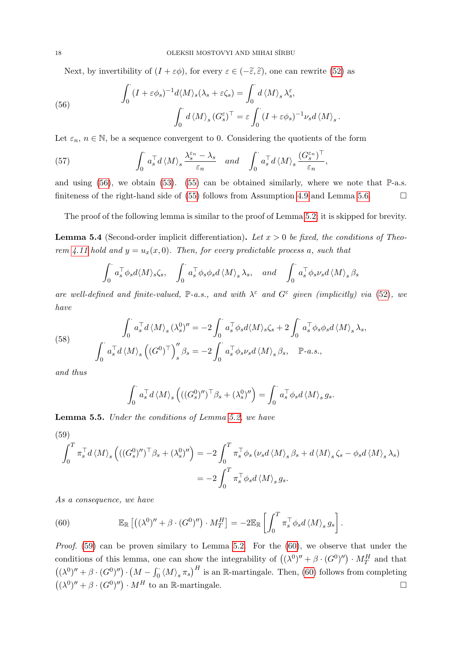Next, by invertibility of  $(I + \varepsilon \phi)$ , for every  $\varepsilon \in (-\tilde{\varepsilon}, \tilde{\varepsilon})$ , one can rewrite [\(52\)](#page-15-3) as

(56) 
$$
\int_0^{\cdot} (I + \varepsilon \phi_s)^{-1} d\langle M \rangle_s (\lambda_s + \varepsilon \zeta_s) = \int_0^{\cdot} d\langle M \rangle_s \lambda_s^{\varepsilon},
$$

$$
\int_0^{\cdot} d\langle M \rangle_s (G_s^{\varepsilon})^{\top} = \varepsilon \int_0^{\cdot} (I + \varepsilon \phi_s)^{-1} \nu_s d\langle M \rangle_s.
$$

Let  $\varepsilon_n$ ,  $n \in \mathbb{N}$ , be a sequence convergent to 0. Considering the quotients of the form

(57) 
$$
\int_0^{\cdot} a_s^{\top} d \langle M \rangle_s \frac{\lambda_s^{\varepsilon_n} - \lambda_s}{\varepsilon_n} \quad and \quad \int_0^{\cdot} a_s^{\top} d \langle M \rangle_s \frac{(G_s^{\varepsilon_n})^{\top}}{\varepsilon_n},
$$

and using [\(56\)](#page-16-4), we obtain [\(53\)](#page-16-5). [\(55\)](#page-16-2) can be obtained similarly, where we note that  $\mathbb{P}\text{-a.s.}$ finiteness of the right-hand side of [\(55\)](#page-16-2) follows from Assumption [4.9](#page-10-3) and Lemma [5.6.](#page-18-0)  $\Box$ 

The proof of the following lemma is similar to the proof of Lemma [5.2;](#page-16-0) it is skipped for brevity.

**Lemma 5.4** (Second-order implicit differentiation). Let  $x > 0$  be fixed, the conditions of Theo-rem [4.11](#page-10-1) hold and  $y = u_x(x, 0)$ . Then, for every predictable process a, such that

$$
\int_0^\cdot a_s^\top \phi_s d\langle M \rangle_s \zeta_s, \quad \int_0^\cdot a_s^\top \phi_s \phi_s d\langle M \rangle_s \lambda_s, \quad and \quad \int_0^\cdot a_s^\top \phi_s \nu_s d\langle M \rangle_s \beta_s
$$

are well-defined and finite-valued,  $\mathbb{P}\text{-}a.s.,$  and with  $\lambda^{\varepsilon}$  and  $G^{\varepsilon}$  given (implicitly) via [\(52\)](#page-15-3), we have

(58) 
$$
\int_0^{\cdot} a_s^{\top} d \langle M \rangle_s (\lambda_s^0)'' = -2 \int_0^{\cdot} a_s^{\top} \phi_s d \langle M \rangle_s \zeta_s + 2 \int_0^{\cdot} a_s^{\top} \phi_s \phi_s d \langle M \rangle_s \lambda_s,
$$

$$
\int_0^{\cdot} a_s^{\top} d \langle M \rangle_s ((G^0)^{\top})''_s \beta_s = -2 \int_0^{\cdot} a_s^{\top} \phi_s \nu_s d \langle M \rangle_s \beta_s, \quad \mathbb{P}\text{-}a.s.,
$$

<span id="page-17-0"></span>and thus

$$
\int_0^{\cdot} a_s^{\top} d \langle M \rangle_s \left( ((G_s^0)'')^{\top} \beta_s + (\lambda_s^0)'' \right) = \int_0^{\cdot} a_s^{\top} \phi_s d \langle M \rangle_s g_s.
$$

<span id="page-17-2"></span>Lemma 5.5. Under the conditions of Lemma [5.2,](#page-16-0) we have

(59)  
\n
$$
\int_0^T \pi_s^\top d \langle M \rangle_s \left( ((G_s^0)'')^\top \beta_s + (\lambda_s^0)'' \right) = -2 \int_0^T \pi_s^\top \phi_s \left( \nu_s d \langle M \rangle_s \beta_s + d \langle M \rangle_s \zeta_s - \phi_s d \langle M \rangle_s \lambda_s \right)
$$
\n
$$
= -2 \int_0^T \pi_s^\top \phi_s d \langle M \rangle_s g_s.
$$

As a consequence, we have

<span id="page-17-1"></span>(60) 
$$
\mathbb{E}_{\mathbb{R}}\left[\left((\lambda^{0})'' + \beta \cdot (G^{0})''\right) \cdot M_{T}^{H}\right] = -2\mathbb{E}_{\mathbb{R}}\left[\int_{0}^{T} \pi_{s}^{\top} \phi_{s} d\langle M \rangle_{s} g_{s}\right].
$$

*Proof.* [\(59\)](#page-17-0) can be proven similary to Lemma [5.2.](#page-16-0) For the  $(60)$ , we observe that under the conditions of this lemma, one can show the integrability of  $((\lambda^0)'' + \beta \cdot (G^0)'') \cdot M_T^H$  and that  $((\lambda^0)'' + \beta \cdot (G^0)'') \cdot (M - \int_0^{\cdot} \langle M \rangle_s \pi_s)^H$  is an R-martingale. Then, [\(60\)](#page-17-1) follows from completing  $((\lambda^0)'' + \beta \cdot (G^0)'') \cdot M^H$  to an R-martingale.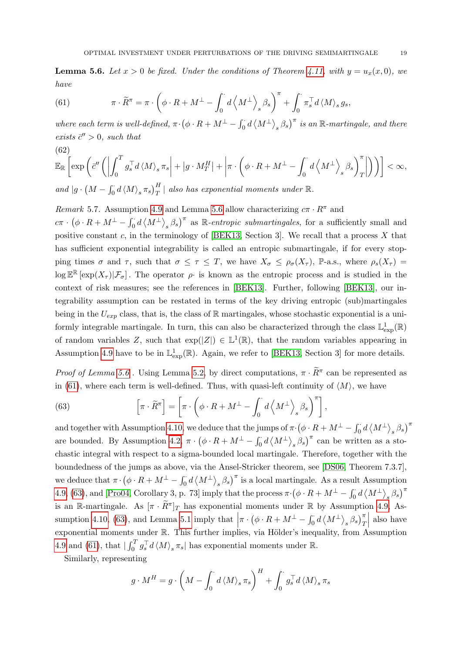<span id="page-18-0"></span>**Lemma 5.6.** Let  $x > 0$  be fixed. Under the conditions of Theorem [4.11,](#page-10-1) with  $y = u_x(x, 0)$ , we have

<span id="page-18-1"></span>(61) 
$$
\pi \cdot \widetilde{R}^{\pi} = \pi \cdot \left( \phi \cdot R + M^{\perp} - \int_{0}^{\cdot} d \left\langle M^{\perp} \right\rangle_{s} \beta_{s} \right)^{\pi} + \int_{0}^{\cdot} \pi_{s}^{\top} d \left\langle M \right\rangle_{s} g_{s},
$$

where each term is well-defined,  $\pi \cdot (\phi \cdot R + M^{\perp} - \int_0^{\cdot} d \langle M^{\perp} \rangle_s \beta_s)^{\pi}$  is an R-martingale, and there exists  $\bar{c}^{\prime\prime} > 0$ , such that (62)

<span id="page-18-3"></span>
$$
\mathbb{E}_{\mathbb{R}}\left[\exp\left(\bar{c}''\left(\left|\int_0^T g_s^\top d\left\langle M\right\rangle_s \pi_s\right| + \left|g \cdot M_T^H\right| + \left|\pi \cdot \left(\phi \cdot R + M^\perp - \int_0^{\cdot} d\left\langle M^\perp\right\rangle_s \beta_s\right)_T^{\pi}\right|\right)\right)\right] < \infty,
$$

and  $|g \cdot (M - \int_0^{\cdot} d \langle M \rangle_s \pi_s)^H_T|$  also has exponential moments under  $\mathbb{R}$ .

Remark 5.7. Assumption [4.9](#page-10-3) and Lemma [5.6](#page-18-0) allow characterizing  $c\pi \cdot R^{\pi}$  and

 $c\pi \cdot (\phi \cdot R + M^{\perp} - \int_0^{\cdot} d \langle M^{\perp} \rangle_s \beta_s)^{\pi}$  as R-entropic submartingales, for a sufficiently small and positive constant  $c$ , in the terminology of [\[BEK13,](#page-48-3) Section 3]. We recall that a process  $X$  that has sufficient exponential integrability is called an entropic submartingale, if for every stopping times  $\sigma$  and  $\tau$ , such that  $\sigma \leq \tau \leq T$ , we have  $X_{\sigma} \leq \rho_{\sigma}(X_{\tau})$ , P-a.s., where  $\rho_{s}(X_{\tau}) =$  $\log \mathbb{E}^{\mathbb{R}} [\exp(X_{\tau}) | \mathcal{F}_{\sigma}]$ . The operator  $\rho$  is known as the entropic process and is studied in the context of risk measures; see the references in [\[BEK13\]](#page-48-3). Further, following [\[BEK13\]](#page-48-3), our integrability assumption can be restated in terms of the key driving entropic (sub)martingales being in the  $U_{exp}$  class, that is, the class of R martingales, whose stochastic exponential is a uniformly integrable martingale. In turn, this can also be characterized through the class  $\mathbb{L}^1_{\text{exp}}(\mathbb{R})$ of random variables Z, such that  $\exp(|Z|) \in \mathbb{L}^1(\mathbb{R})$ , that the random variables appearing in Assumption [4.9](#page-10-3) have to be in  $\mathbb{L}^1_{\text{exp}}(\mathbb{R})$ . Again, we refer to [\[BEK13,](#page-48-3) Section 3] for more details.

*Proof of Lemma [5.6](#page-18-0)*. Using Lemma [5.2,](#page-16-0) by direct computations,  $\pi \cdot \widetilde{R}^{\pi}$  can be represented as in [\(61\)](#page-18-1), where each term is well-defined. Thus, with quasi-left continuity of  $\langle M \rangle$ , we have

<span id="page-18-2"></span>(63) 
$$
\left[\pi \cdot \widetilde{R}^{\pi}\right] = \left[\pi \cdot \left(\phi \cdot R + M^{\perp} - \int_{0}^{\cdot} d\left\langle M^{\perp}\right\rangle_{s} \beta_{s}\right)^{\pi}\right],
$$

and together with Assumption [4.10,](#page-10-4) we deduce that the jumps of  $\pi \cdot (\phi \cdot R + M^{\perp} - \int_0^{\cdot} d \left< M^{\perp} \right>_s \beta_s)^{\pi}$ are bounded. By Assumption [4.2,](#page-9-2)  $\pi \cdot (\phi \cdot R + M^{\perp} - \int_0^{\cdot} d \langle M^{\perp} \rangle_s \beta_s)^{\pi}$  can be written as a stochastic integral with respect to a sigma-bounded local martingale. Therefore, together with the boundedness of the jumps as above, via the Ansel-Stricker theorem, see [\[DS06,](#page-49-23) Theorem 7.3.7], we deduce that  $\pi \cdot (\phi \cdot R + M^{\perp} - \int_0^{\cdot} d \langle M^{\perp} \rangle_s \beta_s)^{\pi}$  is a local martingale. As a result Assumption [4.9,](#page-10-3) [\(63\)](#page-18-2), and [\[Pro04,](#page-50-11) Corollary 3, p. 73] imply that the process  $\pi \cdot (\phi \cdot R + M^{\perp} - \int_0^{\cdot} d \langle M^{\perp} \rangle_s \beta_s)^{\pi}$ is an R-martingale. As  $[\pi \cdot \widetilde{R}^{\pi}]_T$  has exponential moments under R by Assumption [4.9,](#page-10-3) As-sumption [4.10,](#page-10-4) [\(63\)](#page-18-2), and Lemma [5.1](#page-14-5) imply that  $\left|\pi\cdot\left(\phi\cdot R+M^\perp-\int_0^{\cdot}d\left\langle M^\perp\right\rangle_s\beta_s\right)_T^\pi\right|$ exponential moments under  $\mathbb{R}$ . This further implies, via Hölder's inequality, from Assumption   also have [4.9](#page-10-3) and [\(61\)](#page-18-1), that  $\left| \int_0^T g_s^\top d\langle M \rangle_s \pi_s \right|$  has exponential moments under  $\mathbb{R}$ .

Similarly, representing

$$
g \cdot M^H = g \cdot \left( M - \int_0^{\cdot} d \langle M \rangle_s \, \pi_s \right)^H + \int_0^{\cdot} g_s^{\top} d \langle M \rangle_s \, \pi_s
$$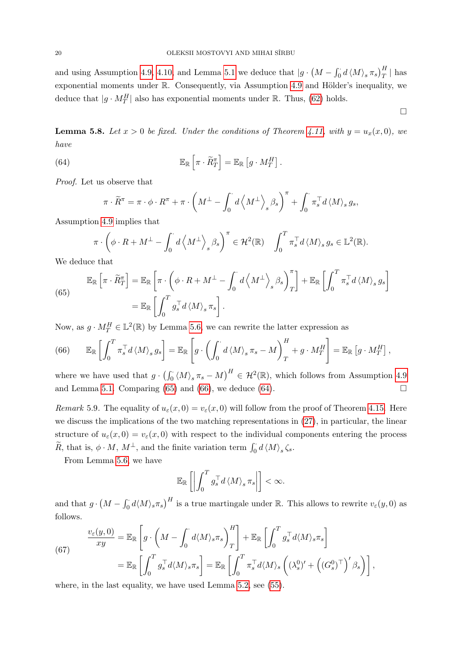and using Assumption [4.9,](#page-10-3) [4.10,](#page-10-4) and Lemma [5.1](#page-14-5) we deduce that  $|g \cdot (M - \int_0^{\cdot} d \langle M \rangle_s \pi_s)^{\frac{H}{T}}|$  has exponential moments under  $\mathbb R$ . Consequently, via Assumption [4.9](#page-10-3) and Hölder's inequality, we deduce that  $|g \cdot M_T^H|$  also has exponential moments under  $\mathbb{R}$ . Thus, [\(62\)](#page-18-3) holds.

<span id="page-19-4"></span>**Lemma 5.8.** Let  $x > 0$  be fixed. Under the conditions of Theorem [4.11,](#page-10-1) with  $y = u_x(x, 0)$ , we have

 $\Box$ 

(64) 
$$
\mathbb{E}_{\mathbb{R}}\left[\pi \cdot \widetilde{R}^{\pi}_T\right] = \mathbb{E}_{\mathbb{R}}\left[g \cdot M^H_T\right].
$$

Proof. Let us observe that

<span id="page-19-2"></span><span id="page-19-0"></span>
$$
\pi\cdot\widetilde{R}^\pi=\pi\cdot\phi\cdot R^\pi+\pi\cdot\left(M^\perp-\int_0^\cdot d\left_s\beta_s\right)^\pi+\int_0^\cdot\pi_s^\top d\left_s g_s,
$$

Assumption [4.9](#page-10-3) implies that

$$
\pi \cdot \left(\phi \cdot R + M^{\perp} - \int_0^{\cdot} d\left\langle M^{\perp}\right\rangle_s \beta_s\right)^{\pi} \in \mathcal{H}^2(\mathbb{R}) \quad \int_0^T \pi_s^{\top} d\left\langle M\right\rangle_s g_s \in \mathbb{L}^2(\mathbb{R}).
$$

We deduce that

(65)  
\n
$$
\mathbb{E}_{\mathbb{R}}\left[\pi \cdot \widetilde{R}^{\pi}_{T}\right] = \mathbb{E}_{\mathbb{R}}\left[\pi \cdot \left(\phi \cdot R + M^{\perp} - \int_{0}^{T} d\left\langle M^{\perp}\right\rangle_{s} \beta_{s}\right)_{T}^{\pi}\right] + \mathbb{E}_{\mathbb{R}}\left[\int_{0}^{T} \pi_{s}^{\top} d\left\langle M\right\rangle_{s} g_{s}\right]
$$
\n
$$
= \mathbb{E}_{\mathbb{R}}\left[\int_{0}^{T} g_{s}^{\top} d\left\langle M\right\rangle_{s} \pi_{s}\right].
$$

Now, as  $g \cdot M_T^H \in \mathbb{L}^2(\mathbb{R})$  by Lemma [5.6,](#page-18-0) we can rewrite the latter expression as

<span id="page-19-1"></span>(66) 
$$
\mathbb{E}_{\mathbb{R}}\left[\int_0^T \pi_s^\top d\langle M \rangle_s g_s\right] = \mathbb{E}_{\mathbb{R}}\left[g \cdot \left(\int_0^{\cdot} d\langle M \rangle_s \pi_s - M\right)_T^H + g \cdot M_T^H\right] = \mathbb{E}_{\mathbb{R}}\left[g \cdot M_T^H\right],
$$

where we have used that  $g \cdot (\int_0^{\cdot} \langle M \rangle_s \pi_s - M)^H \in \mathcal{H}^2(\mathbb{R})$ , which follows from Assumption [4.9](#page-10-3) and Lemma [5.1.](#page-14-5) Comparing [\(65\)](#page-19-0) and [\(66\)](#page-19-1), we deduce [\(64\)](#page-19-2).

Remark 5.9. The equality of  $u_{\varepsilon}(x,0) = v_{\varepsilon}(x,0)$  will follow from the proof of Theorem [4.15.](#page-12-3) Here we discuss the implications of the two matching representations in [\(27\)](#page-10-6), in particular, the linear structure of  $u_{\varepsilon}(x,0) = v_{\varepsilon}(x,0)$  with respect to the individual components entering the process  $\widetilde{R}$ , that is,  $\phi \cdot M$ ,  $M^{\perp}$ , and the finite variation term  $\int_0^{\cdot} d \langle M \rangle_s \zeta_s$ .

From Lemma [5.6,](#page-18-0) we have

<span id="page-19-3"></span>
$$
\mathbb{E}_{\mathbb{R}}\left[\left|\int_0^T g_s^\top d\left_s \pi_s\right|\right]<\infty.
$$

and that  $g \cdot (M - \int_0^1 d\langle M \rangle_s \pi_s)^H$  is a true martingale under R. This allows to rewrite  $v_\varepsilon(y,0)$  as follows.

(67)  

$$
\frac{v_{\varepsilon}(y,0)}{xy} = \mathbb{E}_{\mathbb{R}} \left[ g \cdot \left( M - \int_0^{\cdot} d \langle M \rangle_s \pi_s \right)_T^H \right] + \mathbb{E}_{\mathbb{R}} \left[ \int_0^T g_s^{\top} d \langle M \rangle_s \pi_s \right]
$$

$$
= \mathbb{E}_{\mathbb{R}} \left[ \int_0^T g_s^{\top} d \langle M \rangle_s \pi_s \right] = \mathbb{E}_{\mathbb{R}} \left[ \int_0^T \pi_s^{\top} d \langle M \rangle_s \left( (\lambda_s^0)' + \left( (G_s^0)^{\top} \right)' \beta_s \right) \right],
$$

where, in the last equality, we have used Lemma [5.2,](#page-16-0) see [\(55\)](#page-16-2).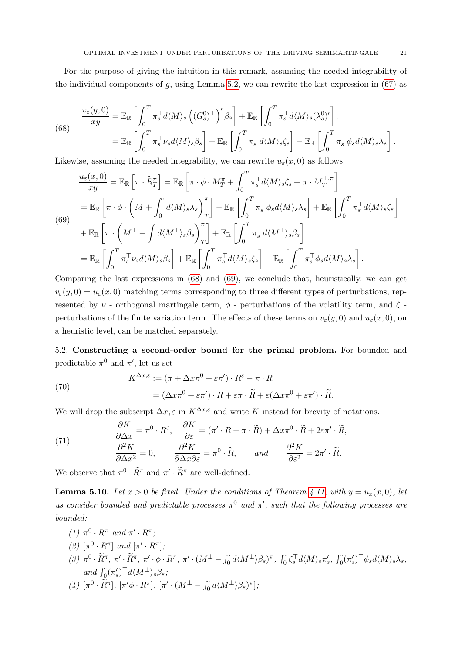For the purpose of giving the intuition in this remark, assuming the needed integrability of the individual components of  $g$ , using Lemma [5.2,](#page-16-0) we can rewrite the last expression in [\(67\)](#page-19-3) as

<span id="page-20-2"></span>(68) 
$$
\frac{v_{\varepsilon}(y,0)}{xy} = \mathbb{E}_{\mathbb{R}} \left[ \int_0^T \pi_s^{\top} d\langle M \rangle_s \left( (G_s^0)^{\top} \right)' \beta_s \right] + \mathbb{E}_{\mathbb{R}} \left[ \int_0^T \pi_s^{\top} d\langle M \rangle_s (\lambda_s^0)' \right].
$$

$$
= \mathbb{E}_{\mathbb{R}} \left[ \int_0^T \pi_s^{\top} \nu_s d\langle M \rangle_s \beta_s \right] + \mathbb{E}_{\mathbb{R}} \left[ \int_0^T \pi_s^{\top} d\langle M \rangle_s \zeta_s \right] - \mathbb{E}_{\mathbb{R}} \left[ \int_0^T \pi_s^{\top} \phi_s d\langle M \rangle_s \lambda_s \right].
$$

Likewise, assuming the needed integrability, we can rewrite  $u_{\epsilon}(x, 0)$  as follows.

<span id="page-20-3"></span>
$$
\frac{u_{\varepsilon}(x,0)}{xy} = \mathbb{E}_{\mathbb{R}} \left[ \pi \cdot \tilde{R}_{T}^{\pi} \right] = \mathbb{E}_{\mathbb{R}} \left[ \pi \cdot \phi \cdot M_{T}^{\pi} + \int_{0}^{T} \pi_{s}^{\top} d\langle M \rangle_{s} \zeta_{s} + \pi \cdot M_{T}^{\perp,\pi} \right]
$$
\n
$$
= \mathbb{E}_{\mathbb{R}} \left[ \pi \cdot \phi \cdot \left( M + \int_{0}^{T} d\langle M \rangle_{s} \lambda_{s} \right)_{T}^{\pi} \right] - \mathbb{E}_{\mathbb{R}} \left[ \int_{0}^{T} \pi_{s}^{\top} \phi_{s} d\langle M \rangle_{s} \lambda_{s} \right] + \mathbb{E}_{\mathbb{R}} \left[ \int_{0}^{T} \pi_{s}^{\top} d\langle M \rangle_{s} \zeta_{s} \right]
$$
\n
$$
+ \mathbb{E}_{\mathbb{R}} \left[ \pi \cdot \left( M^{\perp} - \int d\langle M^{\perp} \rangle_{s} \beta_{s} \right)_{T}^{\pi} \right] + \mathbb{E}_{\mathbb{R}} \left[ \int_{0}^{T} \pi_{s}^{\top} d\langle M^{\perp} \rangle_{s} \beta_{s} \right]
$$
\n
$$
= \mathbb{E}_{\mathbb{R}} \left[ \int_{0}^{T} \pi_{s}^{\top} \nu_{s} d\langle M \rangle_{s} \beta_{s} \right] + \mathbb{E}_{\mathbb{R}} \left[ \int_{0}^{T} \pi_{s}^{\top} d\langle M \rangle_{s} \zeta_{s} \right] - \mathbb{E}_{\mathbb{R}} \left[ \int_{0}^{T} \pi_{s}^{\top} \phi_{s} d\langle M \rangle_{s} \lambda_{s} \right].
$$

Comparing the last expressions in [\(68\)](#page-20-2) and [\(69\)](#page-20-3), we conclude that, heuristically, we can get  $v_{\varepsilon}(y,0) = u_{\varepsilon}(x,0)$  matching terms corresponding to three different types of perturbations, represented by  $\nu$  - orthogonal martingale term,  $\phi$  - perturbations of the volatility term, and  $\zeta$  perturbations of the finite variation term. The effects of these terms on  $v_{\varepsilon}(y, 0)$  and  $u_{\varepsilon}(x, 0)$ , on a heuristic level, can be matched separately.

<span id="page-20-0"></span>5.2. Constructing a second-order bound for the primal problem. For bounded and predictable  $\pi^0$  and  $\pi'$ , let us set

<span id="page-20-4"></span>(70)  
\n
$$
K^{\Delta x, \varepsilon} := (\pi + \Delta x \pi^0 + \varepsilon \pi') \cdot R^{\varepsilon} - \pi \cdot R
$$
\n
$$
= (\Delta x \pi^0 + \varepsilon \pi') \cdot R + \varepsilon \pi \cdot \widetilde{R} + \varepsilon (\Delta x \pi^0 + \varepsilon \pi') \cdot \widetilde{R}.
$$

We will drop the subscript  $\Delta x, \varepsilon$  in  $K^{\Delta x, \varepsilon}$  and write K instead for brevity of notations.

<span id="page-20-5"></span>(71) 
$$
\frac{\partial K}{\partial \Delta x} = \pi^0 \cdot R^{\varepsilon}, \quad \frac{\partial K}{\partial \varepsilon} = (\pi' \cdot R + \pi \cdot \widetilde{R}) + \Delta x \pi^0 \cdot \widetilde{R} + 2\varepsilon \pi' \cdot \widetilde{R},
$$

$$
\frac{\partial^2 K}{\partial \Delta x^2} = 0, \qquad \frac{\partial^2 K}{\partial \Delta x \partial \varepsilon} = \pi^0 \cdot \widetilde{R}, \qquad and \qquad \frac{\partial^2 K}{\partial \varepsilon^2} = 2\pi' \cdot \widetilde{R}.
$$

We observe that  $\pi^0 \cdot \widetilde{R}^{\pi}$  and  $\pi' \cdot \widetilde{R}^{\pi}$  are well-defined.

<span id="page-20-1"></span>**Lemma 5.10.** Let  $x > 0$  be fixed. Under the conditions of Theorem [4.11,](#page-10-1) with  $y = u_x(x, 0)$ , let us consider bounded and predictable processes  $\pi^0$  and  $\pi'$ , such that the following processes are bounded:

- (1)  $\pi^0 \cdot R^{\pi}$  and  $\pi' \cdot R^{\pi}$ ;
- (2)  $[\pi^0 \cdot R^\pi]$  and  $[\pi' \cdot R^\pi]$ ;
- $(\textit{3}) \ \ \pi^0 \cdot \widetilde{R}^{\pi}, \ \pi' \cdot \widetilde{R}^{\pi}, \ \pi' \cdot \phi \cdot R^{\pi}, \ \pi' \cdot (M^{\perp}-\int_0^{\cdot} d \langle M^{\perp} \rangle \beta_s )^{\pi}, \ \int_0^{\cdot} \zeta_s^{\top} d \langle M \rangle_s \pi'_s, \ \int_0^{\cdot} (\pi'_s)^{\top} \phi_s d \langle M \rangle_s \lambda_s,$ and  $\int_0^{\cdot} (\pi_s')^{\top} d\langle M^{\perp} \rangle_s \beta_s;$
- (4)  $[\pi^0 \cdot \widetilde{R}^{\pi}], [\pi' \phi \cdot R^{\pi}], [\pi' \cdot (M^{\perp} \int_0^{\cdot} d \langle M^{\perp} \rangle \beta_s)^{\pi}];$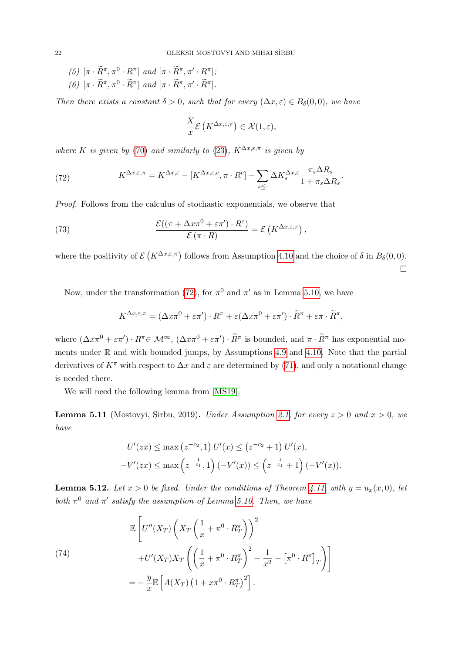(5) 
$$
[\pi \cdot \widetilde{R}^{\pi}, \pi^0 \cdot R^{\pi}]
$$
 and  $[\pi \cdot \widetilde{R}^{\pi}, \pi' \cdot R^{\pi}];$   
(6)  $[\pi \cdot \widetilde{R}^{\pi}, \pi^0 \cdot \widetilde{R}^{\pi}]$  and  $[\pi \cdot \widetilde{R}^{\pi}, \pi' \cdot \widetilde{R}^{\pi}].$ 

Then there exists a constant  $\delta > 0$ , such that for every  $(\Delta x, \varepsilon) \in B_\delta(0,0)$ , we have

$$
\frac{X}{x}\mathcal{E}\left(K^{\Delta x,\varepsilon,\pi}\right)\in\mathcal{X}(1,\varepsilon),
$$

where K is given by [\(70\)](#page-20-4) and similarly to [\(23\)](#page-8-0),  $K^{\Delta x, \epsilon, \pi}$  is given by

<span id="page-21-0"></span>(72) 
$$
K^{\Delta x,\varepsilon,\pi} = K^{\Delta x,\varepsilon} - [K^{\Delta x,\varepsilon,\varepsilon}, \pi \cdot R^c] - \sum_{s \leq \cdot} \Delta K_s^{\Delta x,\varepsilon} \frac{\pi_s \Delta R_s}{1 + \pi_s \Delta R_s}.
$$

Proof. Follows from the calculus of stochastic exponentials, we observe that

(73) 
$$
\frac{\mathcal{E}((\pi + \Delta x \pi^0 + \varepsilon \pi') \cdot R^{\varepsilon})}{\mathcal{E}(\pi \cdot R)} = \mathcal{E}(K^{\Delta x, \varepsilon, \pi}),
$$

where the positivity of  $\mathcal{E}\left(K^{\Delta x,\varepsilon,\pi}\right)$  follows from Assumption [4.10](#page-10-4) and the choice of  $\delta$  in  $B_{\delta}(0,0)$ .  $\Box$ 

Now, under the transformation [\(72\)](#page-21-0), for  $\pi^0$  and  $\pi'$  as in Lemma [5.10,](#page-20-1) we have

<span id="page-21-1"></span>
$$
K^{\Delta x,\varepsilon,\pi} = (\Delta x \pi^0 + \varepsilon \pi') \cdot R^{\pi} + \varepsilon (\Delta x \pi^0 + \varepsilon \pi') \cdot \widetilde{R}^{\pi} + \varepsilon \pi \cdot \widetilde{R}^{\pi},
$$

where  $(\Delta x \pi^0 + \varepsilon \pi') \cdot R^{\pi} \in \mathcal{M}^{\infty}$ ,  $(\Delta x \pi^0 + \varepsilon \pi') \cdot \widetilde{R}^{\pi}$  is bounded, and  $\pi \cdot \widetilde{R}^{\pi}$  has exponential moments under R and with bounded jumps, by Assumptions [4.9](#page-10-3) and [4.10.](#page-10-4) Note that the partial derivatives of  $K^{\pi}$  with respect to  $\Delta x$  and  $\varepsilon$  are determined by [\(71\)](#page-20-5), and only a notational change is needed there.

We will need the following lemma from [\[MS19\]](#page-50-5).

<span id="page-21-2"></span>**Lemma 5.11** (Mostovyi, Sirbu, 2019). Under Assumption [2.1,](#page-5-3) for every  $z > 0$  and  $x > 0$ , we have

$$
U'(zx) \le \max\left(z^{-c_2}, 1\right) U'(x) \le \left(z^{-c_2} + 1\right) U'(x),
$$
  
-V'(zx) \le \max\left(z^{-\frac{1}{c\_1}}, 1\right) (-V'(x)) \le \left(z^{-\frac{1}{c\_1}} + 1\right) (-V'(x)).

<span id="page-21-3"></span>**Lemma 5.12.** Let  $x > 0$  be fixed. Under the conditions of Theorem [4.11,](#page-10-1) with  $y = u_x(x, 0)$ , let both  $\pi^0$  and  $\pi'$  satisfy the assumption of Lemma [5.10.](#page-20-1) Then, we have

(74)  
\n
$$
\mathbb{E}\left[U''(X_T)\left(X_T\left(\frac{1}{x}+\pi^0\cdot R_T^{\pi}\right)\right)^2 + U'(X_T)X_T\left(\left(\frac{1}{x}+\pi^0\cdot R_T^{\pi}\right)^2 - \frac{1}{x^2} - \left[\pi^0\cdot R^{\pi}\right]_T\right)\right]
$$
\n
$$
= -\frac{y}{x}\mathbb{E}\left[A(X_T)\left(1 + x\pi^0\cdot R_T^{\pi}\right)^2\right].
$$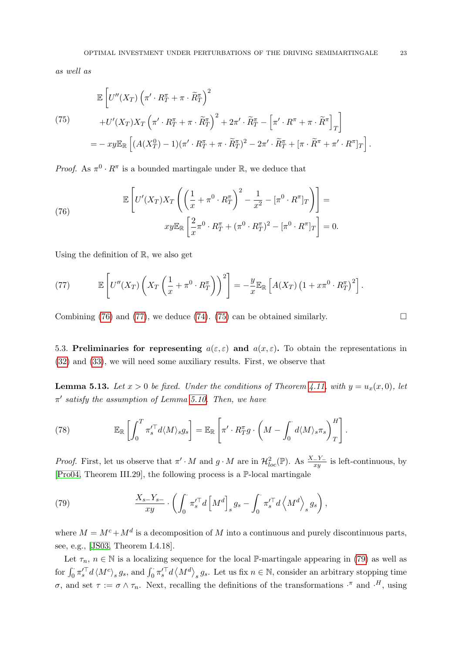as well as

<span id="page-22-4"></span>
$$
\mathbb{E}\left[U''(X_T)\left(\pi'\cdot R_T^{\pi} + \pi\cdot\widetilde{R}_T^{\pi}\right)^2 + U'(X_T)X_T\left(\pi'\cdot R_T^{\pi} + \pi\cdot\widetilde{R}_T^{\pi}\right)^2 + 2\pi'\cdot\widetilde{R}_T^{\pi} - \left[\pi'\cdot R^{\pi} + \pi\cdot\widetilde{R}^{\pi}\right]_T\right]
$$
\n
$$
= -xy\mathbb{E}_{\mathbb{R}}\left[(A(X_T^0) - 1)(\pi'\cdot R_T^{\pi} + \pi\cdot\widetilde{R}_T^{\pi})^2 - 2\pi'\cdot\widetilde{R}_T^{\pi} + [\pi\cdot\widetilde{R}^{\pi} + \pi'\cdot R^{\pi}]_T\right].
$$

*Proof.* As  $\pi^0 \cdot R^{\pi}$  is a bounded martingale under R, we deduce that

<span id="page-22-2"></span>(76) 
$$
\mathbb{E}\left[U'(X_T)X_T\left(\left(\frac{1}{x}+\pi^0\cdot R_T^{\pi}\right)^2-\frac{1}{x^2}-[\pi^0\cdot R^{\pi}]_T\right)\right]=\n x y \mathbb{E}_{\mathbb{R}}\left[\frac{2}{x}\pi^0\cdot R_T^{\pi}+(\pi^0\cdot R_T^{\pi})^2-[\pi^0\cdot R^{\pi}]_T\right]=0.
$$

Using the definition of R, we also get

<span id="page-22-3"></span>(77) 
$$
\mathbb{E}\left[U''(X_T)\left(X_T\left(\frac{1}{x}+\pi^0\cdot R_T^{\pi}\right)\right)^2\right] = -\frac{y}{x}\mathbb{E}_{\mathbb{R}}\left[A(X_T)\left(1+x\pi^0\cdot R_T^{\pi}\right)^2\right].
$$

Combining [\(76\)](#page-22-2) and [\(77\)](#page-22-3), we deduce [\(74\)](#page-21-1). [\(75\)](#page-22-4) can be obtained similarly.  $\square$ 

<span id="page-22-0"></span>5.3. Preliminaries for representing  $a(\varepsilon, \varepsilon)$  and  $a(x, \varepsilon)$ . To obtain the representations in [\(32\)](#page-11-3) and [\(33\)](#page-11-4), we will need some auxiliary results. First, we observe that

<span id="page-22-1"></span>**Lemma 5.13.** Let  $x > 0$  be fixed. Under the conditions of Theorem [4.11,](#page-10-1) with  $y = u_x(x, 0)$ , let  $\pi'$  satisfy the assumption of Lemma [5.10.](#page-20-1) Then, we have

<span id="page-22-6"></span>(78) 
$$
\mathbb{E}_{\mathbb{R}}\left[\int_0^T \pi_s'^{\top} d\langle M \rangle_s g_s\right] = \mathbb{E}_{\mathbb{R}}\left[\pi' \cdot R_T^{\pi} g \cdot \left(M - \int_0^{\cdot} d\langle M \rangle_s \pi_s\right)_T^H\right].
$$

*Proof.* First, let us observe that  $\pi' \cdot M$  and  $g \cdot M$  are in  $\mathcal{H}_{loc}^2(\mathbb{P})$ . As  $\frac{X-Y_-}{xy}$  is left-continuous, by [\[Pro04,](#page-50-11) Theorem III.29], the following process is a P-local martingale

<span id="page-22-5"></span>(79) 
$$
\frac{X_{s-}Y_{s-}}{xy} \cdot \left( \int_0^{\cdot} \pi_s'^{\top} d\left[M^d\right]_s g_s - \int_0^{\cdot} \pi_s'^{\top} d\left\langle M^d \right\rangle_s g_s \right),
$$

where  $M = M^c + M^d$  is a decomposition of M into a continuous and purely discontinuous parts, see, e.g., [\[JS03,](#page-49-22) Theorem I.4.18].

Let  $\tau_n$ ,  $n \in \mathbb{N}$  is a localizing sequence for the local P-martingale appearing in [\(79\)](#page-22-5) as well as for  $\int_0^{\cdot} \pi_s'^{\top} d \langle M^c \rangle_s g_s$ , and  $\int_0^{\cdot} \pi_s'^{\top} d \langle M^d \rangle_s g_s$ . Let us fix  $n \in \mathbb{N}$ , consider an arbitrary stopping time σ, and set  $\tau := \sigma \wedge \tau_n$ . Next, recalling the definitions of the transformations  $\cdot^{\pi}$  and  $\cdot^H$ , using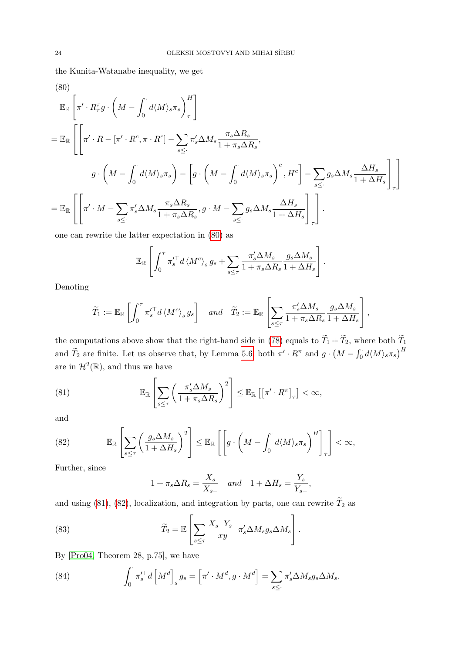the Kunita-Watanabe inequality, we get

<span id="page-23-0"></span>(80)  
\n
$$
\mathbb{E}_{\mathbb{R}}\left[\pi' \cdot R_{\tau}^{\pi} g \cdot \left(M - \int_{0}^{t} d\langle M \rangle_{s} \pi_{s}\right)_{\tau}^{H}\right]
$$
\n
$$
= \mathbb{E}_{\mathbb{R}}\left[\left[\pi' \cdot R - [\pi' \cdot R^{c}, \pi \cdot R^{c}] - \sum_{s \leq t} \pi'_{s} \Delta M_{s} \frac{\pi_{s} \Delta R_{s}}{1 + \pi_{s} \Delta R_{s}},\right. \right. \left. g \cdot \left(M - \int_{0}^{t} d\langle M \rangle_{s} \pi_{s}\right) - \left[g \cdot \left(M - \int_{0}^{t} d\langle M \rangle_{s} \pi_{s}\right)^{c}, H^{c}\right] - \sum_{s \leq t} g_{s} \Delta M_{s} \frac{\Delta H_{s}}{1 + \Delta H_{s}}\right]_{\tau}\right]
$$
\n
$$
= \mathbb{E}_{\mathbb{R}}\left[\left[\pi' \cdot M - \sum_{s \leq t} \pi'_{s} \Delta M_{s} \frac{\pi_{s} \Delta R_{s}}{1 + \pi_{s} \Delta R_{s}}, g \cdot M - \sum_{s \leq t} g_{s} \Delta M_{s} \frac{\Delta H_{s}}{1 + \Delta H_{s}}\right]_{\tau}\right].
$$

one can rewrite the latter expectation in [\(80\)](#page-23-0) as

<span id="page-23-1"></span>
$$
\mathbb{E}_{\mathbb{R}}\left[\int_0^{\tau} \pi_s'^{\top} d\langle M^c \rangle_s g_s + \sum_{s \leq \tau} \frac{\pi_s' \Delta M_s}{1 + \pi_s \Delta R_s} \frac{g_s \Delta M_s}{1 + \Delta H_s}\right].
$$

Denoting

$$
\widetilde{T}_1 := \mathbb{E}_{\mathbb{R}} \left[ \int_0^{\tau} \pi_s^{\prime \top} d \left\langle M^c \right\rangle_s g_s \right] \quad and \quad \widetilde{T}_2 := \mathbb{E}_{\mathbb{R}} \left[ \sum_{s \le \tau} \frac{\pi_s^{\prime} \Delta M_s}{1 + \pi_s \Delta R_s} \frac{g_s \Delta M_s}{1 + \Delta H_s} \right],
$$

the computations above show that the right-hand side in [\(78\)](#page-22-6) equals to  $\widetilde{T}_1 + \widetilde{T}_2$ , where both  $\widetilde{T}_1$ and  $\tilde{T}_2$  are finite. Let us observe that, by Lemma [5.6,](#page-18-0) both  $\pi' \cdot R^{\pi}$  and  $g \cdot (M - \int_0^{\cdot} d\langle M \rangle_s \pi_s)^H$ are in  $\mathcal{H}^2(\mathbb{R})$ , and thus we have

(81) 
$$
\mathbb{E}_{\mathbb{R}}\left[\sum_{s\leq \tau}\left(\frac{\pi_s'\Delta M_s}{1+\pi_s\Delta R_s}\right)^2\right] \leq \mathbb{E}_{\mathbb{R}}\left[\left[\pi'\cdot R^{\pi}\right]_{\tau}\right] < \infty,
$$

and

<span id="page-23-2"></span>(82) 
$$
\mathbb{E}_{\mathbb{R}}\left[\sum_{s\leq\tau}\left(\frac{g_s\Delta M_s}{1+\Delta H_s}\right)^2\right] \leq \mathbb{E}_{\mathbb{R}}\left[\left[g\cdot\left(M-\int_0^{\cdot}d\langle M\rangle_s\pi_s\right)^H\right]_{\tau}\right] < \infty,
$$

Further, since

<span id="page-23-4"></span>
$$
1 + \pi_s \Delta R_s = \frac{X_s}{X_{s-}} \quad and \quad 1 + \Delta H_s = \frac{Y_s}{Y_{s-}},
$$

and using [\(81\)](#page-23-1), [\(82\)](#page-23-2), localization, and integration by parts, one can rewrite  $\widetilde{T}_2$  as

(83) 
$$
\widetilde{T}_2 = \mathbb{E}\left[\sum_{s\leq \tau} \frac{X_{s-}Y_{s-}}{xy} \pi'_s \Delta M_s g_s \Delta M_s\right].
$$

By [\[Pro04,](#page-50-11) Theorem 28, p.75], we have

<span id="page-23-3"></span>(84) 
$$
\int_0^{\cdot} \pi_s^{\prime \top} d \left[ M^d \right]_s g_s = \left[ \pi' \cdot M^d, g \cdot M^d \right] = \sum_{s \leq \cdot} \pi_s' \Delta M_s g_s \Delta M_s.
$$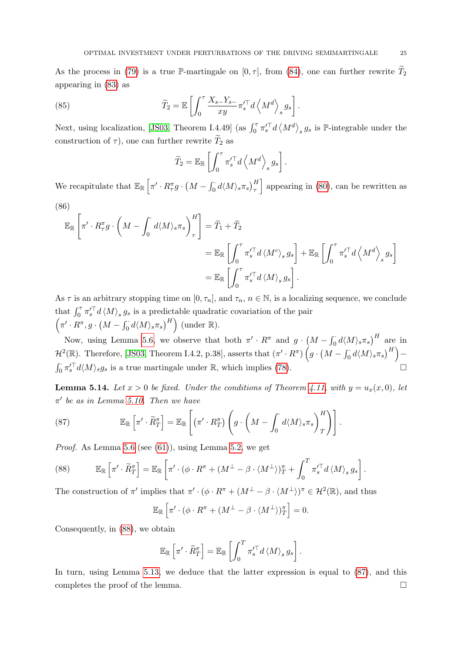As the process in [\(79\)](#page-22-5) is a true P-martingale on  $[0, \tau]$ , from [\(84\)](#page-23-3), one can further rewrite  $T_2$ appearing in [\(83\)](#page-23-4) as

(85) 
$$
\widetilde{T}_2 = \mathbb{E}\left[\int_0^{\tau} \frac{X_{s-} Y_{s-}}{xy} \pi_s^{\prime \top} d \left\langle M^d \right\rangle_s g_s \right].
$$

Next, using localization, [\[JS03,](#page-49-22) Theorem I.4.49] (as  $\int_0^{\tau} \pi_s'^{\top} d \langle M^d \rangle_s g_s$  is P-integrable under the construction of  $\tau$ ), one can further rewrite  $\widetilde{T}_2$  as

$$
\widetilde{T}_2 = \mathbb{E}_{\mathbb{R}} \left[ \int_0^{\tau} \pi_s'^{\top} d \left\langle M^d \right\rangle_s g_s \right].
$$

We recapitulate that  $\mathbb{E}_{\mathbb{R}}\left[\pi'\cdot R_{\tau}^{\pi}g\cdot\left(M-\int_0^{\cdot}d\langle M\rangle_s\pi_s\right)_{\tau}^H\right]$  appearing in [\(80\)](#page-23-0), can be rewritten as (86)

$$
\mathbb{E}_{\mathbb{R}}\left[\pi' \cdot R_{\tau}^{\pi} g \cdot \left(M - \int_0^{\cdot} d\langle M \rangle_s \pi_s\right)_{\tau}^H\right] = \widetilde{T}_1 + \widetilde{T}_2
$$
\n
$$
= \mathbb{E}_{\mathbb{R}}\left[\int_0^{\tau} \pi_s'^{\top} d\langle M^c \rangle_s g_s\right] + \mathbb{E}_{\mathbb{R}}\left[\int_0^{\tau} \pi_s'^{\top} d\langle M^d \rangle_s g_s\right]
$$
\n
$$
= \mathbb{E}_{\mathbb{R}}\left[\int_0^{\tau} \pi_s'^{\top} d\langle M \rangle_s g_s\right].
$$

As  $\tau$  is an arbitrary stopping time on  $[0, \tau_n]$ , and  $\tau_n$ ,  $n \in \mathbb{N}$ , is a localizing sequence, we conclude that  $\int_0^{\tau} \pi_s'^{\top} d \langle M \rangle_s g_s$  is a predictable quadratic covariation of the pair  $\left(\pi' \cdot R^{\pi}, g \cdot \left(M - \int_0^{\cdot} d\langle M \rangle_s \pi_s\right)^H\right)$  (under  $\mathbb{R}$ ).

Now, using Lemma [5.6,](#page-18-0) we observe that both  $\pi'$  ·  $R^{\pi}$  and  $g \cdot (M - \int_0^{\cdot} d\langle M \rangle_s \pi_s)^H$  are in  $\mathcal{H}^2(\mathbb{R})$ . Therefore, [\[JS03,](#page-49-22) Theorem I.4.2, p.38], asserts that  $(\pi' \cdot R^{\pi}) \left( g \cdot \left( M - \int_0^{\cdot} d \langle M \rangle_s \pi_s \right)^H \right) \int_0^{\cdot} \pi_s'^{\top} d\langle M \rangle_s g_s$  is a true martingale under R, which implies [\(78\)](#page-22-6).

<span id="page-24-3"></span>**Lemma 5.14.** Let  $x > 0$  be fixed. Under the conditions of Theorem [4.11,](#page-10-1) with  $y = u_x(x, 0)$ , let  $\pi'$  be as in Lemma [5.10.](#page-20-1) Then we have

<span id="page-24-1"></span>(87) 
$$
\mathbb{E}_{\mathbb{R}}\left[\pi'\cdot\widetilde{R}^{\pi}_T\right] = \mathbb{E}_{\mathbb{R}}\left[\left(\pi'\cdot R^{\pi}_T\right)\left(g\cdot\left(M-\int_0^{\cdot}d\langle M\rangle_s\pi_s\right)_{T}^H\right)\right].
$$

Proof. As Lemma [5.6](#page-18-0) (see [\(61\)](#page-18-1)), using Lemma [5.2,](#page-16-0) we get

<span id="page-24-0"></span>(88) 
$$
\mathbb{E}_{\mathbb{R}}\left[\pi'\cdot\widetilde{R}^{\pi}_T\right] = \mathbb{E}_{\mathbb{R}}\left[\pi'\cdot(\phi\cdot R^{\pi} + (M^{\perp} - \beta\cdot\langle M^{\perp}\rangle)_{T}^{\pi} + \int_0^T \pi'_{s}^{\top}d\langle M\rangle_{s} g_{s}\right].
$$

The construction of  $\pi'$  implies that  $\pi' \cdot (\phi \cdot R^{\pi} + (M^{\perp} - \beta \cdot (M^{\perp}))^{\pi} \in \mathcal{H}^{2}(\mathbb{R})$ , and thus

$$
\mathbb{E}_{\mathbb{R}}\left[\pi'\cdot(\phi\cdot R^{\pi}+(M^{\perp}-\beta\cdot\langle M^{\perp}\rangle)_{T}^{\pi}\right]=0.
$$

Consequently, in [\(88\)](#page-24-0), we obtain

<span id="page-24-2"></span>
$$
\mathbb{E}_{\mathbb{R}}\left[\pi' \cdot \widetilde{R}^{\pi}_T\right] = \mathbb{E}_{\mathbb{R}}\left[\int_0^T \pi'^{\top}_s d \langle M \rangle_s g_s\right].
$$

In turn, using Lemma [5.13,](#page-22-1) we deduce that the latter expression is equal to [\(87\)](#page-24-1), and this completes the proof of the lemma.  $\Box$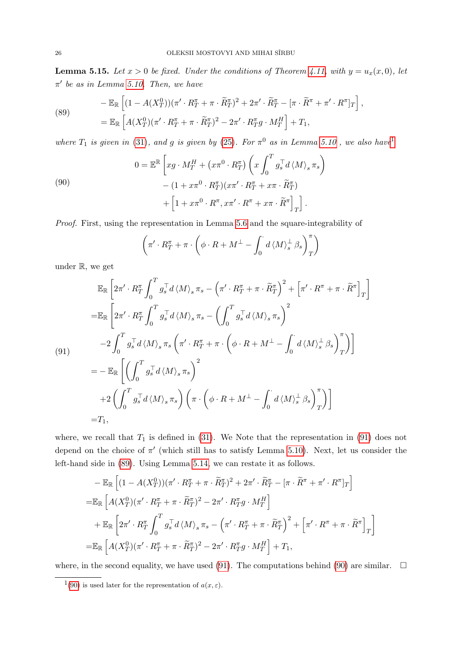<span id="page-25-4"></span>**Lemma 5.15.** Let  $x > 0$  be fixed. Under the conditions of Theorem [4.11,](#page-10-1) with  $y = u_x(x, 0)$ , let  $\pi'$  be as in Lemma [5.10.](#page-20-1) Then, we have

(89)  
\n
$$
-\mathbb{E}_{\mathbb{R}}\left[ (1 - A(X_T^0)) (\pi' \cdot R_T^{\pi} + \pi \cdot \widetilde{R}_T^{\pi})^2 + 2\pi' \cdot \widetilde{R}_T^{\pi} - [\pi \cdot \widetilde{R}^{\pi} + \pi' \cdot R^{\pi}]_T \right],
$$
\n
$$
=\mathbb{E}_{\mathbb{R}}\left[ A(X_T^0)(\pi' \cdot R_T^{\pi} + \pi \cdot \widetilde{R}_T^{\pi})^2 - 2\pi' \cdot R_T^{\pi} g \cdot M_T^H \right] + T_1,
$$

where  $T_1$  $T_1$  is given in [\(31\)](#page-11-5), and g is given by [\(25\)](#page-10-5). For  $\pi^0$  as in Lemma [5.10](#page-20-1), we also have

<span id="page-25-2"></span>(90)  
\n
$$
0 = \mathbb{E}^{\mathbb{R}} \left[ xg \cdot M_T^H + (x\pi^0 \cdot R_T^{\pi}) \left( x \int_0^T g_s^{\top} d \langle M \rangle_s \pi_s \right) - (1 + x\pi^0 \cdot R_T^{\pi}) (x\pi' \cdot R_T^{\pi} + x\pi \cdot \widetilde{R}_T^{\pi}) + \left[ 1 + x\pi^0 \cdot R^{\pi}, x\pi' \cdot R^{\pi} + x\pi \cdot \widetilde{R}^{\pi} \right]_T \right].
$$

Proof. First, using the representation in Lemma [5.6](#page-18-0) and the square-integrability of

$$
\left(\pi' \cdot R_T^{\pi} + \pi \cdot \left(\phi \cdot R + M^{\perp} - \int_0^{\cdot} d \left\langle M \right\rangle_s^{\perp} \beta_s \right)_T^{\pi}\right)
$$

under R, we get

<span id="page-25-1"></span>
$$
\mathbb{E}_{\mathbb{R}}\left[2\pi'\cdot R_{T}^{\pi}\int_{0}^{T}g_{s}^{\pi}d\langle M\rangle_{s}\pi_{s}-\left(\pi'\cdot R_{T}^{\pi}+\pi\cdot\widetilde{R}_{T}^{\pi}\right)^{2}+\left[\pi'\cdot R^{\pi}+\pi\cdot\widetilde{R}^{\pi}\right]_{T}\right]
$$
\n
$$
=\mathbb{E}_{\mathbb{R}}\left[2\pi'\cdot R_{T}^{\pi}\int_{0}^{T}g_{s}^{\pi}d\langle M\rangle_{s}\pi_{s}-\left(\int_{0}^{T}g_{s}^{\pi}d\langle M\rangle_{s}\pi_{s}\right)^{2}
$$
\n
$$
-2\int_{0}^{T}g_{s}^{\pi}d\langle M\rangle_{s}\pi_{s}\left(\pi'\cdot R_{T}^{\pi}+\pi\cdot\left(\phi\cdot R+M^{\perp}-\int_{0}^{'}d\langle M\rangle_{s}^{\perp}\beta_{s}\right)_{T}^{\pi}\right)\right]
$$
\n
$$
=-\mathbb{E}_{\mathbb{R}}\left[\left(\int_{0}^{T}g_{s}^{\pi}d\langle M\rangle_{s}\pi_{s}\right)^{2}
$$
\n
$$
+2\left(\int_{0}^{T}g_{s}^{\pi}d\langle M\rangle_{s}\pi_{s}\right)\left(\pi\cdot\left(\phi\cdot R+M^{\perp}-\int_{0}^{'}d\langle M\rangle_{s}^{\perp}\beta_{s}\right)_{T}^{\pi}\right)\right]
$$
\n
$$
=T_{1},
$$

where, we recall that  $T_1$  is defined in [\(31\)](#page-11-5). We Note that the representation in [\(91\)](#page-25-1) does not depend on the choice of  $\pi'$  (which still has to satisfy Lemma [5.10\)](#page-20-1). Next, let us consider the left-hand side in [\(89\)](#page-24-2). Using Lemma [5.14,](#page-24-3) we can restate it as follows.

<span id="page-25-3"></span>
$$
-\mathbb{E}_{\mathbb{R}}\left[ (1 - A(X_T^0))(\pi' \cdot R_T^{\pi} + \pi \cdot \widetilde{R}_T^{\pi})^2 + 2\pi' \cdot \widetilde{R}_T^{\pi} - [\pi \cdot \widetilde{R}^{\pi} + \pi' \cdot R^{\pi}]_T \right]
$$
  
\n=
$$
\mathbb{E}_{\mathbb{R}}\left[ A(X_T^0)(\pi' \cdot R_T^{\pi} + \pi \cdot \widetilde{R}_T^{\pi})^2 - 2\pi' \cdot R_T^{\pi} g \cdot M_T^H \right]
$$
  
\n
$$
+\mathbb{E}_{\mathbb{R}}\left[ 2\pi' \cdot R_T^{\pi} \int_0^T g_s^{\pi} d \langle M \rangle_s \pi_s - (\pi' \cdot R_T^{\pi} + \pi \cdot \widetilde{R}_T^{\pi})^2 + \left[ \pi' \cdot R^{\pi} + \pi \cdot \widetilde{R}^{\pi} \right]_T \right]
$$
  
\n=
$$
\mathbb{E}_{\mathbb{R}}\left[ A(X_T^0)(\pi' \cdot R_T^{\pi} + \pi \cdot \widetilde{R}_T^{\pi})^2 - 2\pi' \cdot R_T^{\pi} g \cdot M_T^H \right] + T_1,
$$

where, in the second equality, we have used [\(91\)](#page-25-1). The computations behind [\(90\)](#page-25-2) are similar.  $\Box$ 

<span id="page-25-0"></span><sup>&</sup>lt;sup>1</sup>[\(90\)](#page-25-2) is used later for the representation of  $a(x, \varepsilon)$ .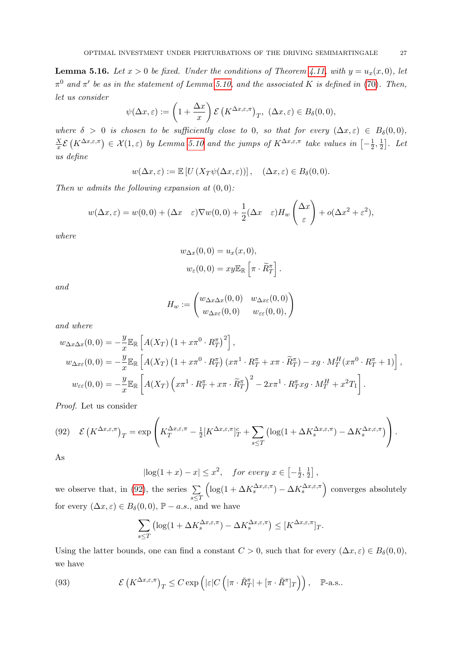<span id="page-26-0"></span>**Lemma 5.16.** Let  $x > 0$  be fixed. Under the conditions of Theorem [4.11,](#page-10-1) with  $y = u_x(x, 0)$ , let  $\pi^0$  and  $\pi'$  be as in the statement of Lemma [5.10,](#page-20-1) and the associated K is defined in [\(70\)](#page-20-4). Then, let us consider

$$
\psi(\Delta x, \varepsilon) := \left(1 + \frac{\Delta x}{x}\right) \mathcal{E}\left(K^{\Delta x, \varepsilon, \pi}\right)_T, \ (\Delta x, \varepsilon) \in B_\delta(0, 0),
$$

where  $\delta > 0$  is chosen to be sufficiently close to 0, so that for every  $(\Delta x, \varepsilon) \in B_\delta(0,0)$ ,  $\overline{X}$  $\frac{X}{x}\mathcal{E}\left(K^{\Delta x,\varepsilon,\pi}\right)\in\mathcal{X}(1,\varepsilon)$  by Lemma [5.10](#page-20-1) and the jumps of  $K^{\Delta x,\varepsilon,\pi}$  take values in  $\left[-\frac{1}{2},0\right]$  $\frac{1}{2}, \frac{1}{2}$  $\frac{1}{2}$ . Let us define

$$
w(\Delta x, \varepsilon) := \mathbb{E}\left[U\left(X_T\psi(\Delta x, \varepsilon)\right)\right], \quad (\Delta x, \varepsilon) \in B_\delta(0, 0).
$$

Then w admits the following expansion at  $(0, 0)$ :

$$
w(\Delta x, \varepsilon) = w(0, 0) + (\Delta x \quad \varepsilon) \nabla w(0, 0) + \frac{1}{2} (\Delta x \quad \varepsilon) H_w \left( \frac{\Delta x}{\varepsilon} \right) + o(\Delta x^2 + \varepsilon^2),
$$

where

$$
w_{\Delta x}(0,0) = u_x(x,0),
$$
  

$$
w_{\varepsilon}(0,0) = xy \mathbb{E}_{\mathbb{R}} \left[ \pi \cdot \widetilde{R}_T^{\pi} \right]
$$

.

and

$$
H_w := \begin{pmatrix} w_{\Delta x \Delta x}(0,0) & w_{\Delta x \varepsilon}(0,0) \\ w_{\Delta x \varepsilon}(0,0) & w_{\varepsilon \varepsilon}(0,0), \end{pmatrix}
$$

and where

$$
w_{\Delta x\Delta x}(0,0) = -\frac{y}{x} \mathbb{E}_{\mathbb{R}} \left[ A(X_T) \left( 1 + x\pi^0 \cdot R_T^{\pi} \right)^2 \right],
$$
  
\n
$$
w_{\Delta x\varepsilon}(0,0) = -\frac{y}{x} \mathbb{E}_{\mathbb{R}} \left[ A(X_T) \left( 1 + x\pi^0 \cdot R_T^{\pi} \right) \left( x\pi^1 \cdot R_T^{\pi} + x\pi \cdot \widetilde{R}_T^{\pi} \right) - xg \cdot M_T^H (x\pi^0 \cdot R_T^{\pi} + 1) \right],
$$
  
\n
$$
w_{\varepsilon\varepsilon}(0,0) = -\frac{y}{x} \mathbb{E}_{\mathbb{R}} \left[ A(X_T) \left( x\pi^1 \cdot R_T^{\pi} + x\pi \cdot \widetilde{R}_T^{\pi} \right)^2 - 2x\pi^1 \cdot R_T^{\pi} xg \cdot M_T^H + x^2 T_1 \right].
$$

Proof. Let us consider

$$
(92) \quad \mathcal{E}\left(K^{\Delta x,\varepsilon,\pi}\right)_T = \exp\left(K_T^{\Delta x,\varepsilon,\pi} - \frac{1}{2}[K^{\Delta x,\varepsilon,\pi}]_T^c + \sum_{s\leq T} \left(\log(1+\Delta K_s^{\Delta x,\varepsilon,\pi}) - \Delta K_s^{\Delta x,\varepsilon,\pi}\right)\right).
$$

As

 $|\log(1+x)-x| \leq x^2$ , for every  $x \in \left[-\frac{1}{2}\right]$  $\frac{1}{2}, \frac{1}{2}$  $\frac{1}{2}$ ,

we observe that, in [\(92\)](#page-25-3), the series  $\Sigma$ s≤T  $\left(\log(1 + \Delta K_s^{\Delta x, \varepsilon, \pi}) - \Delta K_s^{\Delta x, \varepsilon, \pi}\right)$  converges absolutely for every  $(\Delta x, \varepsilon) \in B_\delta(0, 0)$ ,  $\mathbb{P} - a.s.$ , and we have

$$
\sum_{s\leq T} \left(\log(1 + \Delta K_s^{\Delta x,\varepsilon,\pi}) - \Delta K_s^{\Delta x,\varepsilon,\pi}\right) \leq [K^{\Delta x,\varepsilon,\pi}]_T.
$$

Using the latter bounds, one can find a constant  $C > 0$ , such that for every  $(\Delta x, \varepsilon) \in B_\delta(0, 0)$ , we have

(93) 
$$
\mathcal{E}\left(K^{\Delta x,\varepsilon,\pi}\right)_T \leq C \exp\left(|\varepsilon| C\left(|\pi \cdot \tilde{R}^\pi_T| + [\pi \cdot \tilde{R}^\pi]_T\right)\right), \quad \mathbb{P}\text{-a.s.}.
$$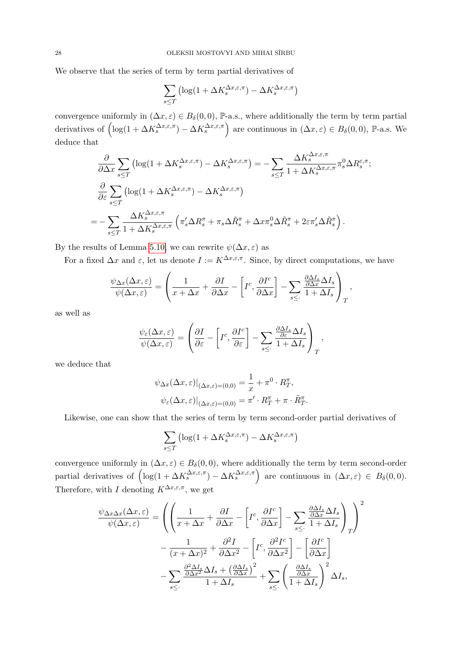We observe that the series of term by term partial derivatives of

$$
\sum_{s \le T} \left( \log(1 + \Delta K_s^{\Delta x, \varepsilon, \pi}) - \Delta K_s^{\Delta x, \varepsilon, \pi} \right)
$$

convergence uniformly in  $(\Delta x, \varepsilon) \in B_\delta(0, 0)$ , P-a.s., where additionally the term by term partial derivatives of  $\left(\log(1+\Delta K_s^{\Delta x,\varepsilon,\pi})-\Delta K_s^{\Delta x,\varepsilon,\pi}\right)$  are continuous in  $(\Delta x,\varepsilon) \in B_\delta(0,0)$ , P-a.s. We deduce that

$$
\frac{\partial}{\partial \Delta x} \sum_{s \leq T} \left( \log(1 + \Delta K_s^{\Delta x, \varepsilon, \pi}) - \Delta K_s^{\Delta x, \varepsilon, \pi} \right) = -\sum_{s \leq T} \frac{\Delta K_s^{\Delta x, \varepsilon, \pi}}{1 + \Delta K_s^{\Delta x, \varepsilon, \pi}} \pi_s^0 \Delta R_s^{\varepsilon, \pi};
$$
\n
$$
\frac{\partial}{\partial \varepsilon} \sum_{s \leq T} \left( \log(1 + \Delta K_s^{\Delta x, \varepsilon, \pi}) - \Delta K_s^{\Delta x, \varepsilon, \pi} \right)
$$
\n
$$
= -\sum_{s \leq T} \frac{\Delta K_s^{\Delta x, \varepsilon, \pi}}{1 + \Delta K_s^{\Delta x, \varepsilon, \pi}} \left( \pi_s' \Delta R_s^{\pi} + \pi_s \Delta \tilde{R}_s^{\pi} + \Delta x \pi_s^0 \Delta \tilde{R}_s^{\pi} + 2\varepsilon \pi_s' \Delta \tilde{R}_s^{\pi} \right).
$$

By the results of Lemma [5.10,](#page-20-1) we can rewrite  $\psi(\Delta x, \varepsilon)$  as

For a fixed  $\Delta x$  and  $\varepsilon$ , let us denote  $I := K^{\Delta x, \varepsilon, \pi}$ . Since, by direct computations, we have

$$
\frac{\psi_{\Delta x}(\Delta x, \varepsilon)}{\psi(\Delta x, \varepsilon)} = \left(\frac{1}{x + \Delta x} + \frac{\partial I}{\partial \Delta x} - \left[I^c, \frac{\partial I^c}{\partial \Delta x}\right] - \sum_{s \leq 1} \frac{\frac{\partial \Delta I_s}{\partial \Delta x} \Delta I_s}{1 + \Delta I_s}\right)_T,
$$

as well as

$$
\frac{\psi_{\varepsilon}(\Delta x, \varepsilon)}{\psi(\Delta x, \varepsilon)} = \left( \frac{\partial I}{\partial \varepsilon} - \left[ I^c, \frac{\partial I^c}{\partial \varepsilon} \right] - \sum_{s \leq 0} \frac{\frac{\partial \Delta I_s}{\partial \varepsilon} \Delta I_s}{1 + \Delta I_s} \right)_T,
$$

we deduce that

$$
\psi_{\Delta x}(\Delta x, \varepsilon)|_{(\Delta x, \varepsilon) = (0, 0)} = \frac{1}{x} + \pi^0 \cdot R_T^{\pi},
$$
  

$$
\psi_{\varepsilon}(\Delta x, \varepsilon)|_{(\Delta x, \varepsilon) = (0, 0)} = \pi' \cdot R_T^{\pi} + \pi \cdot \tilde{R}_T^{\pi}.
$$

Likewise, one can show that the series of term by term second-order partial derivatives of

$$
\sum_{s\leq T}\left(\log(1+\Delta K_{s}^{\Delta x,\varepsilon,\pi})-\Delta K_{s}^{\Delta x,\varepsilon,\pi}\right)
$$

convergence uniformly in  $(\Delta x, \varepsilon) \in B_\delta(0,0)$ , where additionally the term by term second-order partial derivatives of  $\left( \log(1 + \Delta K_s^{\Delta x, \varepsilon, \pi}) - \Delta K_s^{\Delta x, \varepsilon, \pi} \right)$  are continuous in  $(\Delta x, \varepsilon) \in B_\delta(0, 0)$ . Therefore, with  $I$  denoting  $K^{\Delta x,\varepsilon,\pi}$ , we get

$$
\frac{\psi_{\Delta x \Delta x}(\Delta x, \varepsilon)}{\psi(\Delta x, \varepsilon)} = \left( \left( \frac{1}{x + \Delta x} + \frac{\partial I}{\partial \Delta x} - \left[ I^c, \frac{\partial I^c}{\partial \Delta x} \right] - \sum_{s \leq 1} \frac{\frac{\partial \Delta I_s}{\partial \Delta x} \Delta I_s}{1 + \Delta I_s} \right)_T \right)^2
$$

$$
- \frac{1}{(x + \Delta x)^2} + \frac{\partial^2 I}{\partial \Delta x^2} - \left[ I^c, \frac{\partial^2 I^c}{\partial \Delta x^2} \right] - \left[ \frac{\partial I^c}{\partial \Delta x} \right]
$$

$$
- \sum_{s \leq 1} \frac{\frac{\partial^2 \Delta I_s}{\partial \Delta x^2} \Delta I_s + \left( \frac{\partial \Delta I_s}{\partial \Delta x} \right)^2}{1 + \Delta I_s} + \sum_{s \leq 1} \left( \frac{\frac{\partial \Delta I_s}{\partial \Delta x}}{1 + \Delta I_s} \right)^2 \Delta I_s,
$$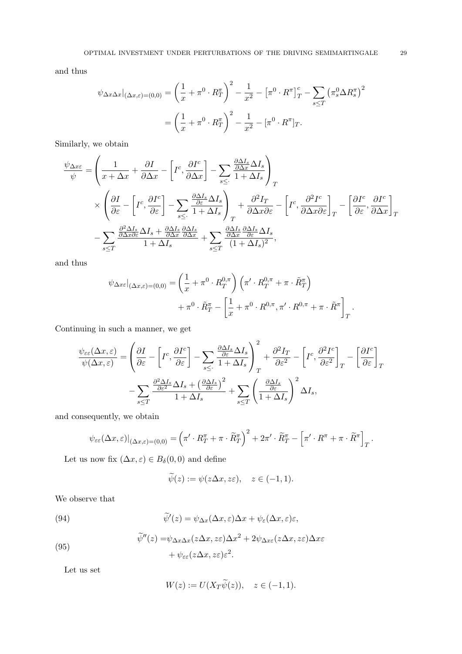and thus

$$
\psi_{\Delta x \Delta x}|_{(\Delta x, \varepsilon) = (0, 0)} = \left(\frac{1}{x} + \pi^0 \cdot R_T^{\pi}\right)^2 - \frac{1}{x^2} - \left[\pi^0 \cdot R^{\pi}\right]_T^c - \sum_{s \le T} \left(\pi_s^0 \Delta R_s^{\pi}\right)^2
$$

$$
= \left(\frac{1}{x} + \pi^0 \cdot R_T^{\pi}\right)^2 - \frac{1}{x^2} - \left[\pi^0 \cdot R^{\pi}\right]_T.
$$

Similarly, we obtain

$$
\begin{split} \frac{\psi_{\Delta x\varepsilon}}{\psi} & = \left(\frac{1}{x+\Delta x}+\frac{\partial I}{\partial \Delta x}-\left[I^c,\frac{\partial I^c}{\partial \Delta x}\right]-\sum_{s\leq \cdot} \frac{\frac{\partial \Delta I_s}{\partial \Delta x}\Delta I_s}{1+\Delta I_s}\right)_T\\ &\times\left(\frac{\partial I}{\partial\varepsilon}-\left[I^c,\frac{\partial I^c}{\partial\varepsilon}\right]-\sum_{s\leq \cdot} \frac{\frac{\partial \Delta I_s}{\partial\varepsilon}\Delta I_s}{1+\Delta I_s}\right)_T+\frac{\partial^2 I_T}{\partial \Delta x\partial\varepsilon}-\left[I^c,\frac{\partial^2 I^c}{\partial \Delta x\partial\varepsilon}\right]_T-\left[\frac{\partial I^c}{\partial\varepsilon},\frac{\partial I^c}{\partial \Delta x}\right]_T\\ & -\sum_{s\leq T}\frac{\frac{\partial^2 \Delta I_s}{\partial \Delta x\partial\varepsilon}\Delta I_s+\frac{\partial \Delta I_s}{\partial \Delta x}\frac{\partial \Delta I_s}{\partial \Delta x}}{\partial \Delta x}+\sum_{s\leq T}\frac{\frac{\partial \Delta I_s}{\partial \Delta x}\frac{\partial \Delta I_s}{\partial\varepsilon}\Delta I_s}{(1+\Delta I_s)^2}, \end{split}
$$

and thus

$$
\psi_{\Delta x\varepsilon}|_{(\Delta x,\varepsilon)=(0,0)} = \left(\frac{1}{x} + \pi^0 \cdot R_T^{0,\pi}\right) \left(\pi' \cdot R_T^{0,\pi} + \pi \cdot \tilde{R}_T^{\pi}\right) \n+ \pi^0 \cdot \tilde{R}_T^{\pi} - \left[\frac{1}{x} + \pi^0 \cdot R^{0,\pi}, \pi' \cdot R^{0,\pi} + \pi \cdot \tilde{R}^{\pi}\right]_T.
$$

Continuing in such a manner, we get

$$
\frac{\psi_{\varepsilon\varepsilon}(\Delta x,\varepsilon)}{\psi(\Delta x,\varepsilon)} = \left(\frac{\partial I}{\partial \varepsilon} - \left[I^c, \frac{\partial I^c}{\partial \varepsilon}\right] - \sum_{s\leq \cdot} \frac{\frac{\partial \Delta I_s}{\partial \varepsilon} \Delta I_s}{1 + \Delta I_s}\right)_T^2 + \frac{\partial^2 I_T}{\partial \varepsilon^2} - \left[I^c, \frac{\partial^2 I^c}{\partial \varepsilon^2}\right]_T - \left[\frac{\partial I^c}{\partial \varepsilon}\right]_T
$$

$$
- \sum_{s\leq T} \frac{\frac{\partial^2 \Delta I_s}{\partial \varepsilon^2} \Delta I_s + \left(\frac{\partial \Delta I_s}{\partial \varepsilon}\right)^2}{1 + \Delta I_s} + \sum_{s\leq T} \left(\frac{\frac{\partial \Delta I_s}{\partial \varepsilon}}{1 + \Delta I_s}\right)^2 \Delta I_s,
$$

and consequently, we obtain

$$
\psi_{\varepsilon\varepsilon}(\Delta x,\varepsilon)|_{(\Delta x,\varepsilon)=(0,0)} = \left(\pi' \cdot R_T^{\pi} + \pi \cdot \widetilde{R}_T^{\pi}\right)^2 + 2\pi' \cdot \widetilde{R}_T^{\pi} - \left[\pi' \cdot R^{\pi} + \pi \cdot \widetilde{R}^{\pi}\right]_T.
$$

Let us now fix  $(\Delta x, \varepsilon) \in B_\delta(0, 0)$  and define

$$
\widetilde{\psi}(z) := \psi(z\Delta x, z\varepsilon), \quad z \in (-1, 1).
$$

We observe that

(94) 
$$
\widetilde{\psi}'(z) = \psi_{\Delta x}(\Delta x, \varepsilon) \Delta x + \psi_{\varepsilon}(\Delta x, \varepsilon) \varepsilon,
$$

$$
\widetilde{\psi}''(z) = \psi_{\Delta x \Delta x}(z \Delta x, z \varepsilon) \Delta x^2 + 2\psi_{\Delta x \varepsilon}(z \Delta x, z \varepsilon) \Delta x \varepsilon \n+ \psi_{\varepsilon \varepsilon}(z \Delta x, z \varepsilon) \varepsilon^2.
$$

Let us set

(95)

$$
W(z) := U(X_T \tilde{\psi}(z)), \quad z \in (-1, 1).
$$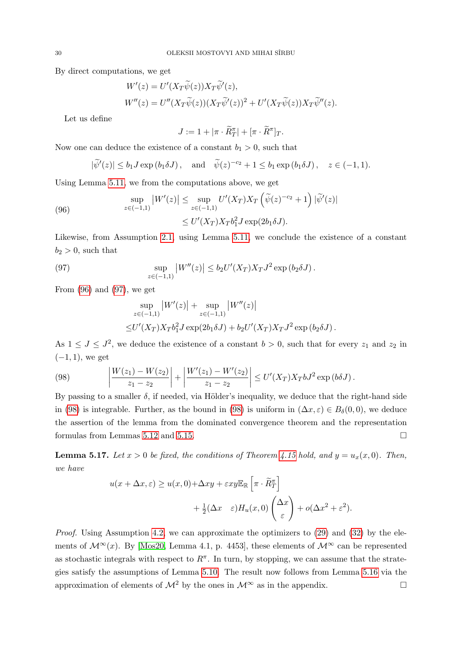<span id="page-29-0"></span>By direct computations, we get

$$
W'(z) = U'(X_T \widetilde{\psi}(z)) X_T \widetilde{\psi}'(z),
$$
  
\n
$$
W''(z) = U''(X_T \widetilde{\psi}(z))(X_T \widetilde{\psi}'(z))^2 + U'(X_T \widetilde{\psi}(z)) X_T \widetilde{\psi}''(z).
$$

Let us define

$$
J := 1 + |\pi \cdot \widetilde{R}^{\pi}_T| + [\pi \cdot \widetilde{R}^{\pi}]_T.
$$

Now one can deduce the existence of a constant  $b_1 > 0$ , such that

$$
|\widetilde{\psi}'(z)| \le b_1 J \exp(b_1 \delta J)
$$
, and  $\widetilde{\psi}(z)^{-c_2} + 1 \le b_1 \exp(b_1 \delta J)$ ,  $z \in (-1, 1)$ .

Using Lemma [5.11,](#page-21-2) we from the computations above, we get

(96) 
$$
\sup_{z \in (-1,1)} |W'(z)| \leq \sup_{z \in (-1,1)} U'(X_T) X_T \left( \widetilde{\psi}(z)^{-c_2} + 1 \right) |\widetilde{\psi}'(z)|
$$

$$
\leq U'(X_T) X_T b_1^2 J \exp(2b_1 \delta J).
$$

Likewise, from Assumption [2.1,](#page-5-3) using Lemma [5.11,](#page-21-2) we conclude the existence of a constant  $b_2 > 0$ , such that

(97) 
$$
\sup_{z \in (-1,1)} |W''(z)| \le b_2 U'(X_T) X_T J^2 \exp(b_2 \delta J).
$$

<span id="page-29-2"></span>From  $(96)$  and  $(97)$ , we get

<span id="page-29-1"></span>
$$
\sup_{z \in (-1,1)} |W'(z)| + \sup_{z \in (-1,1)} |W''(z)|
$$
  
 
$$
\leq U'(X_T) X_T b_1^2 J \exp(2b_1 \delta J) + b_2 U'(X_T) X_T J^2 \exp(b_2 \delta J).
$$

As  $1 \leq J \leq J^2$ , we deduce the existence of a constant  $b > 0$ , such that for every  $z_1$  and  $z_2$  in  $(-1, 1)$ , we get

(98) 
$$
\left| \frac{W(z_1) - W(z_2)}{z_1 - z_2} \right| + \left| \frac{W'(z_1) - W'(z_2)}{z_1 - z_2} \right| \le U'(X_T) X_T b J^2 \exp\left(b \delta J\right).
$$

By passing to a smaller  $\delta$ , if needed, via Hölder's inequality, we deduce that the right-hand side in [\(98\)](#page-29-2) is integrable. Further, as the bound in (98) is uniform in  $(\Delta x, \varepsilon) \in B_\delta(0,0)$ , we deduce the assertion of the lemma from the dominated convergence theorem and the representation formulas from Lemmas [5.12](#page-21-3) and [5.15.](#page-25-4)

<span id="page-29-4"></span>**Lemma 5.17.** Let  $x > 0$  be fixed, the conditions of Theorem [4.15](#page-12-3) hold, and  $y = u_x(x, 0)$ . Then, we have

$$
u(x + \Delta x, \varepsilon) \ge u(x, 0) + \Delta xy + \varepsilon xy \mathbb{E}_{\mathbb{R}} \left[ \pi \cdot \widetilde{R}^{\pi}_T \right] + \frac{1}{2} (\Delta x \quad \varepsilon) H_u(x, 0) \begin{pmatrix} \Delta x \\ \varepsilon \end{pmatrix} + o(\Delta x^2 + \varepsilon^2).
$$

<span id="page-29-3"></span>Proof. Using Assumption [4.2,](#page-9-2) we can approximate the optimizers to [\(29\)](#page-11-1) and [\(32\)](#page-11-3) by the elements of  $\mathcal{M}^{\infty}(x)$ . By [\[Mos20,](#page-50-6) Lemma 4.1, p. 4453], these elements of  $\mathcal{M}^{\infty}$  can be represented as stochastic integrals with respect to  $R^{\pi}$ . In turn, by stopping, we can assume that the strategies satisfy the assumptions of Lemma [5.10.](#page-20-1) The result now follows from Lemma [5.16](#page-26-0) via the approximation of elements of  $\mathcal{M}^2$  by the ones in  $\mathcal{M}^{\infty}$  as in the appendix.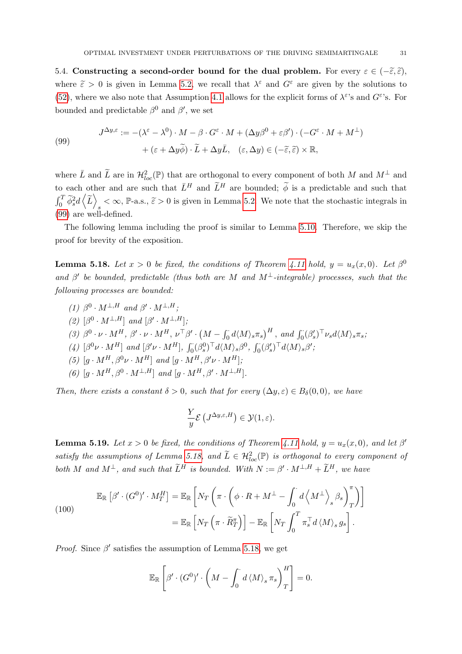<span id="page-30-0"></span>5.4. Constructing a second-order bound for the dual problem. For every  $\varepsilon \in (-\tilde{\varepsilon}, \tilde{\varepsilon})$ , where  $\tilde{\varepsilon} > 0$  is given in Lemma [5.2,](#page-16-0) we recall that  $\lambda^{\varepsilon}$  and  $G^{\varepsilon}$  are given by the solutions to [\(52\)](#page-15-3), where we also note that Assumption [4.1](#page-9-3) allows for the explicit forms of  $\lambda^{\varepsilon}$ 's and  $G^{\varepsilon}$ 's. For bounded and predictable  $\beta^0$  and  $\beta'$ , we set

(99)  

$$
J^{\Delta y,\varepsilon} := -(\lambda^{\varepsilon} - \lambda^0) \cdot M - \beta \cdot G^{\varepsilon} \cdot M + (\Delta y \beta^0 + \varepsilon \beta') \cdot (-G^{\varepsilon} \cdot M + M^{\perp}) + (\varepsilon + \Delta y \widetilde{\phi}) \cdot \widetilde{L} + \Delta y \bar{L}, \quad (\varepsilon, \Delta y) \in (-\widetilde{\varepsilon}, \widetilde{\varepsilon}) \times \mathbb{R},
$$

where  $\overline{L}$  and  $\widetilde{L}$  are in  $\mathcal{H}_{loc}^2(\mathbb{P})$  that are orthogonal to every component of both M and  $M^{\perp}$  and to each other and are such that  $\bar{L}^H$  and  $\tilde{L}^H$  are bounded;  $\tilde{\phi}$  is a predictable and such that  $\int_0^T \widetilde{\phi}_s^2 d\left\langle \widetilde{L} \right\rangle$  $\leq \infty$ , P-a.s.,  $\tilde{\varepsilon} > 0$  is given in Lemma [5.2.](#page-16-0) We note that the stochastic integrals in [\(99\)](#page-29-3) are well-defined.

The following lemma including the proof is similar to Lemma [5.10.](#page-20-1) Therefore, we skip the proof for brevity of the exposition.

<span id="page-30-1"></span>**Lemma 5.18.** Let  $x > 0$  be fixed, the conditions of Theorem [4.11](#page-10-1) hold,  $y = u_x(x, 0)$ . Let  $\beta^0$ and  $\beta'$  be bounded, predictable (thus both are M and  $M^{\perp}$ -integrable) processes, such that the following processes are bounded:

(1)  $\beta^0 \cdot M^{\perp,H}$  and  $\beta' \cdot M^{\perp,H}$ ; (2)  $\lceil \beta^0 \cdot M^{\perp,H} \rceil$  and  $\lceil \beta' \cdot M^{\perp,H} \rceil$ ; (3)  $\beta^0 \cdot \nu \cdot M^H$ ,  $\beta' \cdot \nu \cdot M^H$ ,  $\nu^{\top} \beta' \cdot (M - \int_0^{\cdot} d\langle M \rangle_s \pi_s)^H$ , and  $\int_0^{\cdot} (\beta'_s)^{\top} \nu_s d\langle M \rangle_s \pi_s$ , (4)  $[\beta^0 \nu \cdot M^H]$  and  $[\beta' \nu \cdot M^H]$ ,  $\int_0^{\cdot} (\beta_s^0)^{\top} d\langle M \rangle_s \beta^0$ ,  $\int_0^{\cdot} (\beta_s')^{\top} d\langle M \rangle_s \beta'$ ; (5)  $[g \cdot M^H, \beta^0 \nu \cdot M^H]$  and  $[g \cdot M^H, \beta' \nu \cdot M^H]$ ; (6)  $[g \cdot M^H, \beta^0 \cdot M^{\perp, H}]$  and  $[g \cdot M^H, \beta' \cdot M^{\perp, H}]$ .

Then, there exists a constant  $\delta > 0$ , such that for every  $(\Delta y, \varepsilon) \in B_{\delta}(0,0)$ , we have

$$
\frac{Y}{y}\mathcal{E}\left(J^{\Delta y,\varepsilon,H}\right)\in\mathcal{Y}(1,\varepsilon).
$$

<span id="page-30-3"></span>**Lemma 5.19.** Let  $x > 0$  be fixed, the conditions of Theorem [4.11](#page-10-1) hold,  $y = u_x(x, 0)$ , and let  $\beta'$ satisfy the assumptions of Lemma [5.18,](#page-30-1) and  $\widetilde{L} \in \mathcal{H}^2_{loc}(\mathbb{P})$  is orthogonal to every component of both M and  $M^{\perp}$ , and such that  $\widetilde{L}^{H}$  is bounded. With  $N := \beta' \cdot M^{\perp,H} + \widetilde{L}^{H}$ , we have

<span id="page-30-2"></span>(100)  
\n
$$
\mathbb{E}_{\mathbb{R}}\left[\beta' \cdot (G^0)' \cdot M_T^H\right] = \mathbb{E}_{\mathbb{R}}\left[N_T\left(\pi \cdot \left(\phi \cdot R + M^\perp - \int_0^{\cdot} d\left\langle M^\perp\right\rangle_s \beta_s\right)_T^{\pi}\right)\right]
$$
\n
$$
= \mathbb{E}_{\mathbb{R}}\left[N_T\left(\pi \cdot \widetilde{R}_T^{\pi}\right)\right] - \mathbb{E}_{\mathbb{R}}\left[N_T\int_0^T \pi_s^\top d\left\langle M\right\rangle_s g_s\right].
$$

*Proof.* Since  $\beta'$  satisfies the assumption of Lemma [5.18,](#page-30-1) we get

$$
\mathbb{E}_{\mathbb{R}}\left[\beta'\cdot (G^0)' \cdot \left(M - \int_0^{\cdot} d\left\langle M\right\rangle_s \pi_s\right)_T^H\right] = 0.
$$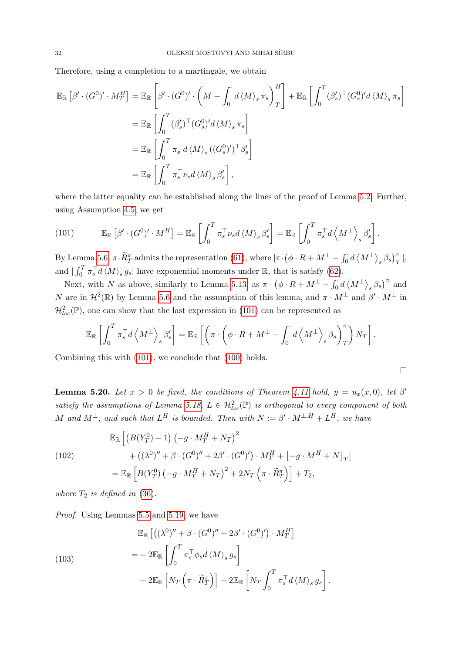Therefore, using a completion to a martingale, we obtain

<span id="page-31-0"></span>
$$
\mathbb{E}_{\mathbb{R}}\left[\beta'\cdot (G^{0})'\cdot M_{T}^{H}\right] = \mathbb{E}_{\mathbb{R}}\left[\beta'\cdot (G^{0})'\cdot \left(M-\int_{0}^{T}d\left\langle M\right\rangle_{s}\pi_{s}\right)_{T}^{H}\right] + \mathbb{E}_{\mathbb{R}}\left[\int_{0}^{T}(\beta'_{s})^{T}(G_{s}^{0})'d\left\langle M\right\rangle_{s}\pi_{s}\right]
$$
  
\n
$$
= \mathbb{E}_{\mathbb{R}}\left[\int_{0}^{T}\left(\beta'_{s}\right)^{T}(G_{s}^{0})'d\left\langle M\right\rangle_{s}\pi_{s}\right]
$$
  
\n
$$
= \mathbb{E}_{\mathbb{R}}\left[\int_{0}^{T}\pi_{s}^{T}d\left\langle M\right\rangle_{s}\left((G_{s}^{0})'\right)^{T}\beta'_{s}\right]
$$
  
\n
$$
= \mathbb{E}_{\mathbb{R}}\left[\int_{0}^{T}\pi_{s}^{T}\nu_{s}d\left\langle M\right\rangle_{s}\beta'_{s}\right],
$$

where the latter equality can be established along the lines of the proof of Lemma [5.2.](#page-16-0) Further, using Assumption [4.5,](#page-10-0) we get

(101) 
$$
\mathbb{E}_{\mathbb{R}}\left[\beta'\cdot (G^0)' \cdot M^H\right] = \mathbb{E}_{\mathbb{R}}\left[\int_0^T \pi_s^\top \nu_s d\langle M \rangle_s \beta'_s\right] = \mathbb{E}_{\mathbb{R}}\left[\int_0^T \pi_s^\top d\left\langle M^\perp \right\rangle_s \beta'_s\right].
$$

By Lemma [5.6,](#page-18-0)  $\pi \cdot \widetilde{R}^{\pi}_T$  admits the representation [\(61\)](#page-18-1), where  $|\pi \cdot (\phi \cdot R + M^{\perp} - \int_0^{\cdot} d \langle M^{\perp} \rangle_s \beta_s)^{\pi}_T|$ , and  $\int_0^T \pi_s^\top d\langle M \rangle_s g_s$  have exponential moments under R, that is satisfy [\(62\)](#page-18-3).

Next, with N as above, similarly to Lemma [5.13,](#page-22-1) as  $\pi \cdot (\phi \cdot R + M^{\perp} - \int_0^{\cdot} d \langle M^{\perp} \rangle_s \beta_s)^{\pi}$  and N are in  $\mathcal{H}^2(\mathbb{R})$  by Lemma [5.6](#page-18-0) and the assumption of this lemma, and  $\pi \cdot M^{\perp}$  and  $\beta' \cdot M^{\perp}$  in  $\mathcal{H}^2_{loc}(\mathbb{P})$ , one can show that the last expression in [\(101\)](#page-31-0) can be represented as

$$
\mathbb{E}_{\mathbb{R}}\left[\int_0^T \pi_s^\top d\left\langle M^\perp \right\rangle_s \beta_s' \right] = \mathbb{E}_{\mathbb{R}}\left[\left(\pi \cdot \left(\phi \cdot R + M^\perp - \int_0^\cdot d\left\langle M^\perp \right\rangle_s \beta_s\right)_T^\pi\right) N_T\right].
$$

 $\Box$ 

.

Combining this with [\(101\)](#page-31-0), we conclude that [\(100\)](#page-30-2) holds.

<span id="page-31-2"></span>**Lemma 5.20.** Let  $x > 0$  be fixed, the conditions of Theorem [4.11](#page-10-1) hold,  $y = u_x(x,0)$ , let  $\beta'$ satisfy the assumptions of Lemma [5.18,](#page-30-1)  $L \in \mathcal{H}^2_{loc}(\mathbb{P})$  is orthogonal to every component of both M and  $M^{\perp}$ , and such that  $L^H$  is bounded. Then with  $N := \beta' \cdot M^{\perp,H} + L^H$ , we have

<span id="page-31-1"></span>(102)  
\n
$$
\mathbb{E}_{\mathbb{R}}\left[\left(B(Y_T^0) - 1\right)\left(-g \cdot M_T^H + N_T\right)^2 + \left((\lambda^0)'' + \beta \cdot (G^0)'' + 2\beta' \cdot (G^0)'\right) \cdot M_T^H + \left[-g \cdot M^H + N\right]_T\right]
$$
\n
$$
= \mathbb{E}_{\mathbb{R}}\left[B(Y_T^0) \left(-g \cdot M_T^H + N_T\right)^2 + 2N_T \left(\pi \cdot \widetilde{R}_T^{\pi}\right)\right] + T_2,
$$

where  $T_2$  is defined in [\(36\)](#page-12-8).

Proof. Using Lemmas [5.5](#page-17-2) and [5.19,](#page-30-3) we have

(103)  
\n
$$
\mathbb{E}_{\mathbb{R}}\left[\left((\lambda^{0})'' + \beta \cdot (G^{0})'' + 2\beta' \cdot (G^{0})'\right) \cdot M_{T}^{H}\right]
$$
\n
$$
= -2\mathbb{E}_{\mathbb{R}}\left[\int_{0}^{T} \pi_{s}^{T} \phi_{s} d\langle M \rangle_{s} g_{s}\right]
$$
\n
$$
+ 2\mathbb{E}_{\mathbb{R}}\left[N_{T}\left(\pi \cdot \widetilde{R}_{T}^{\pi}\right)\right] - 2\mathbb{E}_{\mathbb{R}}\left[N_{T}\int_{0}^{T} \pi_{s}^{T} d\langle M \rangle_{s} g_{s}\right]
$$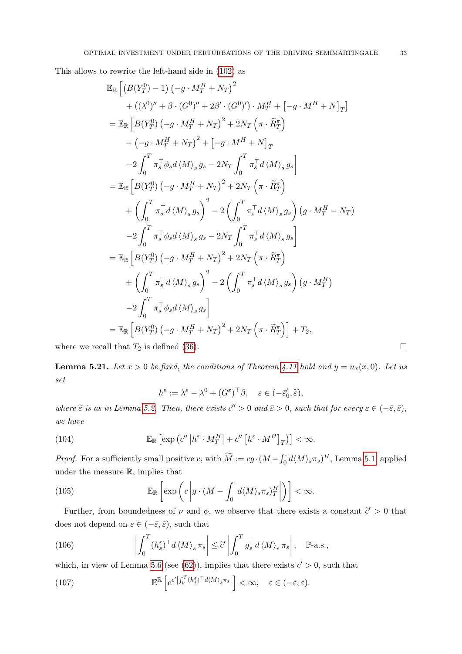This allows to rewrite the left-hand side in [\(102\)](#page-31-1) as

<span id="page-32-1"></span>
$$
\mathbb{E}_{\mathbb{R}}\left[\left(B(Y_T^0) - 1\right)\left(-g \cdot M_T^H + N_T\right)^2 + \left((\lambda^0)'' + \beta \cdot (G^0)'' + 2\beta' \cdot (G^0)'\right) \cdot M_T^H + \left[-g \cdot M^H + N\right]_T\right]
$$
\n
$$
= \mathbb{E}_{\mathbb{R}}\left[B(Y_T^0) \left(-g \cdot M_T^H + N_T\right)^2 + 2N_T \left(\pi \cdot \widetilde{R}_T^{\pi}\right) - \left(-g \cdot M_T^H + N_T\right)^2 + \left[-g \cdot M^H + N\right]_T - 2\int_0^T \pi_s^\top \phi_s d\langle M \rangle_s g_s - 2N_T \int_0^T \pi_s^\top d\langle M \rangle_s g_s\right]
$$
\n
$$
= \mathbb{E}_{\mathbb{R}}\left[B(Y_T^0) \left(-g \cdot M_T^H + N_T\right)^2 + 2N_T \left(\pi \cdot \widetilde{R}_T^{\pi}\right) + \left(\int_0^T \pi_s^\top d\langle M \rangle_s g_s\right)^2 - 2\left(\int_0^T \pi_s^\top d\langle M \rangle_s g_s\right) \left(g \cdot M_T^H - N_T\right) - 2\int_0^T \pi_s^\top \phi_s d\langle M \rangle_s g_s - 2N_T \int_0^T \pi_s^\top d\langle M \rangle_s g_s\right]
$$
\n
$$
= \mathbb{E}_{\mathbb{R}}\left[B(Y_T^0) \left(-g \cdot M_T^H + N_T\right)^2 + 2N_T \left(\pi \cdot \widetilde{R}_T^{\pi}\right) + \left(\int_0^T \pi_s^\top d\langle M \rangle_s g_s\right)^2 - 2\left(\int_0^T \pi_s^\top d\langle M \rangle_s g_s\right) \left(g \cdot M_T^H\right) - 2\int_0^T \pi_s^\top \phi_s d\langle M \rangle_s g_s\right]
$$
\n
$$
= \mathbb{E}_{\mathbb{R}}\left[B(Y_T^0) \left(-g \cdot M_T^H + N_T\right)^2 + 2N_T \left(\pi \cdot \widetilde{R}_T^{\pi}\right)\right] + T_2,
$$

where we recall that  $T_2$  is defined [\(36\)](#page-12-8).

<span id="page-32-2"></span>**Lemma 5.21.** Let  $x > 0$  be fixed, the conditions of Theorem [4.11](#page-10-1) hold and  $y = u_x(x, 0)$ . Let us set

$$
h^{\varepsilon} := \lambda^{\varepsilon} - \lambda^{0} + (G^{\varepsilon})^{\top} \beta, \quad \varepsilon \in (-\bar{\varepsilon}'_0, \tilde{\varepsilon}),
$$

where  $\tilde{\varepsilon}$  is as in Lemma [5.2.](#page-16-0) Then, there exists  $c'' > 0$  and  $\bar{\varepsilon} > 0$ , such that for every  $\varepsilon \in (-\bar{\varepsilon}, \bar{\varepsilon})$ , we have

(104) 
$$
\mathbb{E}_{\mathbb{R}}\left[\exp\left(c''\left|h^{\varepsilon}\cdot M_T^H\right|+c''\left[h^{\varepsilon}\cdot M^H\right]_T\right)\right]<\infty.
$$

*Proof.* For a sufficiently small positive c, with  $\widetilde{M} := cg \cdot (M - \int_0^{\cdot} d\langle M \rangle_s \pi_s)^H$ , Lemma [5.1,](#page-14-5) applied under the measure R, implies that

(105) 
$$
\mathbb{E}_{\mathbb{R}}\left[\exp\left(c\left|g\cdot(M-\int_0^{\cdot}d\langle M\rangle_s\pi_s\right)_T^H\right|\right)\right]<\infty.
$$

Further, from boundedness of  $\nu$  and  $\phi$ , we observe that there exists a constant  $\tilde{c} > 0$  that does not depend on  $\varepsilon \in (-\bar{\varepsilon}, \bar{\varepsilon})$ , such that

(106) 
$$
\left| \int_0^T (h_s^{\varepsilon})^{\top} d \langle M \rangle_s \, \pi_s \right| \leq \tilde{c}' \left| \int_0^T g_s^{\top} d \langle M \rangle_s \, \pi_s \right|, \quad \mathbb{P}\text{-a.s.},
$$

which, in view of Lemma [5.6](#page-18-0) (see [\(62\)](#page-18-3)), implies that there exists  $c' > 0$ , such that

<span id="page-32-0"></span>(107) 
$$
\mathbb{E}^{\mathbb{R}}\left[e^{c' \left|\int_0^T (h_s^{\varepsilon})^{\top} d\langle M \rangle_s \pi_s\right|}\right] < \infty, \quad \varepsilon \in (-\bar{\varepsilon}, \bar{\varepsilon}).
$$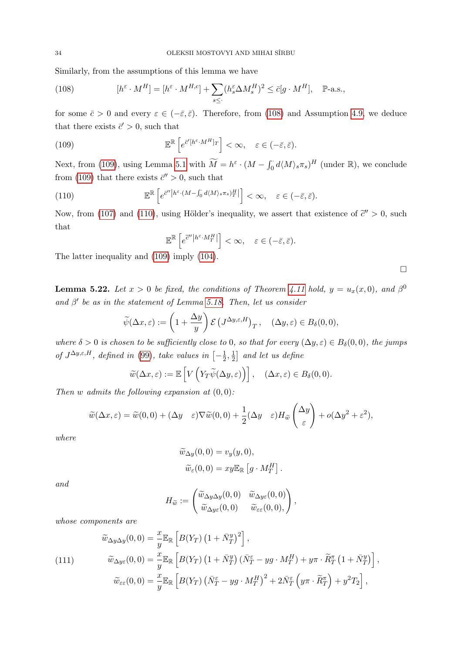Similarly, from the assumptions of this lemma we have

<span id="page-33-0"></span>(108) 
$$
[h^{\varepsilon} \cdot M^{H}] = [h^{\varepsilon} \cdot M^{H,c}] + \sum_{s \leq} (h^{\varepsilon}_{s} \Delta M^{H}_{s})^{2} \leq \bar{c}[g \cdot M^{H}], \quad \mathbb{P}\text{-a.s.},
$$

for some  $\bar{c} > 0$  and every  $\varepsilon \in (-\bar{\varepsilon}, \bar{\varepsilon})$ . Therefore, from [\(108\)](#page-33-0) and Assumption [4.9,](#page-10-3) we deduce that there exists  $\bar{c}^{\prime} > 0$ , such that

(109) 
$$
\mathbb{E}^{\mathbb{R}}\left[e^{\bar{c}'[h^{\varepsilon}\cdot M^H]_T}\right] < \infty, \quad \varepsilon \in (-\bar{\varepsilon}, \bar{\varepsilon}).
$$

Next, from [\(109\)](#page-33-1), using Lemma [5.1](#page-14-5) with  $\widetilde{M} = h^{\varepsilon} \cdot (M - \int_0^{\cdot} d\langle M \rangle_s \pi_s)^H$  (under  $\mathbb{R}$ ), we conclude from [\(109\)](#page-33-1) that there exists  $\bar{c}^{\prime\prime} > 0$ , such that

(110) 
$$
\mathbb{E}^{\mathbb{R}}\left[e^{\bar{c}''\left|h^{\varepsilon}\cdot(M-\int_{0}^{t}d\langle M\rangle_{s}\pi_{s})_{T}^{H}\right|}\right]<\infty, \quad \varepsilon\in(-\bar{\varepsilon},\bar{\varepsilon}).
$$

Now, from [\(107\)](#page-32-0) and [\(110\)](#page-33-2), using Hölder's inequality, we assert that existence of  $\tilde{c}^{\prime\prime} > 0$ , such that

<span id="page-33-2"></span><span id="page-33-1"></span>
$$
\mathbb{E}^{\mathbb{R}}\left[e^{\tilde{c}''\left|h^{\varepsilon}\cdot M^H_T\right|}\right]<\infty,\quad \varepsilon\in(-\bar{\varepsilon},\bar{\varepsilon}).
$$

The latter inequality and [\(109\)](#page-33-1) imply [\(104\)](#page-32-1).

**Lemma 5.22.** Let  $x > 0$  be fixed, the conditions of Theorem [4.11](#page-10-1) hold,  $y = u_x(x,0)$ , and  $\beta^0$ and  $\beta'$  be as in the statement of Lemma [5.18.](#page-30-1) Then, let us consider

<span id="page-33-3"></span>
$$
\widetilde{\psi}(\Delta x,\varepsilon) := \left(1 + \frac{\Delta y}{y}\right) \mathcal{E}\left(J^{\Delta y,\varepsilon,H}\right)_T, \quad (\Delta y,\varepsilon) \in B_\delta(0,0),
$$

where  $\delta > 0$  is chosen to be sufficiently close to 0, so that for every  $(\Delta y, \varepsilon) \in B_\delta(0,0)$ , the jumps of  $J^{\Delta y,\varepsilon,H}$ , defined in [\(99\)](#page-29-3), take values in  $\left[-\frac{1}{2}\right]$  $\frac{1}{2}, \frac{1}{2}$  $\frac{1}{2}$  and let us define

$$
\widetilde{w}(\Delta x, \varepsilon) := \mathbb{E}\left[V\left(Y_T\widetilde{\psi}(\Delta y, \varepsilon)\right)\right], \quad (\Delta x, \varepsilon) \in B_\delta(0, 0).
$$

Then w admits the following expansion at  $(0, 0)$ :

$$
\widetilde{w}(\Delta x, \varepsilon) = \widetilde{w}(0, 0) + (\Delta y \varepsilon) \nabla \widetilde{w}(0, 0) + \frac{1}{2} (\Delta y \varepsilon) H_{\widetilde{w}} \begin{pmatrix} \Delta y \\ \varepsilon \end{pmatrix} + o(\Delta y^2 + \varepsilon^2),
$$

where

$$
\widetilde{w}_{\Delta y}(0,0) = v_y(y,0),
$$
  

$$
\widetilde{w}_{\varepsilon}(0,0) = xy \mathbb{E}_{\mathbb{R}} [g \cdot M_T^H].
$$

and

$$
H_{\widetilde{w}} := \begin{pmatrix} \widetilde{w}_{\Delta y \Delta y}(0,0) & \widetilde{w}_{\Delta y \varepsilon}(0,0) \\ \widetilde{w}_{\Delta y \varepsilon}(0,0) & \widetilde{w}_{\varepsilon \varepsilon}(0,0), \end{pmatrix},
$$

whose components are

(111)  
\n
$$
\widetilde{w}_{\Delta y \Delta y}(0,0) = \frac{x}{y} \mathbb{E}_{\mathbb{R}} \left[ B(Y_T) \left( 1 + \bar{N}_T^y \right)^2 \right],
$$
\n
$$
\widetilde{w}_{\Delta y \varepsilon}(0,0) = \frac{x}{y} \mathbb{E}_{\mathbb{R}} \left[ B(Y_T) \left( 1 + \bar{N}_T^y \right) \left( \bar{N}_T^{\varepsilon} - yg \cdot M_T^H \right) + y\pi \cdot \widetilde{R}_T^{\pi} \left( 1 + \bar{N}_T^y \right) \right],
$$
\n
$$
\widetilde{w}_{\varepsilon \varepsilon}(0,0) = \frac{x}{y} \mathbb{E}_{\mathbb{R}} \left[ B(Y_T) \left( \bar{N}_T^{\varepsilon} - yg \cdot M_T^H \right)^2 + 2\bar{N}_T^{\varepsilon} \left( y\pi \cdot \widetilde{R}_T^{\pi} \right) + y^2 T_2 \right],
$$

 $\Box$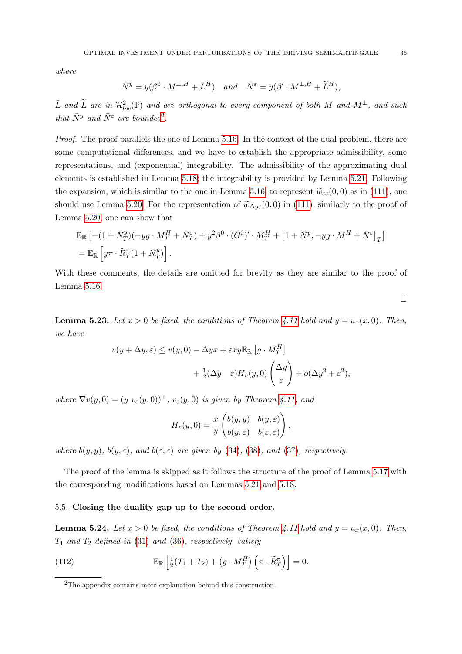where

$$
\bar{N}^y = y(\beta^0 \cdot M^{\perp, H} + \bar{L}^H) \quad and \quad \bar{N}^\varepsilon = y(\beta' \cdot M^{\perp, H} + \widetilde{L}^H),
$$

 $\bar{L}$  and  $\widetilde{L}$  are in  $\mathcal{H}^2_{loc}(\mathbb{P})$  and are orthogonal to every component of both M and  $M^{\perp}$ , and such that  $\bar{N}^y$  and  $\bar{N}^{\varepsilon}$  are bounded<sup>[2](#page-34-1)</sup>.

Proof. The proof parallels the one of Lemma [5.16.](#page-26-0) In the context of the dual problem, there are some computational differences, and we have to establish the appropriate admissibility, some representations, and (exponential) integrability. The admissibility of the approximating dual elements is established in Lemma [5.18;](#page-30-1) the integrability is provided by Lemma [5.21.](#page-32-2) Following the expansion, which is similar to the one in Lemma [5.16,](#page-26-0) to represent  $\tilde{w}_{\varepsilon\varepsilon}(0,0)$  as in [\(111\)](#page-33-3), one should use Lemma [5.20.](#page-31-2) For the representation of  $\tilde{w}_{\Delta y\epsilon}(0,0)$  in [\(111\)](#page-33-3), similarly to the proof of Lemma [5.20,](#page-31-2) one can show that

$$
\mathbb{E}_{\mathbb{R}}\left[-(1+\bar{N}^y_T)(-yg\cdot M^H_T+\bar{N}^\varepsilon_T)+y^2\beta^0\cdot(G^0)'\cdot M^H_T+\left[1+\bar{N}^y,-yg\cdot M^H+\bar{N}^\varepsilon\right]_T\right] \n= \mathbb{E}_{\mathbb{R}}\left[y\pi\cdot\widetilde{R}^\pi_T(1+\bar{N}^y_T)\right].
$$

With these comments, the details are omitted for brevity as they are similar to the proof of Lemma [5.16.](#page-26-0)

 $\Box$ 

<span id="page-34-3"></span>**Lemma 5.23.** Let  $x > 0$  be fixed, the conditions of Theorem [4.11](#page-10-1) hold and  $y = u_x(x, 0)$ . Then, we have

$$
v(y + \Delta y, \varepsilon) \le v(y, 0) - \Delta y x + \varepsilon xy \mathbb{E}_{\mathbb{R}} \left[ g \cdot M_T^H \right] + \frac{1}{2} (\Delta y - \varepsilon) H_v(y, 0) \begin{pmatrix} \Delta y \\ \varepsilon \end{pmatrix} + o(\Delta y^2 + \varepsilon^2),
$$

where  $\nabla v(y, 0) = (y v_{\varepsilon}(y, 0))^{\top}$ ,  $v_{\varepsilon}(y, 0)$  is given by Theorem [4.11,](#page-10-1) and

$$
H_v(y,0) = \frac{x}{y} \begin{pmatrix} b(y,y) & b(y,\varepsilon) \\ b(y,\varepsilon) & b(\varepsilon,\varepsilon) \end{pmatrix},
$$

where  $b(y, y)$ ,  $b(y, \varepsilon)$ , and  $b(\varepsilon, \varepsilon)$  are given by [\(34\)](#page-12-4), [\(38\)](#page-12-7), and [\(37\)](#page-12-6), respectively.

The proof of the lemma is skipped as it follows the structure of the proof of Lemma [5.17](#page-29-4) with the corresponding modifications based on Lemmas [5.21](#page-32-2) and [5.18.](#page-30-1)

#### <span id="page-34-0"></span>5.5. Closing the duality gap up to the second order.

<span id="page-34-2"></span>**Lemma 5.24.** Let  $x > 0$  be fixed, the conditions of Theorem [4.11](#page-10-1) hold and  $y = u_x(x, 0)$ . Then,  $T_1$  and  $T_2$  defined in [\(31\)](#page-11-5) and [\(36\)](#page-12-8), respectively, satisfy

(112) 
$$
\mathbb{E}_{\mathbb{R}}\left[\frac{1}{2}(T_1+T_2)+(g\cdot M_T^H)\left(\pi\cdot \widetilde{R}_T^{\pi}\right)\right]=0.
$$

<span id="page-34-1"></span><sup>2</sup>The appendix contains more explanation behind this construction.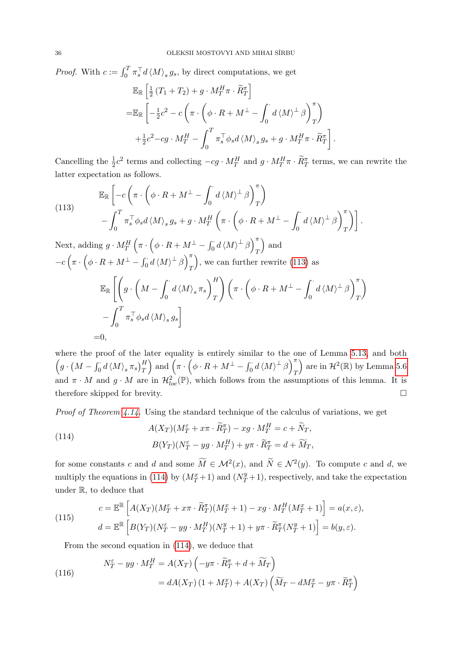<span id="page-35-0"></span>*Proof.* With  $c := \int_0^T \pi_s^T d \langle M \rangle_s g_s$ , by direct computations, we get  $\mathbb{E}_\mathbb{R}$   $\left[\frac{1}{2}\right]$  $\frac{1}{2}(T_1+T_2)+g\cdot M_T^H\pi\cdot \widetilde{R}_T^{\pi}\Big]$ 

$$
= \mathbb{E}_{\mathbb{R}} \left[ -\frac{1}{2}c^2 - c \left( \pi \cdot \left( \phi \cdot R + M^{\perp} - \int_0^{\cdot} d \langle M \rangle^{\perp} \beta \right)_T^{\pi} \right) + \frac{1}{2}c^2 - cg \cdot M_T^H - \int_0^T \pi_s^{\top} \phi_s d \langle M \rangle_s g_s + g \cdot M_T^H \pi \cdot \widetilde{R}_T^{\pi} \right].
$$

Cancelling the  $\frac{1}{2}c^2$  terms and collecting  $-cg \cdot M_T^H$  and  $g \cdot M_T^H \pi \cdot \widetilde{R}_T^{\pi}$  terms, we can rewrite the latter expectation as follows.

(113) 
$$
\mathbb{E}_{\mathbb{R}}\left[-c\left(\pi \cdot \left(\phi \cdot R + M^{\perp} - \int_{0}^{\cdot} d\langle M \rangle^{\perp} \beta\right)_{T}^{\pi}\right) - \int_{0}^{T} \pi_{s}^{\top} \phi_{s} d\langle M \rangle_{s} g_{s} + g \cdot M_{T}^{H}\left(\pi \cdot \left(\phi \cdot R + M^{\perp} - \int_{0}^{\cdot} d\langle M \rangle^{\perp} \beta\right)_{T}^{\pi}\right)\right].
$$

Next, adding  $g \cdot M_T^H \left( \pi \cdot \left( \phi \cdot R + M^\perp - \int_0^{\cdot} d \langle M \rangle^\perp \beta \right)_T^{\pi} \right)$ T ) and  $-c\left(\pi \cdot \left(\phi \cdot R + M^\perp - \int_0^\cdot d \left\langle M \right\rangle^\perp \beta\right)_T^\pi\right)$ T , we can further rewrite [\(113\)](#page-35-0) as  $\mathbb{E}_{\mathbb{R}}\left[\Big( g\cdot \Big(M - \int^{\cdot}\right)$ 0  $d\left\langle M\right\rangle _{s}\pi_{s}$  $\setminus^H$ T  $\left(\pi \cdot \left(\phi \cdot R + M^{\perp} - \int_0^{\cdot} \right)\right)$ 0  $d \langle M \rangle^{\perp} \beta$ T  $\int_0^T$ 0  $\pi_s^\top \phi_s d\left\langle M \right\rangle_s g_s \bigg]$  $=0$ .

<span id="page-35-1"></span>where the proof of the later equality is entirely similar to the one of Lemma [5.13,](#page-22-1) and both  $\left(g \cdot \left(M - \int_0^{\cdot} d \left\langle M \right\rangle_s \pi_s \right)_T^H \right)$  and  $\left(\pi \cdot \left(\phi \cdot R + M^{\perp} - \int_0^{\cdot} d \left\langle M \right\rangle^{\perp} \beta \right)_T^{\pi}$ T ) are in  $\mathcal{H}^2(\mathbb{R})$  by Lemma [5.6](#page-18-0) and  $\pi \cdot M$  and  $g \cdot M$  are in  $\mathcal{H}_{loc}^2(\mathbb{P})$ , which follows from the assumptions of this lemma. It is therefore skipped for brevity.

 $\setminus$ 

Proof of Theorem [4.14.](#page-12-9) Using the standard technique of the calculus of variations, we get

(114) 
$$
A(X_T)(M_T^{\varepsilon} + x\pi \cdot \widetilde{R}_T^{\pi}) - xg \cdot M_T^H = c + \widetilde{N}_T,
$$

$$
B(Y_T)(N_T^{\varepsilon} - yg \cdot M_T^H) + y\pi \cdot \widetilde{R}_T^{\pi} = d + \widetilde{M}_T,
$$

for some constants c and d and some  $\widetilde{M} \in \mathcal{M}^2(x)$ , and  $\widetilde{N} \in \mathcal{N}^2(y)$ . To compute c and d, we multiply the equations in [\(114\)](#page-35-1) by  $(M_T^x+1)$  and  $(N_T^y+1)$ , respectively, and take the expectation under R, to deduce that

<span id="page-35-3"></span>(115) 
$$
c = \mathbb{E}^{\mathbb{R}} \left[ A(X_T)(M_T^{\varepsilon} + x\pi \cdot \widetilde{R}_T^{\pi})(M_T^x + 1) - xg \cdot M_T^H(M_T^x + 1) \right] = a(x, \varepsilon),
$$

$$
d = \mathbb{E}^{\mathbb{R}} \left[ B(Y_T)(N_T^{\varepsilon} - yg \cdot M_T^H)(N_T^y + 1) + y\pi \cdot \widetilde{R}_T^{\pi}(N_T^y + 1) \right] = b(y, \varepsilon).
$$

From the second equation in [\(114\)](#page-35-1), we deduce that

<span id="page-35-2"></span>(116)  
\n
$$
N_T^{\varepsilon} - yg \cdot M_T^H = A(X_T) \left( -y\pi \cdot \widetilde{R}_T^{\pi} + d + \widetilde{M}_T \right)
$$
\n
$$
= dA(X_T) \left( 1 + M_T^x \right) + A(X_T) \left( \widetilde{M}_T - dM_T^x - y\pi \cdot \widetilde{R}_T^{\pi} \right)
$$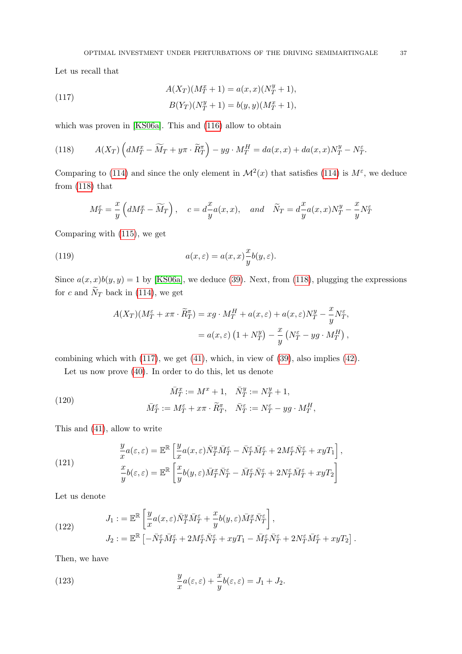Let us recall that

<span id="page-36-1"></span>(117) 
$$
A(X_T)(M_T^x + 1) = a(x, x)(N_T^y + 1),
$$

$$
B(Y_T)(N_T^y + 1) = b(y, y)(M_T^x + 1),
$$

which was proven in [\[KS06a\]](#page-49-10). This and [\(116\)](#page-35-2) allow to obtain

<span id="page-36-0"></span>(118) 
$$
A(X_T) \left( dM_T^x - \widetilde{M}_T + y\pi \cdot \widetilde{R}_T^{\pi} \right) - yg \cdot M_T^H = da(x, x) + da(x, x)N_T^y - N_T^{\varepsilon}.
$$

Comparing to [\(114\)](#page-35-1) and since the only element in  $\mathcal{M}^2(x)$  that satisfies (114) is  $M^{\varepsilon}$ , we deduce from [\(118\)](#page-36-0) that

$$
M_T^{\varepsilon} = \frac{x}{y} \left( dM_T^x - \widetilde{M}_T \right), \quad c = d \frac{x}{y} a(x, x), \quad and \quad \widetilde{N}_T = d \frac{x}{y} a(x, x) N_T^y - \frac{x}{y} N_T^{\varepsilon}
$$

<span id="page-36-2"></span>Comparing with [\(115\)](#page-35-3), we get

(119) 
$$
a(x,\varepsilon) = a(x,x)\frac{x}{y}b(y,\varepsilon).
$$

Since  $a(x, x)b(y, y) = 1$  by [\[KS06a\]](#page-49-10), we deduce [\(39\)](#page-12-10). Next, from [\(118\)](#page-36-0), plugging the expressions for c and  $\widetilde{N}_T$  back in [\(114\)](#page-35-1), we get

$$
A(X_T)(M_T^{\varepsilon} + x\pi \cdot \widetilde{R}_T^{\pi}) = xg \cdot M_T^H + a(x, \varepsilon) + a(x, \varepsilon)N_T^y - \frac{x}{y}N_T^{\varepsilon},
$$
  
=  $a(x, \varepsilon) (1 + N_T^y) - \frac{x}{y} (N_T^{\varepsilon} - yg \cdot M_T^H),$ 

combining which with [\(117\)](#page-36-1), we get [\(41\)](#page-12-11), which, in view of [\(39\)](#page-12-10), also implies [\(42\)](#page-12-12).

Let us now prove [\(40\)](#page-12-13). In order to do this, let us denote

(120) 
$$
\overline{M}_T^x := M^x + 1, \quad \overline{N}_T^y := N_T^y + 1,
$$

$$
\overline{M}_T^{\varepsilon} := M_T^{\varepsilon} + x\pi \cdot \widetilde{R}_T^{\pi}, \quad \overline{N}_T^{\varepsilon} := N_T^{\varepsilon} - yg \cdot M_T^H,
$$

This and [\(41\)](#page-12-11), allow to write

(121) 
$$
\frac{y}{x}a(\varepsilon,\varepsilon) = \mathbb{E}^{\mathbb{R}} \left[ \frac{y}{x} a(x,\varepsilon) \bar{N}^y_T \bar{M}^{\varepsilon}_T - \bar{N}^{\varepsilon}_T \bar{M}^{\varepsilon}_T + 2M^{\varepsilon}_T \bar{N}^{\varepsilon}_T + xyT_1 \right],
$$

$$
\frac{x}{y}b(\varepsilon,\varepsilon) = \mathbb{E}^{\mathbb{R}} \left[ \frac{x}{y}b(y,\varepsilon) \bar{M}^x_T \bar{N}^{\varepsilon}_T - \bar{M}^{\varepsilon}_T \bar{N}^{\varepsilon}_T + 2N^{\varepsilon}_T \bar{M}^{\varepsilon}_T + xyT_2 \right]
$$

Let us denote

(122) 
$$
J_1 := \mathbb{E}^{\mathbb{R}} \left[ \frac{y}{x} a(x, \varepsilon) \bar{N}_T^y \bar{M}_T^{\varepsilon} + \frac{x}{y} b(y, \varepsilon) \bar{M}_T^x \bar{N}_T^{\varepsilon} \right],
$$

$$
J_2 := \mathbb{E}^{\mathbb{R}} \left[ -\bar{N}_T^{\varepsilon} \bar{M}_T^{\varepsilon} + 2M_T^{\varepsilon} \bar{N}_T^{\varepsilon} + xyT_1 - \bar{M}_T^{\varepsilon} \bar{N}_T^{\varepsilon} + 2N_T^{\varepsilon} \bar{M}_T^{\varepsilon} + xyT_2 \right].
$$

Then, we have

<span id="page-36-3"></span>(123) 
$$
\frac{y}{x}a(\varepsilon,\varepsilon) + \frac{x}{y}b(\varepsilon,\varepsilon) = J_1 + J_2.
$$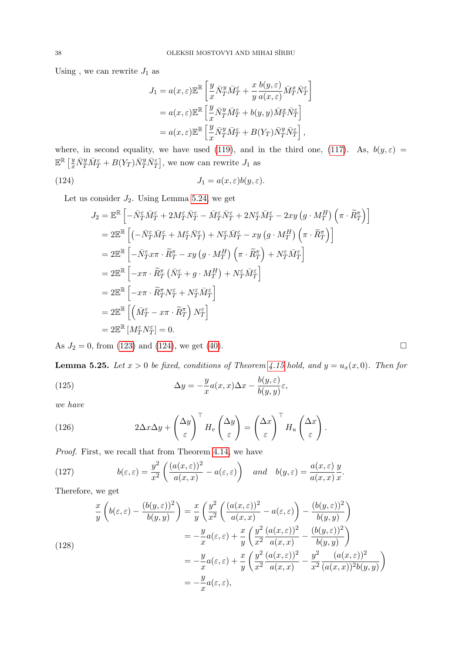<span id="page-37-0"></span>Using , we can rewrite  $J_1$  as

$$
J_1 = a(x, \varepsilon) \mathbb{E}^{\mathbb{R}} \left[ \frac{y}{x} \bar{N}_T^y \bar{M}_T^{\varepsilon} + \frac{x}{y} \frac{b(y, \varepsilon)}{a(x, \varepsilon)} \bar{M}_T^x \bar{N}_T^{\varepsilon} \right]
$$
  
=  $a(x, \varepsilon) \mathbb{E}^{\mathbb{R}} \left[ \frac{y}{x} \bar{N}_T^y \bar{M}_T^{\varepsilon} + b(y, y) \bar{M}_T^x \bar{N}_T^{\varepsilon} \right]$   
=  $a(x, \varepsilon) \mathbb{E}^{\mathbb{R}} \left[ \frac{y}{x} \bar{N}_T^y \bar{M}_T^{\varepsilon} + B(Y_T) \bar{N}_T^y \bar{N}_T^{\varepsilon} \right],$ 

where, in second equality, we have used [\(119\)](#page-36-2), and in the third one, [\(117\)](#page-36-1). As,  $b(y,\varepsilon)$  =  $\mathbb{E}^{\mathbb{R}}\left[\frac{y}{x}\bar{N}_{T}^{y}\bar{M}_{T}^{\varepsilon}+B(Y_{T})\bar{N}_{T}^{y}\bar{N}_{T}^{\varepsilon}\right],$  we now can rewrite  $J_{1}$  as

(124) 
$$
J_1 = a(x,\varepsilon)b(y,\varepsilon).
$$

Let us consider  $J_2$ . Using Lemma [5.24,](#page-34-2) we get

<span id="page-37-2"></span>
$$
J_2 = \mathbb{E}^{\mathbb{R}} \left[ -\bar{N}_T^{\varepsilon} \bar{M}_T^{\varepsilon} + 2M_T^{\varepsilon} \bar{N}_T^{\varepsilon} - \bar{M}_T^{\varepsilon} \bar{N}_T^{\varepsilon} + 2N_T^{\varepsilon} \bar{M}_T^{\varepsilon} - 2xy \left( g \cdot M_T^H \right) \left( \pi \cdot \widetilde{R}_T^{\pi} \right) \right]
$$
  
\n
$$
= 2 \mathbb{E}^{\mathbb{R}} \left[ \left( -\bar{N}_T^{\varepsilon} \bar{M}_T^{\varepsilon} + M_T^{\varepsilon} \bar{N}_T^{\varepsilon} \right) + N_T^{\varepsilon} \bar{M}_T^{\varepsilon} - xy \left( g \cdot M_T^H \right) \left( \pi \cdot \widetilde{R}_T^{\pi} \right) \right]
$$
  
\n
$$
= 2 \mathbb{E}^{\mathbb{R}} \left[ -\bar{N}_T^{\varepsilon} x \pi \cdot \widetilde{R}_T^{\pi} - xy \left( g \cdot M_T^H \right) \left( \pi \cdot \widetilde{R}_T^{\pi} \right) + N_T^{\varepsilon} \bar{M}_T^{\varepsilon} \right]
$$
  
\n
$$
= 2 \mathbb{E}^{\mathbb{R}} \left[ -x \pi \cdot \widetilde{R}_T^{\pi} \left( \bar{N}_T^{\varepsilon} + g \cdot M_T^H \right) + N_T^{\varepsilon} \bar{M}_T^{\varepsilon} \right]
$$
  
\n
$$
= 2 \mathbb{E}^{\mathbb{R}} \left[ -x \pi \cdot \widetilde{R}_T^{\pi} N_T^{\varepsilon} + N_T^{\varepsilon} \bar{M}_T^{\varepsilon} \right]
$$
  
\n
$$
= 2 \mathbb{E}^{\mathbb{R}} \left[ \left( \bar{M}_T^{\varepsilon} - x \pi \cdot \widetilde{R}_T^{\pi} \right) N_T^{\varepsilon} \right]
$$
  
\n
$$
= 2 \mathbb{E}^{\mathbb{R}} \left[ M_T^{\varepsilon} N_T^{\varepsilon} \right] = 0.
$$

As  $J_2 = 0$ , from [\(123\)](#page-36-3) and [\(124\)](#page-37-0), we get [\(40\)](#page-12-13).

<span id="page-37-5"></span>**Lemma 5.25.** Let  $x > 0$  be fixed, conditions of Theorem [4.15](#page-12-3) hold, and  $y = u_x(x, 0)$ . Then for

(125) 
$$
\Delta y = -\frac{y}{x} a(x, x) \Delta x - \frac{b(y, \varepsilon)}{b(y, y)} \varepsilon,
$$

we have

<span id="page-37-1"></span>(126) 
$$
2\Delta x \Delta y + \left(\frac{\Delta y}{\varepsilon}\right)^{\top} H_v \left(\frac{\Delta y}{\varepsilon}\right) = \left(\frac{\Delta x}{\varepsilon}\right)^{\top} H_u \left(\frac{\Delta x}{\varepsilon}\right).
$$

Proof. First, we recall that from Theorem [4.14,](#page-12-9) we have

<span id="page-37-3"></span>(127) 
$$
b(\varepsilon, \varepsilon) = \frac{y^2}{x^2} \left( \frac{(a(x, \varepsilon))^2}{a(x, x)} - a(\varepsilon, \varepsilon) \right) \quad and \quad b(y, \varepsilon) = \frac{a(x, \varepsilon)}{a(x, x)} \frac{y}{x}.
$$

Therefore, we get

<span id="page-37-4"></span>(128)  
\n
$$
\frac{x}{y}\left(b(\varepsilon,\varepsilon)-\frac{(b(y,\varepsilon))^2}{b(y,y)}\right)=\frac{x}{y}\left(\frac{y^2}{x^2}\left(\frac{(a(x,\varepsilon))^2}{a(x,x)}-a(\varepsilon,\varepsilon)\right)-\frac{(b(y,\varepsilon))^2}{b(y,y)}\right)
$$
\n
$$
=-\frac{y}{x}a(\varepsilon,\varepsilon)+\frac{x}{y}\left(\frac{y^2}{x^2}\frac{(a(x,\varepsilon))^2}{a(x,x)}-\frac{(b(y,\varepsilon))^2}{b(y,y)}\right)
$$
\n
$$
=-\frac{y}{x}a(\varepsilon,\varepsilon)+\frac{x}{y}\left(\frac{y^2}{x^2}\frac{(a(x,\varepsilon))^2}{a(x,x)}-\frac{y^2}{x^2}\frac{(a(x,\varepsilon))^2}{(a(x,x))^2b(y,y)}\right)
$$
\n
$$
=-\frac{y}{x}a(\varepsilon,\varepsilon),
$$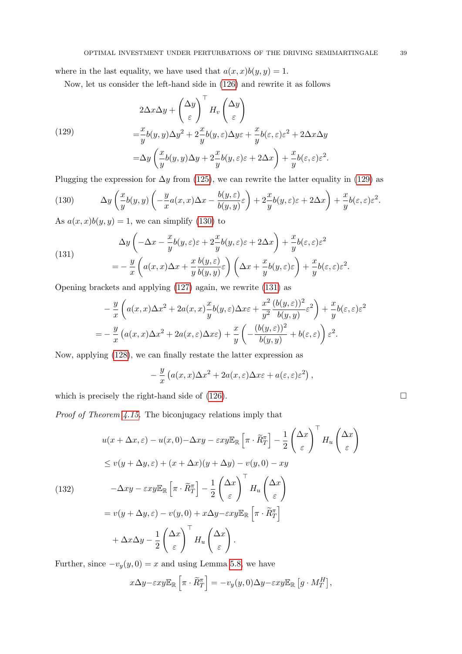where in the last equality, we have used that  $a(x, x)b(y, y) = 1$ .

Now, let us consider the left-hand side in [\(126\)](#page-37-1) and rewrite it as follows

<span id="page-38-0"></span>(129)  
\n
$$
2\Delta x \Delta y + \left(\frac{\Delta y}{\varepsilon}\right)^{\top} H_v \left(\frac{\Delta y}{\varepsilon}\right)
$$
\n
$$
= \frac{x}{y} b(y, y) \Delta y^2 + 2\frac{x}{y} b(y, \varepsilon) \Delta y \varepsilon + \frac{x}{y} b(\varepsilon, \varepsilon) \varepsilon^2 + 2\Delta x \Delta y
$$
\n
$$
= \Delta y \left(\frac{x}{y} b(y, y) \Delta y + 2\frac{x}{y} b(y, \varepsilon) \varepsilon + 2\Delta x\right) + \frac{x}{y} b(\varepsilon, \varepsilon) \varepsilon^2.
$$

Plugging the expression for  $\Delta y$  from [\(125\)](#page-37-2), we can rewrite the latter equality in [\(129\)](#page-38-0) as

<span id="page-38-1"></span>(130) 
$$
\Delta y \left( \frac{x}{y} b(y, y) \left( -\frac{y}{x} a(x, x) \Delta x - \frac{b(y, \varepsilon)}{b(y, y)} \varepsilon \right) + 2 \frac{x}{y} b(y, \varepsilon) \varepsilon + 2 \Delta x \right) + \frac{x}{y} b(\varepsilon, \varepsilon) \varepsilon^{2}.
$$

As  $a(x, x)b(y, y) = 1$ , we can simplify [\(130\)](#page-38-1) to

<span id="page-38-2"></span>(131)  
\n
$$
\Delta y \left( -\Delta x - \frac{x}{y} b(y, \varepsilon) \varepsilon + 2 \frac{x}{y} b(y, \varepsilon) \varepsilon + 2 \Delta x \right) + \frac{x}{y} b(\varepsilon, \varepsilon) \varepsilon^2
$$
\n
$$
= -\frac{y}{x} \left( a(x, x) \Delta x + \frac{x}{y} \frac{b(y, \varepsilon)}{b(y, y)} \varepsilon \right) \left( \Delta x + \frac{x}{y} b(y, \varepsilon) \varepsilon \right) + \frac{x}{y} b(\varepsilon, \varepsilon) \varepsilon^2.
$$

<span id="page-38-3"></span>Opening brackets and applying [\(127\)](#page-37-3) again, we rewrite [\(131\)](#page-38-2) as

$$
-\frac{y}{x}\left(a(x,x)\Delta x^2 + 2a(x,x)\frac{x}{y}b(y,\varepsilon)\Delta x\varepsilon + \frac{x^2}{y^2}\frac{(b(y,\varepsilon))^2}{b(y,y)}\varepsilon^2\right) + \frac{x}{y}b(\varepsilon,\varepsilon)\varepsilon^2
$$
  
= 
$$
-\frac{y}{x}\left(a(x,x)\Delta x^2 + 2a(x,\varepsilon)\Delta x\varepsilon\right) + \frac{x}{y}\left(-\frac{(b(y,\varepsilon))^2}{b(y,y)} + b(\varepsilon,\varepsilon)\right)\varepsilon^2.
$$

Now, applying [\(128\)](#page-37-4), we can finally restate the latter expression as

$$
-\frac{y}{x}\left(a(x,x)\Delta x^2+2a(x,\varepsilon)\Delta x\varepsilon+a(\varepsilon,\varepsilon)\varepsilon^2\right),\,
$$

which is precisely the right-hand side of  $(126)$ .

Proof of Theorem [4.15.](#page-12-3) The biconjugacy relations imply that

$$
u(x + \Delta x, \varepsilon) - u(x, 0) - \Delta xy - \varepsilon xy \mathbb{E}_{\mathbb{R}} \left[ \pi \cdot \widetilde{R}_{T}^{\pi} \right] - \frac{1}{2} \left( \frac{\Delta x}{\varepsilon} \right)^{\top} H_{u} \left( \frac{\Delta x}{\varepsilon} \right)
$$
  
\n
$$
\leq v(y + \Delta y, \varepsilon) + (x + \Delta x)(y + \Delta y) - v(y, 0) - xy
$$
  
\n(132)  
\n
$$
- \Delta xy - \varepsilon xy \mathbb{E}_{\mathbb{R}} \left[ \pi \cdot \widetilde{R}_{T}^{\pi} \right] - \frac{1}{2} \left( \frac{\Delta x}{\varepsilon} \right)^{\top} H_{u} \left( \frac{\Delta x}{\varepsilon} \right)
$$
  
\n
$$
= v(y + \Delta y, \varepsilon) - v(y, 0) + x \Delta y - \varepsilon xy \mathbb{E}_{\mathbb{R}} \left[ \pi \cdot \widetilde{R}_{T}^{\pi} \right]
$$
  
\n
$$
+ \Delta x \Delta y - \frac{1}{2} \left( \frac{\Delta x}{\varepsilon} \right)^{\top} H_{u} \left( \frac{\Delta x}{\varepsilon} \right).
$$

Further, since  $-v_y(y, 0) = x$  and using Lemma [5.8,](#page-19-4) we have

$$
x\Delta y - \varepsilon xy \mathbb{E}_{\mathbb{R}}\left[\pi \cdot \widetilde{R}^{\pi}_T\right] = -v_y(y,0)\Delta y - \varepsilon xy \mathbb{E}_{\mathbb{R}}\left[g \cdot M^H_T\right],
$$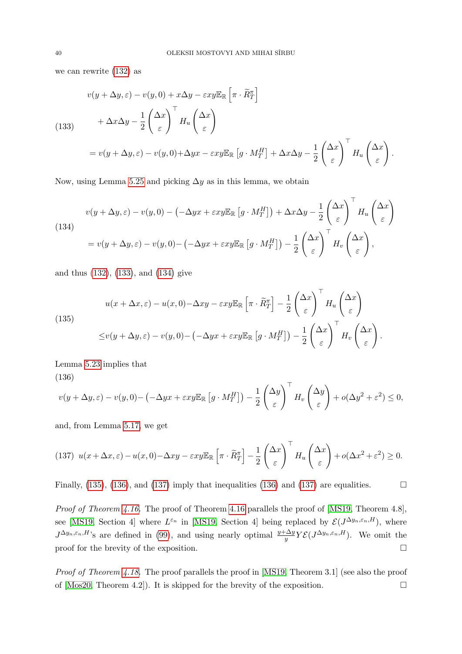we can rewrite [\(132\)](#page-38-3) as

<span id="page-39-0"></span>
$$
v(y + \Delta y, \varepsilon) - v(y, 0) + x\Delta y - \varepsilon xy \mathbb{E}_{\mathbb{R}} \left[ \pi \cdot \widetilde{R}^{\pi}_T \right]
$$
  
(133)  

$$
+ \Delta x \Delta y - \frac{1}{2} \left( \frac{\Delta x}{\varepsilon} \right)^{\top} H_u \left( \frac{\Delta x}{\varepsilon} \right)
$$

$$
= v(y + \Delta y, \varepsilon) - v(y, 0) + \Delta y x - \varepsilon xy \mathbb{E}_{\mathbb{R}} \left[ g \cdot M^H_T \right] + \Delta x \Delta y - \frac{1}{2} \left( \frac{\Delta x}{\varepsilon} \right)^{\top} H_u \left( \frac{\Delta x}{\varepsilon} \right).
$$

Now, using Lemma [5.25](#page-37-5) and picking  $\Delta y$  as in this lemma, we obtain

<span id="page-39-1"></span>(134)  

$$
v(y + \Delta y, \varepsilon) - v(y, 0) - (-\Delta y x + \varepsilon xy \mathbb{E}_{\mathbb{R}} [g \cdot M_T^H]) + \Delta x \Delta y - \frac{1}{2} \left(\frac{\Delta x}{\varepsilon}\right)^{\top} H_u \left(\frac{\Delta x}{\varepsilon}\right)
$$

$$
= v(y + \Delta y, \varepsilon) - v(y, 0) - (-\Delta y x + \varepsilon xy \mathbb{E}_{\mathbb{R}} [g \cdot M_T^H]) - \frac{1}{2} \left(\frac{\Delta x}{\varepsilon}\right)^{\top} H_v \left(\frac{\Delta x}{\varepsilon}\right),
$$

and thus [\(132\)](#page-38-3), [\(133\)](#page-39-0), and [\(134\)](#page-39-1) give

<span id="page-39-2"></span>(135)  

$$
u(x + \Delta x, \varepsilon) - u(x, 0) - \Delta xy - \varepsilon xy \mathbb{E}_{\mathbb{R}} \left[ \pi \cdot \widetilde{R}_T^{\pi} \right] - \frac{1}{2} \left( \frac{\Delta x}{\varepsilon} \right)^{\top} H_u \left( \frac{\Delta x}{\varepsilon} \right)
$$

$$
\leq v(y + \Delta y, \varepsilon) - v(y, 0) - \left( -\Delta y x + \varepsilon xy \mathbb{E}_{\mathbb{R}} \left[ g \cdot M_T^H \right] \right) - \frac{1}{2} \left( \frac{\Delta x}{\varepsilon} \right)^{\top} H_v \left( \frac{\Delta x}{\varepsilon} \right).
$$

Lemma [5.23](#page-34-3) implies that (136)

<span id="page-39-3"></span>
$$
v(y + \Delta y, \varepsilon) - v(y, 0) - \left(-\Delta y x + \varepsilon x y \mathbb{E}_{\mathbb{R}} \left[ g \cdot M_T^H \right] \right) - \frac{1}{2} \left( \frac{\Delta y}{\varepsilon} \right)^{\top} H_v \left( \frac{\Delta y}{\varepsilon} \right) + o(\Delta y^2 + \varepsilon^2) \le 0,
$$

and, from Lemma [5.17,](#page-29-4) we get

<span id="page-39-4"></span>
$$
(137) \ \ u(x+\Delta x,\varepsilon)-u(x,0)-\Delta xy-\varepsilon xy\mathbb{E}_{\mathbb{R}}\left[\pi\cdot\widetilde{R}^{\pi}_{T}\right]-\frac{1}{2}\left(\frac{\Delta x}{\varepsilon}\right)^{\top}H_{u}\left(\frac{\Delta x}{\varepsilon}\right)+o(\Delta x^{2}+\varepsilon^{2})\geq0.
$$

Finally, [\(135\)](#page-39-2), [\(136\)](#page-39-3), and [\(137\)](#page-39-4) imply that inequalities (136) and (137) are equalities.  $\Box$ 

Proof of Theorem [4.16.](#page-13-2) The proof of Theorem [4.16](#page-13-2) parallels the proof of [\[MS19,](#page-50-5) Theorem 4.8], see [\[MS19,](#page-50-5) Section 4] where  $L^{\varepsilon_n}$  in [MS19, Section 4] being replaced by  $\mathcal{E}(J^{\Delta y_n,\varepsilon_n,H})$ , where  $J^{\Delta y_n, \varepsilon_n, H}$ 's are defined in [\(99\)](#page-29-3), and using nearly optimal  $\frac{y+\Delta y}{y}Y\mathcal{E}(J^{\Delta y_n, \varepsilon_n, H})$ . We omit the proof for the brevity of the exposition.  $\Box$ 

Proof of Theorem [4.18.](#page-14-2) The proof parallels the proof in [\[MS19,](#page-50-5) Theorem 3.1] (see also the proof of  $[Mos20, Theorem 4.2]$  $[Mos20, Theorem 4.2]$ . It is skipped for the brevity of the exposition.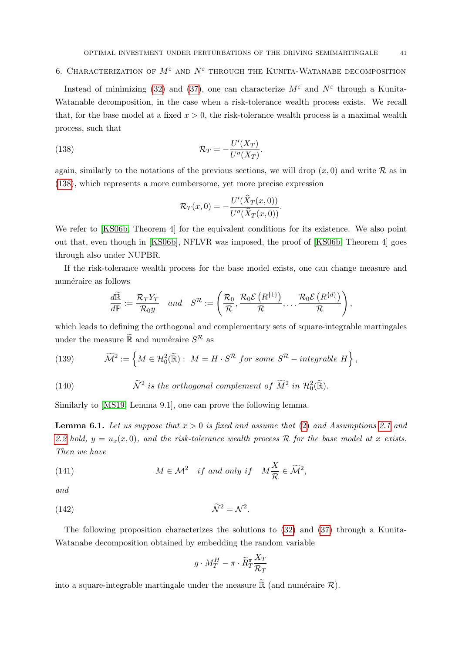# <span id="page-40-0"></span>6. CHARACTERIZATION OF  $M^{\varepsilon}$  and  $N^{\varepsilon}$  through the Kunita-Watanabe decomposition

Instead of minimizing [\(32\)](#page-11-3) and [\(37\)](#page-12-6), one can characterize  $M^{\varepsilon}$  and  $N^{\varepsilon}$  through a Kunita-Watanable decomposition, in the case when a risk-tolerance wealth process exists. We recall that, for the base model at a fixed  $x > 0$ , the risk-tolerance wealth process is a maximal wealth process, such that

(138) 
$$
\mathcal{R}_T = -\frac{U'(X_T)}{U''(X_T)}.
$$

again, similarly to the notations of the previous sections, we will drop  $(x, 0)$  and write R as in [\(138\)](#page-40-1), which represents a more cumbersome, yet more precise expression

<span id="page-40-1"></span>
$$
\mathcal{R}_T(x,0) = -\frac{U'(\widehat{X}_T(x,0))}{U''(\widehat{X}_T(x,0))}.
$$

We refer to [\[KS06b,](#page-49-4) Theorem 4] for the equivalent conditions for its existence. We also point out that, even though in [\[KS06b\]](#page-49-4), NFLVR was imposed, the proof of [\[KS06b,](#page-49-4) Theorem 4] goes through also under NUPBR.

If the risk-tolerance wealth process for the base model exists, one can change measure and numéraire as follows

$$
\frac{d\widetilde{\mathbb{R}}}{d\mathbb{P}}:=\frac{\mathcal{R}_T Y_T}{\mathcal{R}_0 y} \quad and \quad S^{\mathcal{R}}:=\left(\frac{\mathcal{R}_0}{\mathcal{R}},\frac{\mathcal{R}_0\mathcal{E}\left(R^{\{1\}}\right)}{\mathcal{R}},\ldots,\frac{\mathcal{R}_0\mathcal{E}\left(R^{\{d\}}\right)}{\mathcal{R}}\right),
$$

which leads to defining the orthogonal and complementary sets of square-integrable martingales under the measure  $\widetilde{\mathbb{R}}$  and numéraire  $S^{\mathcal{R}}$  as

<span id="page-40-3"></span>(139) 
$$
\widetilde{\mathcal{M}}^2 := \left\{ M \in \mathcal{H}_0^2(\widetilde{\mathbb{R}}) : M = H \cdot S^{\mathcal{R}} \text{ for some } S^{\mathcal{R}} - \text{integrable } H \right\},
$$

 $(140)$ is the orthogonal complement of  $\widetilde{M}^2$  in  $\mathcal{H}^2_0(\widetilde{\mathbb{R}})$ .

Similarly to [\[MS19,](#page-50-5) Lemma 9.1], one can prove the following lemma.

<span id="page-40-2"></span>**Lemma 6.1.** Let us suppose that  $x > 0$  is fixed and assume that [\(2\)](#page-3-1) and Assumptions [2.1](#page-5-3) and [2.2](#page-6-2) hold,  $y = u_x(x, 0)$ , and the risk-tolerance wealth process R for the base model at x exists. Then we have

(141) 
$$
M \in \mathcal{M}^2 \quad \text{if and only if} \quad M\frac{X}{\mathcal{R}} \in \widetilde{\mathcal{M}}^2,
$$

and

$$
\tilde{\mathcal{N}}^2 = \mathcal{N}^2
$$

The following proposition characterizes the solutions to [\(32\)](#page-11-3) and [\(37\)](#page-12-6) through a Kunita-Watanabe decomposition obtained by embedding the random variable

.

$$
g\cdot M_T^H - \pi\cdot \widetilde{R}_T^\pi \frac{X_T}{\mathcal{R}_T}
$$

into a square-integrable martingale under the measure  $\widetilde{\mathbb{R}}$  (and numéraire  $\mathcal{R}$ ).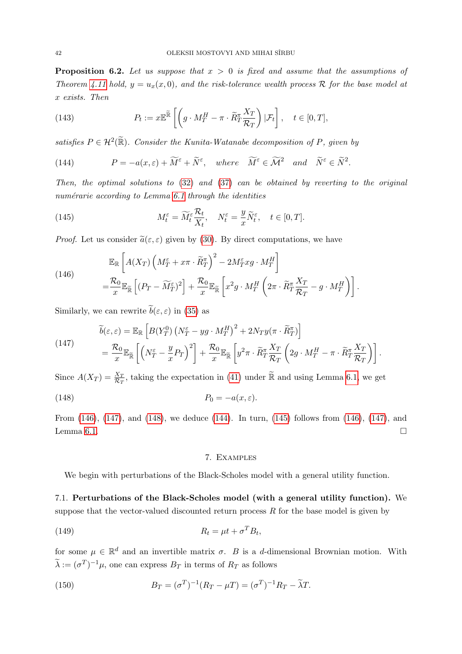<span id="page-41-7"></span>**Proposition 6.2.** Let us suppose that  $x > 0$  is fixed and assume that the assumptions of Theorem [4.11](#page-10-1) hold,  $y = u_x(x, 0)$ , and the risk-tolerance wealth process R for the base model at x exists. Then

(143) 
$$
P_t := x \mathbb{E}^{\widetilde{\mathbb{R}}} \left[ \left( g \cdot M_T^H - \pi \cdot \widetilde{R}_T^{\pi} \frac{X_T}{\mathcal{R}_T} \right) | \mathcal{F}_t \right], \quad t \in [0, T],
$$

satisfies  $P \in \mathcal{H}^2(\widetilde{\mathbb{R}})$ . Consider the Kunita-Watanabe decomposition of P, given by

<span id="page-41-5"></span>(144) 
$$
P = -a(x,\varepsilon) + \widetilde{M}^{\varepsilon} + \widetilde{N}^{\varepsilon}, \text{ where } \widetilde{M}^{\varepsilon} \in \widetilde{\mathcal{M}}^2 \text{ and } \widetilde{N}^{\varepsilon} \in \widetilde{N}^2.
$$

Then, the optimal solutions to [\(32\)](#page-11-3) and [\(37\)](#page-12-6) can be obtained by reverting to the original numérarie according to Lemma  $6.1$  through the identities

<span id="page-41-6"></span>(145) 
$$
M_t^{\varepsilon} = \widetilde{M}_t^{\varepsilon} \frac{\mathcal{R}_t}{X_t}, \quad N_t^{\varepsilon} = \frac{y}{x} \widetilde{N}_t^{\varepsilon}, \quad t \in [0, T].
$$

*Proof.* Let us consider  $\tilde{a}(\varepsilon, \varepsilon)$  given by [\(30\)](#page-11-2). By direct computations, we have

<span id="page-41-2"></span>(146)  
\n
$$
\mathbb{E}_{\mathbb{R}}\left[A(X_T)\left(M_T^{\varepsilon} + x\pi \cdot \widetilde{R}_T^{\pi}\right)^2 - 2M_T^{\varepsilon}xg \cdot M_T^H\right]
$$
\n
$$
= \frac{\mathcal{R}_0}{x} \mathbb{E}_{\widetilde{\mathbb{R}}}\left[ (P_T - \widetilde{M}_T^{\varepsilon})^2 \right] + \frac{\mathcal{R}_0}{x} \mathbb{E}_{\widetilde{\mathbb{R}}}\left[x^2g \cdot M_T^H\left(2\pi \cdot \widetilde{R}_T^{\pi} \frac{X_T}{\mathcal{R}_T} - g \cdot M_T^H\right)\right].
$$

Similarly, we can rewrite  $\tilde{b}(\varepsilon, \varepsilon)$  in [\(35\)](#page-12-5) as

<span id="page-41-3"></span>(147)  
\n
$$
\widetilde{b}(\varepsilon,\varepsilon) = \mathbb{E}_{\mathbb{R}} \left[ B(Y_T^0) \left( N_T^{\varepsilon} - yg \cdot M_T^H \right)^2 + 2N_T y (\pi \cdot \widetilde{R}_T^{\pi}) \right]
$$
\n
$$
= \frac{\mathcal{R}_0}{x} \mathbb{E}_{\widetilde{\mathbb{R}}} \left[ \left( N_T^{\varepsilon} - \frac{y}{x} P_T \right)^2 \right] + \frac{\mathcal{R}_0}{x} \mathbb{E}_{\widetilde{\mathbb{R}}} \left[ y^2 \pi \cdot \widetilde{R}_T^{\pi} \frac{X_T}{\mathcal{R}_T} \left( 2g \cdot M_T^H - \pi \cdot \widetilde{R}_T^{\pi} \frac{X_T}{\mathcal{R}_T} \right) \right].
$$

Since  $A(X_T) = \frac{X_T}{\mathcal{R}_T}$ , taking the expectation in [\(41\)](#page-12-11) under  $\tilde{\mathbb{R}}$  and using Lemma [6.1,](#page-40-2) we get (148)  $P_0 = -a(x, \varepsilon).$ 

From [\(146\)](#page-41-2), [\(147\)](#page-41-3), and [\(148\)](#page-41-4), we deduce [\(144\)](#page-41-5). In turn, [\(145\)](#page-41-6) follows from [\(146\)](#page-41-2), [\(147\)](#page-41-3), and Lemma [6.1.](#page-40-2)

### <span id="page-41-4"></span>7. Examples

<span id="page-41-0"></span>We begin with perturbations of the Black-Scholes model with a general utility function.

<span id="page-41-1"></span>7.1. Perturbations of the Black-Scholes model (with a general utility function). We suppose that the vector-valued discounted return process  $R$  for the base model is given by

$$
(149) \t\t\t R_t = \mu t + \sigma^T B_t,
$$

for some  $\mu \in \mathbb{R}^d$  and an invertible matrix  $\sigma$ . B is a d-dimensional Brownian motion. With  $\widetilde{\lambda} := (\sigma^T)^{-1} \mu$ , one can express  $B_T$  in terms of  $R_T$  as follows

(150) 
$$
B_T = (\sigma^T)^{-1}(R_T - \mu T) = (\sigma^T)^{-1}R_T - \tilde{\lambda}T.
$$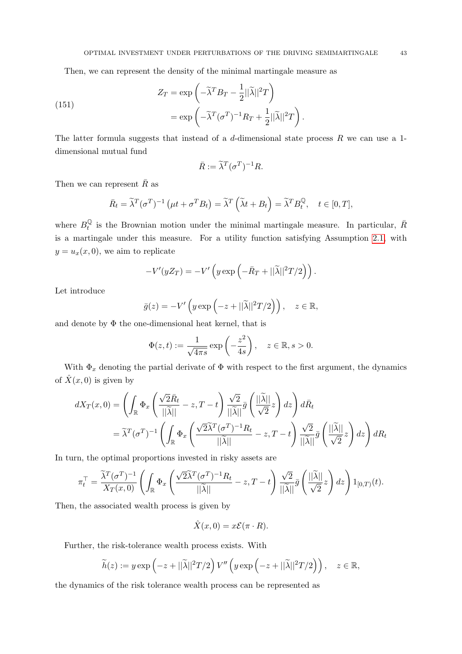Then, we can represent the density of the minimal martingale measure as

(151)  

$$
Z_T = \exp\left(-\tilde{\lambda}^T B_T - \frac{1}{2}||\tilde{\lambda}||^2 T\right)
$$

$$
= \exp\left(-\tilde{\lambda}^T (\sigma^T)^{-1} R_T + \frac{1}{2}||\tilde{\lambda}||^2 T\right).
$$

The latter formula suggests that instead of a  $d$ -dimensional state process  $R$  we can use a 1dimensional mutual fund

$$
\bar{R} := \tilde{\lambda}^T (\sigma^T)^{-1} R.
$$

Then we can represent  $\bar{R}$  as

$$
\bar{R}_t = \tilde{\lambda}^T (\sigma^T)^{-1} \left( \mu t + \sigma^T B_t \right) = \tilde{\lambda}^T \left( \tilde{\lambda} t + B_t \right) = \tilde{\lambda}^T B_t^{\mathbb{Q}}, \quad t \in [0, T],
$$

where  $B_t^{\mathbb{Q}}$  $\frac{Q}{t}$  is the Brownian motion under the minimal martingale measure. In particular,  $\bar{R}$ is a martingale under this measure. For a utility function satisfying Assumption [2.1,](#page-5-3) with  $y = u_x(x, 0)$ , we aim to replicate

$$
-V'(yZ_T) = -V'\left(y\exp\left(-\bar{R}_T + ||\widetilde{\lambda}||^2T/2\right)\right).
$$

Let introduce

$$
\bar{g}(z) = -V'\left(y\exp\left(-z+||\widetilde{\lambda}||^2T/2\right)\right), \quad z \in \mathbb{R},
$$

and denote by  $\Phi$  the one-dimensional heat kernel, that is

$$
\Phi(z,t) := \frac{1}{\sqrt{4\pi s}} \exp\left(-\frac{z^2}{4s}\right), \quad z \in \mathbb{R}, s > 0.
$$

With  $\Phi_x$  denoting the partial derivate of  $\Phi$  with respect to the first argument, the dynamics of  $\hat{X}(x, 0)$  is given by

<span id="page-42-0"></span>
$$
dX_T(x,0) = \left(\int_{\mathbb{R}} \Phi_x \left(\frac{\sqrt{2}\bar{R}_t}{||\tilde{\lambda}||} - z, T - t\right) \frac{\sqrt{2}}{||\tilde{\lambda}||} \bar{g} \left(\frac{||\tilde{\lambda}||}{\sqrt{2}} z\right) dz\right) d\bar{R}_t
$$
  
=  $\tilde{\lambda}^T (\sigma^T)^{-1} \left(\int_{\mathbb{R}} \Phi_x \left(\frac{\sqrt{2\tilde{\lambda}^T} (\sigma^T)^{-1} R_t}{||\tilde{\lambda}||} - z, T - t\right) \frac{\sqrt{2}}{||\tilde{\lambda}||} \bar{g} \left(\frac{||\tilde{\lambda}||}{\sqrt{2}} z\right) dz\right) dR_t$ 

In turn, the optimal proportions invested in risky assets are

$$
\pi_t^\top = \frac{\tilde{\lambda}^T(\sigma^T)^{-1}}{X_T(x,0)} \left( \int_{\mathbb{R}} \Phi_x \left( \frac{\sqrt{2} \tilde{\lambda}^T(\sigma^T)^{-1} R_t}{\|\tilde{\lambda}\|} - z, T - t \right) \frac{\sqrt{2}}{\|\tilde{\lambda}\|} \bar{g} \left( \frac{\|\tilde{\lambda}\|}{\sqrt{2}} z \right) dz \right) 1_{[0,T)}(t).
$$

Then, the associated wealth process is given by

$$
\hat{X}(x,0) = x\mathcal{E}(\pi \cdot R).
$$

Further, the risk-tolerance wealth process exists. With

$$
\widetilde{h}(z) := y \exp\left(-z + ||\widetilde{\lambda}||^2 T/2\right) V''\left(y \exp\left(-z + ||\widetilde{\lambda}||^2 T/2\right)\right), \quad z \in \mathbb{R},
$$

the dynamics of the risk tolerance wealth process can be represented as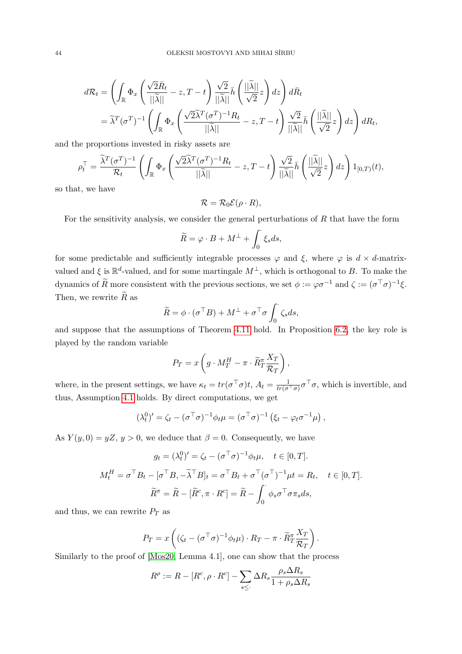$$
d\mathcal{R}_t = \left( \int_{\mathbb{R}} \Phi_x \left( \frac{\sqrt{2} \bar{R}_t}{||\tilde{\lambda}||} - z, T - t \right) \frac{\sqrt{2}}{||\tilde{\lambda}||} \bar{h} \left( \frac{||\tilde{\lambda}||}{\sqrt{2}} z \right) dz \right) d\bar{R}_t
$$
  
=  $\tilde{\lambda}^T (\sigma^T)^{-1} \left( \int_{\mathbb{R}} \Phi_x \left( \frac{\sqrt{2} \tilde{\lambda}^T (\sigma^T)^{-1} R_t}{||\tilde{\lambda}||} - z, T - t \right) \frac{\sqrt{2}}{||\tilde{\lambda}||} \bar{h} \left( \frac{||\tilde{\lambda}||}{\sqrt{2}} z \right) dz \right) dR_t$ ,

and the proportions invested in risky assets are

$$
\rho_t^\top = \frac{\tilde{\lambda}^T(\sigma^T)^{-1}}{\mathcal{R}_t}\left(\int_{\mathbb{R}} \Phi_x \left(\frac{\sqrt{2} \tilde{\lambda}^T(\sigma^T)^{-1} R_t}{||\tilde{\lambda}||} - z, T - t\right) \frac{\sqrt{2}}{||\tilde{\lambda}||} \bar{h} \left(\frac{||\tilde{\lambda}||}{\sqrt{2}} z\right) dz\right) 1_{[0,T)}(t),
$$

so that, we have

$$
\mathcal{R} = \mathcal{R}_0 \mathcal{E} (\rho \cdot R),
$$

For the sensitivity analysis, we consider the general perturbations of R that have the form

$$
\widetilde{R} = \varphi \cdot B + M^{\perp} + \int_0^{\cdot} \xi_s ds,
$$

for some predictable and sufficiently integrable processes  $\varphi$  and  $\xi$ , where  $\varphi$  is  $d \times d$ -matrixvalued and  $\xi$  is  $\mathbb{R}^d$ -valued, and for some martingale  $M^{\perp}$ , which is orthogonal to B. To make the dynamics of  $\widetilde{R}$  more consistent with the previous sections, we set  $\phi := \varphi \sigma^{-1}$  and  $\zeta := (\sigma^{\top} \sigma)^{-1} \xi$ . Then, we rewrite  $\widetilde{R}$  as

$$
\widetilde{R} = \phi \cdot (\sigma^{\top} B) + M^{\perp} + \sigma^{\top} \sigma \int_0^{\cdot} \zeta_s ds,
$$

and suppose that the assumptions of Theorem [4.11](#page-10-1) hold. In Proposition [6.2,](#page-41-7) the key role is played by the random variable

$$
P_T = x \left( g \cdot M_T^H - \pi \cdot \widetilde{R}_T^{\pi} \frac{X_T}{\mathcal{R}_T} \right),
$$

where, in the present settings, we have  $\kappa_t = tr(\sigma^\top \sigma)t$ ,  $A_t = \frac{1}{tr(\sigma^\top \sigma)} \sigma^\top \sigma$ , which is invertible, and thus, Assumption [4.1](#page-9-3) holds. By direct computations, we get

$$
(\lambda_t^0)' = \zeta_t - (\sigma^\top \sigma)^{-1} \phi_t \mu = (\sigma^\top \sigma)^{-1} (\xi_t - \varphi_t \sigma^{-1} \mu),
$$

As  $Y(y, 0) = yZ, y > 0$ , we deduce that  $\beta = 0$ . Consequently, we have

$$
g_t = (\lambda_t^0)' = \zeta_t - (\sigma^\top \sigma)^{-1} \phi_t \mu, \quad t \in [0, T].
$$
  

$$
M_t^H = \sigma^\top B_t - [\sigma^\top B, -\tilde{\lambda}^\top B]_t = \sigma^\top B_t + \sigma^\top (\sigma^\top)^{-1} \mu t = R_t, \quad t \in [0, T].
$$
  

$$
\tilde{R}^\pi = \tilde{R} - [\tilde{R}^c, \pi \cdot R^c] = \tilde{R} - \int_0^\cdot \phi_s \sigma^\top \sigma \pi_s ds,
$$

and thus, we can rewrite  $P_T$  as

$$
P_T = x \left( (\zeta_t - (\sigma^\top \sigma)^{-1} \phi_t \mu) \cdot R_T - \pi \cdot \widetilde{R}_T^{\pi} \frac{X_T}{\mathcal{R}_T} \right).
$$

Similarly to the proof of [\[Mos20,](#page-50-6) Lemma 4.1], one can show that the process

$$
R^{\rho} := R - [R^c, \rho \cdot R^c] - \sum_{s \le \cdot} \Delta R_s \frac{\rho_s \Delta R_s}{1 + \rho_s \Delta R_s}
$$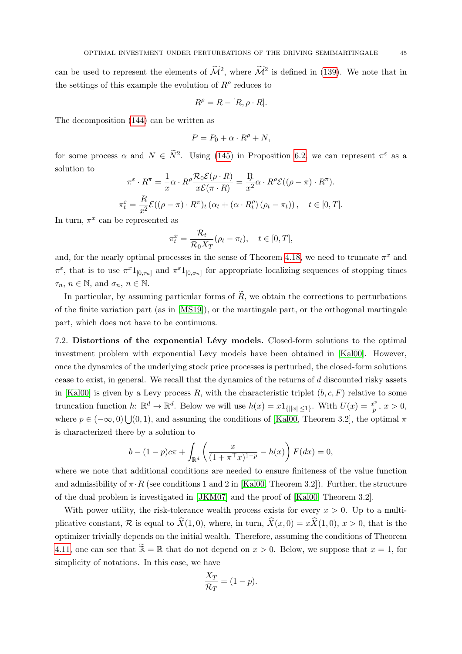can be used to represent the elements of  $\tilde{\mathcal{M}}^2$ , where  $\tilde{\mathcal{M}}^2$  is defined in [\(139\)](#page-40-3). We note that in the settings of this example the evolution of  $R^{\rho}$  reduces to

$$
R^{\rho} = R - [R, \rho \cdot R].
$$

The decomposition [\(144\)](#page-41-5) can be written as

$$
P = P_0 + \alpha \cdot R^{\rho} + N,
$$

for some process  $\alpha$  and  $N \in \tilde{N}^2$ . Using [\(145\)](#page-41-6) in Proposition [6.2,](#page-41-7) we can represent  $\pi^{\varepsilon}$  as a solution to

$$
\pi^{\varepsilon} \cdot R^{\pi} = \frac{1}{x} \alpha \cdot R^{\rho} \frac{\mathcal{R}_0 \mathcal{E}(\rho \cdot R)}{x \mathcal{E}(\pi \cdot R)} = \frac{R}{x^2} \alpha \cdot R^{\rho} \mathcal{E}((\rho - \pi) \cdot R^{\pi}).
$$
  

$$
\pi_t^{\varepsilon} = \frac{R}{x^2} \mathcal{E}((\rho - \pi) \cdot R^{\pi})_t (\alpha_t + (\alpha \cdot R_t^{\rho}) (\rho_t - \pi_t)), \quad t \in [0, T].
$$

In turn,  $\pi^x$  can be represented as

$$
\pi_t^x = \frac{\mathcal{R}_t}{\mathcal{R}_0 X_T} (\rho_t - \pi_t), \quad t \in [0, T],
$$

and, for the nearly optimal processes in the sense of Theorem [4.18,](#page-14-2) we need to truncate  $\pi^x$  and  $\pi^{\varepsilon}$ , that is to use  $\pi^{x}1_{[0,\tau_{n}]}$  and  $\pi^{\varepsilon}1_{[0,\sigma_{n}]}$  for appropriate localizing sequences of stopping times  $\tau_n, n \in \mathbb{N}$ , and  $\sigma_n, n \in \mathbb{N}$ .

In particular, by assuming particular forms of  $\widetilde{R}$ , we obtain the corrections to perturbations of the finite variation part (as in [\[MS19\]](#page-50-5)), or the martingale part, or the orthogonal martingale part, which does not have to be continuous.

<span id="page-44-0"></span>7.2. Distortions of the exponential Lévy models. Closed-form solutions to the optimal investment problem with exponential Levy models have been obtained in [\[Kal00\]](#page-49-0). However, once the dynamics of the underlying stock price processes is perturbed, the closed-form solutions cease to exist, in general. We recall that the dynamics of the returns of d discounted risky assets in [\[Kal00\]](#page-49-0) is given by a Levy process R, with the characteristic triplet  $(b, c, F)$  relative to some truncation function h:  $\mathbb{R}^d \to \mathbb{R}^d$ . Below we will use  $h(x) = x 1_{\{|x| \leq 1\}}$ . With  $U(x) = \frac{x^p}{p}$  $\frac{v^p}{p}, x > 0,$ where  $p \in (-\infty, 0) \bigcup (0, 1)$ , and assuming the conditions of [\[Kal00,](#page-49-0) Theorem 3.2], the optimal  $\pi$ is characterized there by a solution to

$$
b - (1 - p)c\pi + \int_{\mathbb{R}^d} \left( \frac{x}{(1 + \pi^{\top} x)^{1 - p}} - h(x) \right) F(dx) = 0,
$$

where we note that additional conditions are needed to ensure finiteness of the value function and admissibility of  $\pi \cdot R$  (see conditions 1 and 2 in [\[Kal00,](#page-49-0) Theorem 3.2]). Further, the structure of the dual problem is investigated in [\[JKM07\]](#page-49-24) and the proof of [\[Kal00,](#page-49-0) Theorem 3.2].

With power utility, the risk-tolerance wealth process exists for every  $x > 0$ . Up to a multiplicative constant, R is equal to  $\hat{X}(1, 0)$ , where, in turn,  $\hat{X}(x, 0) = x\hat{X}(1, 0), x > 0$ , that is the optimizer trivially depends on the initial wealth. Therefore, assuming the conditions of Theorem [4.11,](#page-10-1) one can see that  $\mathbb{R} = \mathbb{R}$  that do not depend on  $x > 0$ . Below, we suppose that  $x = 1$ , for simplicity of notations. In this case, we have

$$
\frac{X_T}{\mathcal{R}_T} = (1 - p).
$$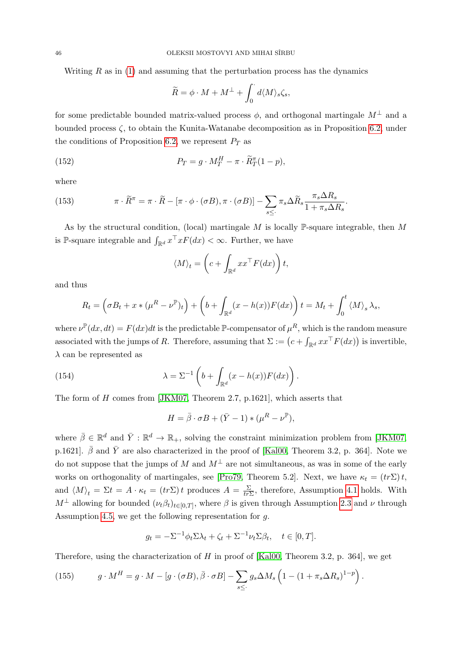Writing  $R$  as in [\(1\)](#page-3-2) and assuming that the perturbation process has the dynamics

$$
\widetilde{R} = \phi \cdot M + M^{\perp} + \int_0^{\cdot} d\langle M \rangle_s \zeta_s,
$$

for some predictable bounded matrix-valued process  $\phi$ , and orthogonal martingale  $M^{\perp}$  and a bounded process  $\zeta$ , to obtain the Kunita-Watanabe decomposition as in Proposition [6.2,](#page-41-7) under the conditions of Proposition [6.2,](#page-41-7) we represent  $P_T$  as

(152) 
$$
P_T = g \cdot M_T^H - \pi \cdot \widetilde{R}_T^{\pi} (1 - p),
$$

where

<span id="page-45-1"></span>(153) 
$$
\pi \cdot \widetilde{R}^{\pi} = \pi \cdot \widetilde{R} - [\pi \cdot \phi \cdot (\sigma B), \pi \cdot (\sigma B)] - \sum_{s \leq \cdot} \pi_s \Delta \widetilde{R}_s \frac{\pi_s \Delta R_s}{1 + \pi_s \Delta R_s}.
$$

As by the structural condition, (local) martingale  $M$  is locally P-square integrable, then  $M$ is P-square integrable and  $\int_{\mathbb{R}^d} x^{\top} x F(dx) < \infty$ . Further, we have

$$
\langle M \rangle_t = \left( c + \int_{\mathbb{R}^d} x x^\top F(dx) \right) t,
$$

and thus

$$
R_t = \left(\sigma B_t + x * (\mu^R - \nu^{\mathbb{P}})_t\right) + \left(b + \int_{\mathbb{R}^d} (x - h(x)) F(dx)\right) t = M_t + \int_0^t \langle M \rangle_s \lambda_s,
$$

where  $\nu^{\mathbb{P}}(dx, dt) = F(dx)dt$  is the predictable P-compensator of  $\mu^R$ , which is the random measure associated with the jumps of R. Therefore, assuming that  $\Sigma := (c + \int_{\mathbb{R}^d} x x^\top F(dx))$  is invertible,  $\lambda$  can be represented as

(154) 
$$
\lambda = \Sigma^{-1} \left( b + \int_{\mathbb{R}^d} (x - h(x)) F(dx) \right).
$$

The form of H comes from [\[JKM07,](#page-49-24) Theorem 2.7, p.1621], which asserts that

<span id="page-45-0"></span>
$$
H = \bar{\beta} \cdot \sigma B + (\bar{Y} - 1) * (\mu^R - \nu^{\mathbb{P}}),
$$

where  $\bar{\beta} \in \mathbb{R}^d$  and  $\bar{Y}: \mathbb{R}^d \to \mathbb{R}_+$ , solving the constraint minimization problem from [\[JKM07,](#page-49-24) p.1621].  $\bar{\beta}$  and  $\bar{Y}$  are also characterized in the proof of [\[Kal00,](#page-49-0) Theorem 3.2, p. 364]. Note we do not suppose that the jumps of M and  $M^{\perp}$  are not simultaneous, as was in some of the early works on orthogonality of martingales, see [\[Pro79,](#page-50-12) Theorem 5.2]. Next, we have  $\kappa_t = (tr\Sigma)t$ , and  $\langle M \rangle_t = \Sigma t = A \cdot \kappa_t = (tr \Sigma) t$  produces  $A = \frac{\Sigma}{tr \Sigma}$  $\frac{\Sigma}{tr\Sigma}$ , therefore, Assumption [4.1](#page-9-3) holds. With  $M^{\perp}$  allowing for bounded  $(\nu_t \beta_t)_{t \in [0,T]}$ , where  $\beta$  is given through Assumption [2.3](#page-7-3) and  $\nu$  through Assumption [4.5,](#page-10-0) we get the following representation for g.

$$
g_t = -\Sigma^{-1} \phi_t \Sigma \lambda_t + \zeta_t + \Sigma^{-1} \nu_t \Sigma \beta_t, \quad t \in [0, T].
$$

Therefore, using the characterization of  $H$  in proof of [\[Kal00,](#page-49-0) Theorem 3.2, p. 364], we get

<span id="page-45-2"></span>(155) 
$$
g \cdot M^H = g \cdot M - [g \cdot (\sigma B), \bar{\beta} \cdot \sigma B] - \sum_{s \leq \cdot} g_s \Delta M_s \left( 1 - (1 + \pi_s \Delta R_s)^{1-p} \right).
$$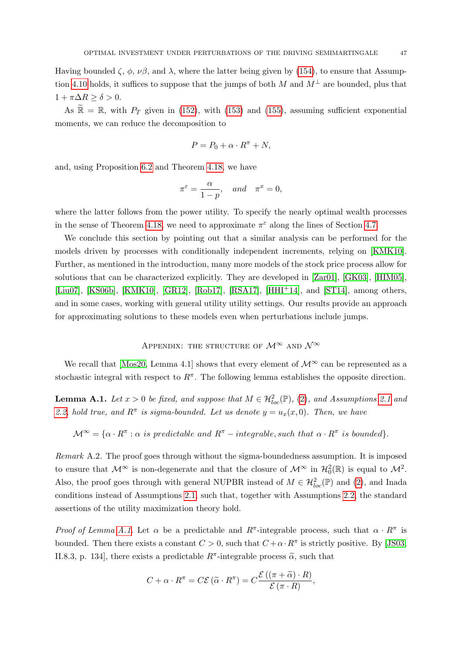Having bounded  $\zeta$ ,  $\phi$ ,  $\nu\beta$ , and  $\lambda$ , where the latter being given by [\(154\)](#page-45-0), to ensure that Assump-tion [4.10](#page-10-4) holds, it suffices to suppose that the jumps of both M and  $M^{\perp}$  are bounded, plus that  $1 + \pi \Delta R \ge \delta > 0.$ 

As  $\widetilde{\mathbb{R}} = \mathbb{R}$ , with  $P_T$  given in [\(152\)](#page-42-0), with [\(153\)](#page-45-1) and [\(155\)](#page-45-2), assuming sufficient exponential moments, we can reduce the decomposition to

$$
P = P_0 + \alpha \cdot R^{\pi} + N,
$$

and, using Proposition [6.2](#page-41-7) and Theorem [4.18,](#page-14-2) we have

$$
\pi^{\varepsilon} = \frac{\alpha}{1 - p}, \quad and \quad \pi^x = 0,
$$

where the latter follows from the power utility. To specify the nearly optimal wealth processes in the sense of Theorem [4.18,](#page-14-2) we need to approximate  $\pi^{\varepsilon}$  along the lines of Section [4.7.](#page-13-1)

We conclude this section by pointing out that a similar analysis can be performed for the models driven by processes with conditionally independent increments, relying on [\[KMK10\]](#page-49-5). Further, as mentioned in the introduction, many more models of the stock price process allow for solutions that can be characterized explicitly. They are developed in [\[Zar01\]](#page-50-0), [\[GK03\]](#page-49-1), [\[HIM05\]](#page-49-2), [\[Liu07\]](#page-49-3), [\[KS06b\]](#page-49-4), [\[KMK10\]](#page-49-5), [\[GR12\]](#page-49-6), [\[Rob17\]](#page-50-2), [\[RSA17\]](#page-50-3), [\[HHI](#page-49-7)<sup>+</sup>14], and [\[ST14\]](#page-50-1), among others, and in some cases, working with general utility utility settings. Our results provide an approach for approximating solutions to these models even when perturbations include jumps.

# <span id="page-46-0"></span>APPENDIX: THE STRUCTURE OF  $\mathcal{M}^{\infty}$  and  $\mathcal{N}^{\infty}$

We recall that [\[Mos20,](#page-50-6) Lemma 4.1] shows that every element of  $\mathcal{M}^{\infty}$  can be represented as a stochastic integral with respect to  $R^{\pi}$ . The following lemma establishes the opposite direction.

<span id="page-46-1"></span>**Lemma A.1.** Let  $x > 0$  be fixed, and suppose that  $M \in \mathcal{H}_{loc}^2(\mathbb{P})$ , [\(2\)](#page-3-1), and Assumptions [2.1](#page-5-3) and [2.2,](#page-6-2) hold true, and  $R^{\pi}$  is sigma-bounded. Let us denote  $y = u_x(x, 0)$ . Then, we have

 $\mathcal{M}^{\infty} = {\alpha \cdot R^{\pi} : \alpha \text{ is predictable and } R^{\pi} - \text{integrable, such that } \alpha \cdot R^{\pi} \text{ is bounded}}.$ 

Remark A.2. The proof goes through without the sigma-boundedness assumption. It is imposed to ensure that  $\mathcal{M}^{\infty}$  is non-degenerate and that the closure of  $\mathcal{M}^{\infty}$  in  $\mathcal{H}_0^2(\mathbb{R})$  is equal to  $\mathcal{M}^2$ . Also, the proof goes through with general NUPBR instead of  $M \in \mathcal{H}_{loc}^2(\mathbb{P})$  and  $(2)$ , and Inada conditions instead of Assumptions [2.1,](#page-5-3) such that, together with Assumptions [2.2,](#page-6-2) the standard assertions of the utility maximization theory hold.

Proof of Lemma [A.1.](#page-46-1) Let  $\alpha$  be a predictable and  $R^{\pi}$ -integrable process, such that  $\alpha \cdot R^{\pi}$  is bounded. Then there exists a constant  $C > 0$ , such that  $C + \alpha \cdot R^{\pi}$  is strictly positive. By [\[JS03,](#page-49-22) II.8.3, p. 134], there exists a predictable  $R^{\pi}$ -integrable process  $\tilde{\alpha}$ , such that

$$
C + \alpha \cdot R^{\pi} = C\mathcal{E}(\widetilde{\alpha} \cdot R^{\pi}) = C \frac{\mathcal{E}((\pi + \widetilde{\alpha}) \cdot R)}{\mathcal{E}(\pi \cdot R)},
$$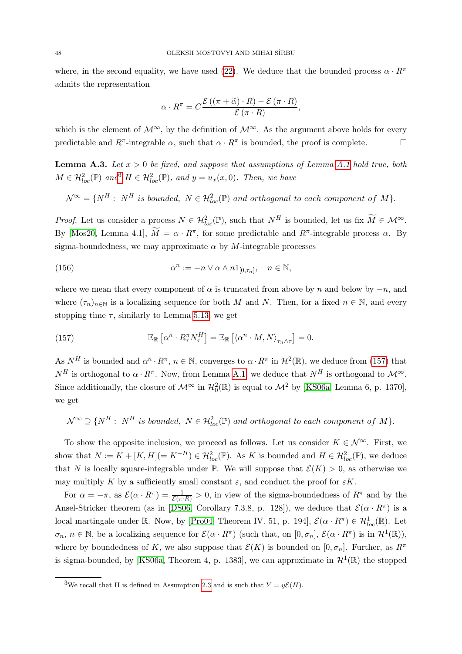where, in the second equality, we have used [\(22\)](#page-7-5). We deduce that the bounded process  $\alpha \cdot R^{\pi}$ admits the representation

$$
\alpha \cdot R^{\pi} = C \frac{\mathcal{E} ((\pi + \widetilde{\alpha}) \cdot R) - \mathcal{E} (\pi \cdot R)}{\mathcal{E} (\pi \cdot R)},
$$

which is the element of  $\mathcal{M}^{\infty}$ , by the definition of  $\mathcal{M}^{\infty}$ . As the argument above holds for every predictable and  $R^{\pi}$ -integrable  $\alpha$ , such that  $\alpha \cdot R^{\pi}$  is bounded, the proof is complete.

**Lemma A.3.** Let  $x > 0$  be fixed, and suppose that assumptions of Lemma [A.1](#page-46-1) hold true, both  $M \in \mathcal{H}^2_{loc}(\mathbb{P})$  and  $H \in \mathcal{H}^2_{loc}(\mathbb{P})$ , and  $y = u_x(x, 0)$ . Then, we have

 $\mathcal{N}^{\infty} = \{ N^{H} : N^{H} \text{ is bounded}, \ N \in \mathcal{H}_{loc}^{2}(\mathbb{P}) \text{ and orthogonal to each component of } M \}.$ 

*Proof.* Let us consider a process  $N \in \mathcal{H}_{loc}^2(\mathbb{P})$ , such that  $N^H$  is bounded, let us fix  $\widetilde{M} \in \mathcal{M}^{\infty}$ . By [\[Mos20,](#page-50-6) Lemma 4.1],  $\widetilde{M} = \alpha \cdot R^{\pi}$ , for some predictable and  $R^{\pi}$ -integrable process  $\alpha$ . By sigma-boundedness, we may approximate  $\alpha$  by M-integrable processes

(156) 
$$
\alpha^n := -n \vee \alpha \wedge n1_{[0,\tau_n]}, \quad n \in \mathbb{N},
$$

where we mean that every component of  $\alpha$  is truncated from above by n and below by  $-n$ , and where  $(\tau_n)_{n\in\mathbb{N}}$  is a localizing sequence for both M and N. Then, for a fixed  $n \in \mathbb{N}$ , and every stopping time  $\tau$ , similarly to Lemma [5.13,](#page-22-1) we get

<span id="page-47-1"></span>(157) 
$$
\mathbb{E}_{\mathbb{R}}\left[\alpha^n \cdot R_\tau^\pi N_\tau^H\right] = \mathbb{E}_{\mathbb{R}}\left[\langle \alpha^n \cdot M, N \rangle_{\tau_n \wedge \tau}\right] = 0.
$$

As  $N^H$  is bounded and  $\alpha^n \cdot R^{\pi}$ ,  $n \in \mathbb{N}$ , converges to  $\alpha \cdot R^{\pi}$  in  $\mathcal{H}^2(\mathbb{R})$ , we deduce from [\(157\)](#page-47-1) that  $N^H$  is orthogonal to  $\alpha \cdot R^{\pi}$ . Now, from Lemma [A.1,](#page-46-1) we deduce that  $N^H$  is orthogonal to  $\mathcal{M}^{\infty}$ . Since additionally, the closure of  $\mathcal{M}^{\infty}$  in  $\mathcal{H}_0^2(\mathbb{R})$  is equal to  $\mathcal{M}^2$  by [\[KS06a,](#page-49-10) Lemma 6, p. 1370], we get

 $\mathcal{N}^{\infty} \supseteq \{N^H:~N^H~is~bounded,~N\in \mathcal{H}_{loc}^2(\mathbb{P})~and~orthogonal~to~each~component~of~M\}.$ 

To show the opposite inclusion, we proceed as follows. Let us consider  $K \in \mathcal{N}^{\infty}$ . First, we show that  $N := K + [K, H] (= K^{-H}) \in \mathcal{H}_{loc}^2(\mathbb{P})$ . As K is bounded and  $H \in \mathcal{H}_{loc}^2(\mathbb{P})$ , we deduce that N is locally square-integrable under  $\mathbb{P}$ . We will suppose that  $\mathcal{E}(K) > 0$ , as otherwise we may multiply K by a sufficiently small constant  $\varepsilon$ , and conduct the proof for  $\varepsilon K$ .

For  $\alpha = -\pi$ , as  $\mathcal{E}(\alpha \cdot R^{\pi}) = \frac{1}{\mathcal{E}(\pi \cdot R)} > 0$ , in view of the sigma-boundedness of  $R^{\pi}$  and by the Ansel-Stricker theorem (as in [\[DS06,](#page-49-23) Corollary 7.3.8, p. 128]), we deduce that  $\mathcal{E}(\alpha \cdot R^{\pi})$  is a local martingale under R. Now, by [\[Pro04,](#page-50-11) Theorem IV. 51, p. 194],  $\mathcal{E}(\alpha \cdot R^{\pi}) \in \mathcal{H}_{loc}^1(\mathbb{R})$ . Let  $\sigma_n, n \in \mathbb{N}$ , be a localizing sequence for  $\mathcal{E}(\alpha \cdot R^{\pi})$  (such that, on  $[0, \sigma_n], \mathcal{E}(\alpha \cdot R^{\pi})$  is in  $\mathcal{H}^1(\mathbb{R})$ ), where by boundedness of K, we also suppose that  $\mathcal{E}(K)$  is bounded on  $[0, \sigma_n]$ . Further, as  $R^{\pi}$ is sigma-bounded, by [\[KS06a,](#page-49-10) Theorem 4, p. 1383], we can approximate in  $\mathcal{H}^1(\mathbb{R})$  the stopped

<span id="page-47-0"></span><sup>&</sup>lt;sup>3</sup>We recall that H is defined in Assumption [2.3](#page-7-3) and is such that  $Y = y\mathcal{E}(H)$ .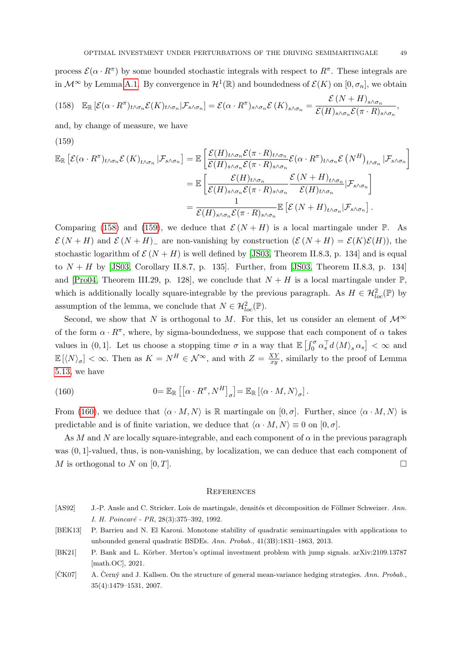process  $\mathcal{E}(\alpha \cdot R^{\pi})$  by some bounded stochastic integrals with respect to  $R^{\pi}$ . These integrals are in  $\mathcal{M}^{\infty}$  by Lemma [A.1.](#page-46-1) By convergence in  $\mathcal{H}^1(\mathbb{R})$  and boundedness of  $\mathcal{E}(K)$  on  $[0, \sigma_n]$ , we obtain

<span id="page-48-5"></span>
$$
(158) \mathbb{E}_{\mathbb{R}}\left[\mathcal{E}(\alpha \cdot R^{\pi})_{t \wedge \sigma_n} \mathcal{E}(K)_{t \wedge \sigma_n} | \mathcal{F}_{s \wedge \sigma_n}\right] = \mathcal{E}(\alpha \cdot R^{\pi})_{s \wedge \sigma_n} \mathcal{E}(K)_{s \wedge \sigma_n} = \frac{\mathcal{E}(N+H)_{s \wedge \sigma_n}}{\mathcal{E}(H)_{s \wedge \sigma_n} \mathcal{E}(\pi \cdot R)_{s \wedge \sigma_n}},
$$

and, by change of measure, we have

(159)

<span id="page-48-6"></span>
$$
\mathbb{E}_{\mathbb{R}}\left[\mathcal{E}(\alpha \cdot R^{\pi})_{t \wedge \sigma_{n}} \mathcal{E}\left(K\right)_{t \wedge \sigma_{n}} \left| \mathcal{F}_{s \wedge \sigma_{n}}\right] = \mathbb{E}\left[\frac{\mathcal{E}(H)_{t \wedge \sigma_{n}} \mathcal{E}(\pi \cdot R)_{t \wedge \sigma_{n}}}{\mathcal{E}(\pi \cdot R)_{s \wedge \sigma_{n}} \mathcal{E}(\pi \cdot R)_{s \wedge \sigma_{n}}} \mathcal{E}(\alpha \cdot R^{\pi})_{t \wedge \sigma_{n}} \mathcal{E}\left(N^{H}\right)_{t \wedge \sigma_{n}} \left| \mathcal{F}_{s \wedge \sigma_{n}}\right]\right]
$$
\n
$$
= \mathbb{E}\left[\frac{\mathcal{E}(H)_{t \wedge \sigma_{n}}}{\mathcal{E}(H)_{s \wedge \sigma_{n}} \mathcal{E}(\pi \cdot R)_{s \wedge \sigma_{n}}} \frac{\mathcal{E}\left(N + H\right)_{t \wedge \sigma_{n}}}{\mathcal{E}(H)_{t \wedge \sigma_{n}}}\left| \mathcal{F}_{s \wedge \sigma_{n}}\right|\right]
$$
\n
$$
= \frac{1}{\mathcal{E}(H)_{s \wedge \sigma_{n}} \mathcal{E}(\pi \cdot R)_{s \wedge \sigma_{n}}} \mathbb{E}\left[\mathcal{E}\left(N + H\right)_{t \wedge \sigma_{n}}\left| \mathcal{F}_{s \wedge \sigma_{n}}\right.\right].
$$

Comparing [\(158\)](#page-48-5) and [\(159\)](#page-48-6), we deduce that  $\mathcal{E}(N+H)$  is a local martingale under  $\mathbb{P}$ . As  $\mathcal{E}(N+H)$  and  $\mathcal{E}(N+H)$  are non-vanishing by construction  $(\mathcal{E}(N+H) = \mathcal{E}(K)\mathcal{E}(H))$ , the stochastic logarithm of  $\mathcal{E}(N+H)$  is well defined by [\[JS03,](#page-49-22) Theorem II.8.3, p. 134] and is equal to  $N + H$  by [\[JS03,](#page-49-22) Corollary II.8.7, p. 135]. Further, from [JS03, Theorem II.8.3, p. 134] and [\[Pro04,](#page-50-11) Theorem III.29, p. 128], we conclude that  $N + H$  is a local martingale under  $\mathbb{P}$ , which is additionally locally square-integrable by the previous paragraph. As  $H \in H^2_{loc}(\mathbb{P})$  by assumption of the lemma, we conclude that  $N \in \mathcal{H}^2_{loc}(\mathbb{P})$ .

Second, we show that N is orthogonal to M. For this, let us consider an element of  $\mathcal{M}^{\infty}$ of the form  $\alpha \cdot R^{\pi}$ , where, by sigma-boundedness, we suppose that each component of  $\alpha$  takes values in  $(0, 1]$ . Let us choose a stopping time  $\sigma$  in a way that  $\mathbb{E} \left[\int_0^{\sigma} \alpha_s^{\top} d \langle M \rangle_s \alpha_s \right] < \infty$  and  $\mathbb{E} \left[ \langle N \rangle_{\sigma} \right] < \infty$ . Then as  $K = N^H \in \mathcal{N}^{\infty}$ , and with  $Z = \frac{XY}{xy}$  $\frac{XY}{xy}$ , similarly to the proof of Lemma [5.13,](#page-22-1) we have

<span id="page-48-7"></span>(160) 
$$
0 = \mathbb{E}_{\mathbb{R}} \left[ \left[ \alpha \cdot R^{\pi}, N^H \right]_{\sigma} \right] = \mathbb{E}_{\mathbb{R}} \left[ \langle \alpha \cdot M, N \rangle_{\sigma} \right].
$$

From [\(160\)](#page-48-7), we deduce that  $\langle \alpha \cdot M, N \rangle$  is R martingale on  $[0, \sigma]$ . Further, since  $\langle \alpha \cdot M, N \rangle$  is predictable and is of finite variation, we deduce that  $\langle \alpha \cdot M, N \rangle \equiv 0$  on  $[0, \sigma]$ .

As M and N are locally square-integrable, and each component of  $\alpha$  in the previous paragraph was  $(0, 1]$ -valued, thus, is non-vanishing, by localization, we can deduce that each component of M is orthogonal to N on  $[0, T]$ .

#### <span id="page-48-0"></span>**REFERENCES**

- <span id="page-48-4"></span>[AS92] J.-P. Ansle and C. Stricker. Lois de martingale, densités et dècomposition de Föllmer Schweizer. Ann. I. H. Poincaré - PR, 28(3):375-392, 1992.
- <span id="page-48-3"></span>[BEK13] P. Barrieu and N. El Karoui. Monotone stability of quadratic semimartingales with applications to unbounded general quadratic BSDEs. Ann. Probab., 41(3B):1831–1863, 2013.
- <span id="page-48-1"></span>[BK21] P. Bank and L. Körber. Merton's optimal investment problem with jump signals. arXiv:2109.13787 [math.OC], 2021.
- <span id="page-48-2"></span>[CK07] A. Cerný and J. Kallsen. On the structure of general mean-variance hedging strategies. Ann. Probab., 35(4):1479–1531, 2007.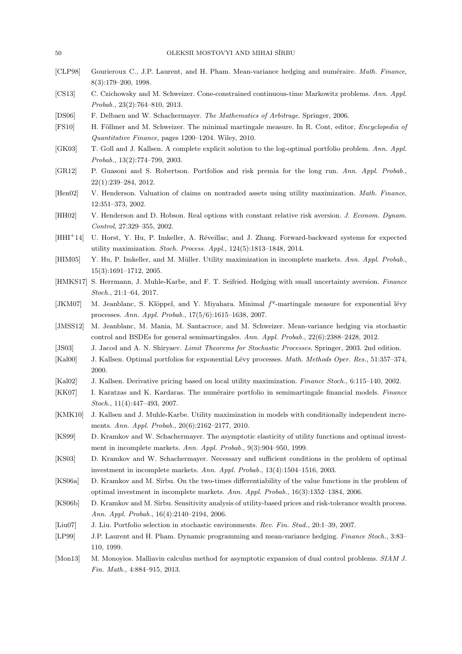- <span id="page-49-8"></span>[CLP98] Gourieroux C., J.P. Laurent, and H. Pham. Mean-variance hedging and numéraire. Math. Finance, 8(3):179–200, 1998.
- <span id="page-49-12"></span>[CS13] C. Czichowsky and M. Schweizer. Cone-constrained continuous-time Markowitz problems. Ann. Appl. Probab., 23(2):764–810, 2013.
- <span id="page-49-23"></span><span id="page-49-18"></span>[DS06] F. Delbaen and W. Schachermayer. The Mathematics of Arbitrage. Springer, 2006.
- [FS10] H. Föllmer and M. Schweizer. The minimal martingale measure. In R. Cont, editor, *Encyclopedia of* Quantitative Finance, pages 1200–1204. Wiley, 2010.
- <span id="page-49-1"></span>[GK03] T. Goll and J. Kallsen. A complete explicit solution to the log-optimal portfolio problem. Ann. Appl. Probab., 13(2):774–799, 2003.
- <span id="page-49-6"></span>[GR12] P. Guasoni and S. Robertson. Portfolios and risk premia for the long run. Ann. Appl. Probab., 22(1):239–284, 2012.
- <span id="page-49-14"></span>[Hen02] V. Henderson. Valuation of claims on nontraded assets using utility maximization. Math. Finance, 12:351–373, 2002.
- <span id="page-49-15"></span>[HH02] V. Henderson and D. Hobson. Real options with constant relative risk aversion. J. Econom. Dynam. Control, 27:329–355, 2002.
- <span id="page-49-7"></span>[HHI<sup>+</sup>14] U. Horst, Y. Hu, P. Imkeller, A. R´eveillac, and J. Zhang. Forward-backward systems for expected utility maximization. Stoch. Process. Appl., 124(5):1813–1848, 2014.
- <span id="page-49-2"></span>[HIM05] Y. Hu, P. Imkeller, and M. Müller. Utility maximization in incomplete markets. Ann. Appl. Probab., 15(3):1691–1712, 2005.
- <span id="page-49-17"></span>[HMKS17] S. Herrmann, J. Muhle-Karbe, and F. T. Seifried. Hedging with small uncertainty aversion. Finance Stoch., 21:1–64, 2017.
- <span id="page-49-24"></span>[JKM07] M. Jeanblanc, S. Klöppel, and Y. Miyahara. Minimal  $f<sup>q</sup>$ -martingale measure for exponential lévy processes. Ann. Appl. Probab., 17(5/6):1615–1638, 2007.
- <span id="page-49-13"></span>[JMSS12] M. Jeanblanc, M. Mania, M. Santacroce, and M. Schweizer. Mean-variance hedging via stochastic control and BSDEs for general semimartingales. Ann. Appl. Probab., 22(6):2388–2428, 2012.
- <span id="page-49-22"></span><span id="page-49-0"></span>[JS03] J. Jacod and A. N. Shiryaev. *Limit Theorems for Stochastic Processes*. Springer, 2003. 2nd edition.
- [Kal00] J. Kallsen. Optimal portfolios for exponential Lévy processes. Math. Methods Oper. Res., 51:357–374, 2000.
- <span id="page-49-21"></span><span id="page-49-16"></span>[Kal02] J. Kallsen. Derivative pricing based on local utility maximization. Finance Stoch., 6:115–140, 2002.
- [KK07] I. Karatzas and K. Kardaras. The numéraire portfolio in semimartingale financial models. Finance Stoch., 11(4):447–493, 2007.
- <span id="page-49-5"></span>[KMK10] J. Kallsen and J. Muhle-Karbe. Utility maximization in models with conditionally independent increments. Ann. Appl. Probab., 20(6):2162–2177, 2010.
- <span id="page-49-19"></span>[KS99] D. Kramkov and W. Schachermayer. The asymptotic elasticity of utility functions and optimal investment in incomplete markets. Ann. Appl. Probab., 9(3):904–950, 1999.
- <span id="page-49-20"></span>[KS03] D. Kramkov and W. Schachermayer. Necessary and sufficient conditions in the problem of optimal investment in incomplete markets. Ann. Appl. Probab., 13(4):1504–1516, 2003.
- <span id="page-49-10"></span>[KS06a] D. Kramkov and M. Sîrbu. On the two-times differentiability of the value functions in the problem of optimal investment in incomplete markets. Ann. Appl. Probab., 16(3):1352–1384, 2006.
- <span id="page-49-4"></span>[KS06b] D. Kramkov and M. Sîrbu. Sensitivity analysis of utility-based prices and risk-tolerance wealth process. Ann. Appl. Probab., 16(4):2140–2194, 2006.
- <span id="page-49-9"></span><span id="page-49-3"></span>[Liu07] J. Liu. Portfolio selection in stochastic environments. Rev. Fin. Stud., 20:1–39, 2007.
- [LP99] J.P. Laurent and H. Pham. Dynamic programming and mean-variance hedging. Finance Stoch., 3:83– 110, 1999.
- <span id="page-49-11"></span>[Mon13] M. Monovios. Malliavin calculus method for asymptotic expansion of dual control problems. SIAM J. Fin. Math., 4:884–915, 2013.